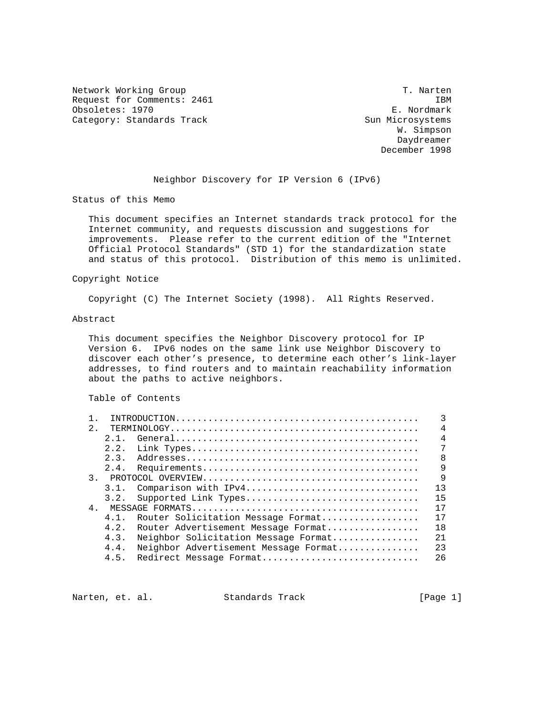Network Working Group T. Narten Request for Comments: 2461 IBM<br>
Obsoletes: 1970 IBM Obsoletes: 1970 Category: Standards Track Sun Microsystems

 W. Simpson Daydreamer December 1998

# Neighbor Discovery for IP Version 6 (IPv6)

Status of this Memo

 This document specifies an Internet standards track protocol for the Internet community, and requests discussion and suggestions for improvements. Please refer to the current edition of the "Internet Official Protocol Standards" (STD 1) for the standardization state and status of this protocol. Distribution of this memo is unlimited.

## Copyright Notice

Copyright (C) The Internet Society (1998). All Rights Reserved.

## Abstract

 This document specifies the Neighbor Discovery protocol for IP Version 6. IPv6 nodes on the same link use Neighbor Discovery to discover each other's presence, to determine each other's link-layer addresses, to find routers and to maintain reachability information about the paths to active neighbors.

## Table of Contents

| 2.             |                                       | 4            |
|----------------|---------------------------------------|--------------|
| 2.1.           |                                       | 4            |
| 2.2.           |                                       | 7            |
| 2.3.           |                                       | $\mathsf{B}$ |
| 2.4.           |                                       | 9            |
| 3 <sup>1</sup> |                                       | 9            |
| 3.1.           | Comparison with IPv4                  | 13           |
| 3.2.           | Supported Link Types                  | 15           |
| 4.             |                                       | 17           |
| 4 1            | Router Solicitation Message Format    | 17           |
| 4.2.           | Router Advertisement Message Format   | 18           |
| 4.3.           | Neighbor Solicitation Message Format  | 2.1          |
| 4.4.           | Neighbor Advertisement Message Format | 23           |
| 4.5.           | Redirect Message Format               | 26           |

Narten, et. al. Standards Track [Page 1]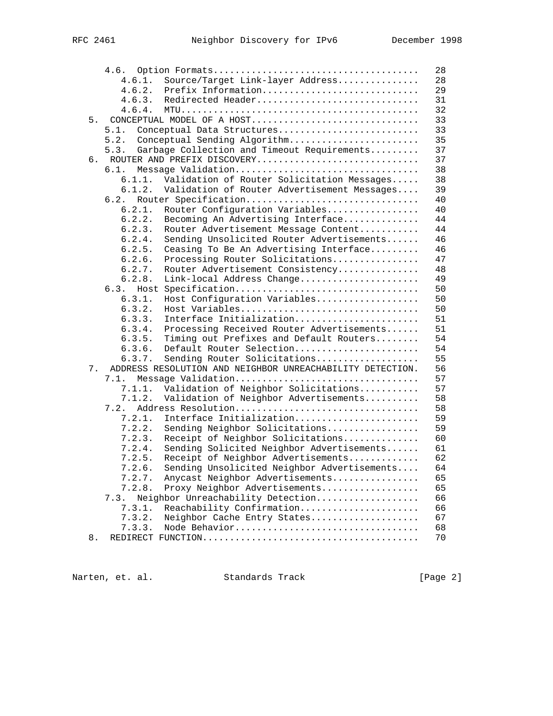|                                                                 | 28 |
|-----------------------------------------------------------------|----|
| Source/Target Link-layer Address<br>4.6.1.                      | 28 |
| 4.6.2.<br>Prefix Information                                    | 29 |
| Redirected Header<br>4.6.3.                                     | 31 |
| 4.6.4.                                                          | 32 |
| CONCEPTUAL MODEL OF A HOST<br>5.                                | 33 |
| 5.1.<br>Conceptual Data Structures                              | 33 |
| 5.2.<br>Conceptual Sending Algorithm                            | 35 |
| 5.3.<br>Garbage Collection and Timeout Requirements             | 37 |
| б.<br>ROUTER AND PREFIX DISCOVERY                               | 37 |
| Message Validation<br>6.1.                                      | 38 |
| Validation of Router Solicitation Messages<br>6.1.1.            | 38 |
| 6.1.2.<br>Validation of Router Advertisement Messages           | 39 |
| 6.2.                                                            | 40 |
| Router Specification                                            | 40 |
| Router Configuration Variables<br>6.2.1.                        |    |
| 6.2.2.<br>Becoming An Advertising Interface                     | 44 |
| 6.2.3.<br>Router Advertisement Message Content                  | 44 |
| 6.2.4.<br>Sending Unsolicited Router Advertisements             | 46 |
| 6.2.5.<br>Ceasing To Be An Advertising Interface                | 46 |
| 6.2.6.<br>Processing Router Solicitations                       | 47 |
| 6.2.7.<br>Router Advertisement Consistency                      | 48 |
| 6.2.8.<br>Link-local Address Change                             | 49 |
| 6.3. Host Specification                                         | 50 |
| 6.3.1.<br>Host Configuration Variables                          | 50 |
| 6.3.2.<br>Host Variables                                        | 50 |
| 6.3.3.<br>Interface Initialization                              | 51 |
| Processing Received Router Advertisements<br>6.3.4.             | 51 |
| Timing out Prefixes and Default Routers<br>6.3.5.               | 54 |
| Default Router Selection<br>6.3.6.                              | 54 |
| Sending Router Solicitations<br>6.3.7.                          | 55 |
| ADDRESS RESOLUTION AND NEIGHBOR UNREACHABILITY DETECTION.<br>7. | 56 |
| Message Validation<br>7.1.                                      | 57 |
| 7.1.1.<br>Validation of Neighbor Solicitations                  | 57 |
| Validation of Neighbor Advertisements<br>7.1.2.                 | 58 |
| Address Resolution<br>7.2.                                      | 58 |
| 7.2.1.<br>Interface Initialization                              | 59 |
| 7.2.2.<br>Sending Neighbor Solicitations                        | 59 |
| 7.2.3.<br>Receipt of Neighbor Solicitations                     | 60 |
| Sending Solicited Neighbor Advertisements<br>7.2.4.             | 61 |
| Receipt of Neighbor Advertisements<br>7.2.5.                    | 62 |
| Sending Unsolicited Neighbor Advertisements<br>7.2.6.           | 64 |
| 7.2.7.<br>Anycast Neighbor Advertisements                       | 65 |
| 7.2.8.<br>Proxy Neighbor Advertisements                         | 65 |
| Neighbor Unreachability Detection<br>7.3.                       | 66 |
| 7.3.1.<br>Reachability Confirmation                             | 66 |
| 7.3.2.                                                          | 67 |
| Neighbor Cache Entry States<br>Node Behavior<br>7.3.3.          |    |
|                                                                 | 68 |
| 8.                                                              | 70 |

Narten, et. al. Standards Track [Page 2]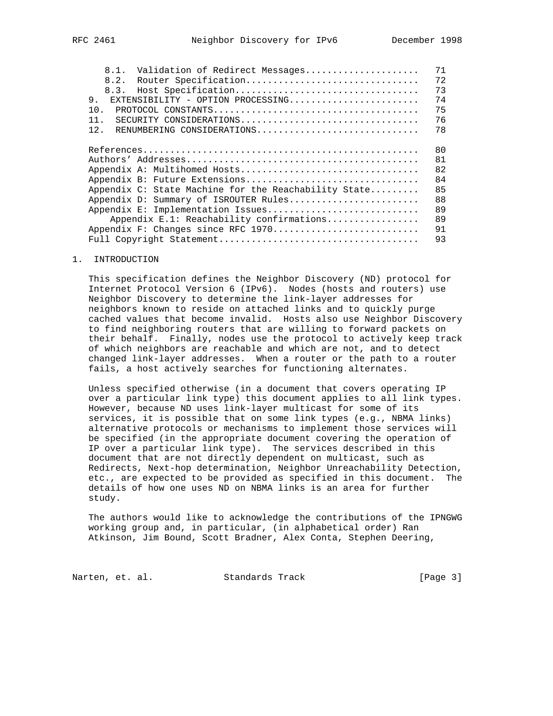| 8.1. Validation of Redirect Messages                 | 71 |
|------------------------------------------------------|----|
| Router Specification<br>8.2.                         | 72 |
| Host Specification<br>8.3.                           | 73 |
| 9.<br>EXTENSIBILITY - OPTION PROCESSING              | 74 |
| 10 <sub>1</sub>                                      | 75 |
| 11<br>SECURITY CONSIDERATIONS                        | 76 |
| 12.<br>RENUMBERING CONSIDERATIONS                    | 78 |
|                                                      |    |
|                                                      | 80 |
|                                                      | 81 |
| Appendix A: Multihomed Hosts                         | 82 |
|                                                      | 84 |
| Appendix C: State Machine for the Reachability State | 85 |
| Appendix D: Summary of ISROUTER Rules                | 88 |
| Appendix E: Implementation Issues                    | 89 |
| Appendix E.1: Reachability confirmations             | 89 |
| Appendix F: Changes since RFC 1970                   | 91 |
|                                                      | 93 |

#### 1. INTRODUCTION

 This specification defines the Neighbor Discovery (ND) protocol for Internet Protocol Version 6 (IPv6). Nodes (hosts and routers) use Neighbor Discovery to determine the link-layer addresses for neighbors known to reside on attached links and to quickly purge cached values that become invalid. Hosts also use Neighbor Discovery to find neighboring routers that are willing to forward packets on their behalf. Finally, nodes use the protocol to actively keep track of which neighbors are reachable and which are not, and to detect changed link-layer addresses. When a router or the path to a router fails, a host actively searches for functioning alternates.

 Unless specified otherwise (in a document that covers operating IP over a particular link type) this document applies to all link types. However, because ND uses link-layer multicast for some of its services, it is possible that on some link types (e.g., NBMA links) alternative protocols or mechanisms to implement those services will be specified (in the appropriate document covering the operation of IP over a particular link type). The services described in this document that are not directly dependent on multicast, such as Redirects, Next-hop determination, Neighbor Unreachability Detection, etc., are expected to be provided as specified in this document. The details of how one uses ND on NBMA links is an area for further study.

 The authors would like to acknowledge the contributions of the IPNGWG working group and, in particular, (in alphabetical order) Ran Atkinson, Jim Bound, Scott Bradner, Alex Conta, Stephen Deering,

Narten, et. al. Standards Track [Page 3]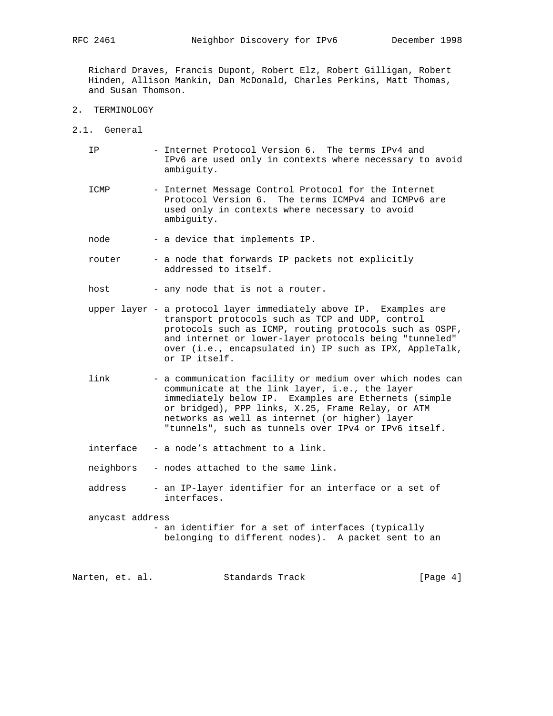Richard Draves, Francis Dupont, Robert Elz, Robert Gilligan, Robert Hinden, Allison Mankin, Dan McDonald, Charles Perkins, Matt Thomas, and Susan Thomson.

- 2. TERMINOLOGY
- 2.1. General
	- IP Internet Protocol Version 6. The terms IPv4 and IPv6 are used only in contexts where necessary to avoid ambiguity.
	- ICMP Internet Message Control Protocol for the Internet Protocol Version 6. The terms ICMPv4 and ICMPv6 are used only in contexts where necessary to avoid ambiguity.
	- node a device that implements IP.
	- router a node that forwards IP packets not explicitly addressed to itself.

host - any node that is not a router.

- upper layer a protocol layer immediately above IP. Examples are transport protocols such as TCP and UDP, control protocols such as ICMP, routing protocols such as OSPF, and internet or lower-layer protocols being "tunneled" over (i.e., encapsulated in) IP such as IPX, AppleTalk, or IP itself.
- link a communication facility or medium over which nodes can communicate at the link layer, i.e., the layer immediately below IP. Examples are Ethernets (simple or bridged), PPP links, X.25, Frame Relay, or ATM networks as well as internet (or higher) layer "tunnels", such as tunnels over IPv4 or IPv6 itself.
- interface a node's attachment to a link.

neighbors - nodes attached to the same link.

 address - an IP-layer identifier for an interface or a set of interfaces.

anycast address

 - an identifier for a set of interfaces (typically belonging to different nodes). A packet sent to an

Narten, et. al. Standards Track [Page 4]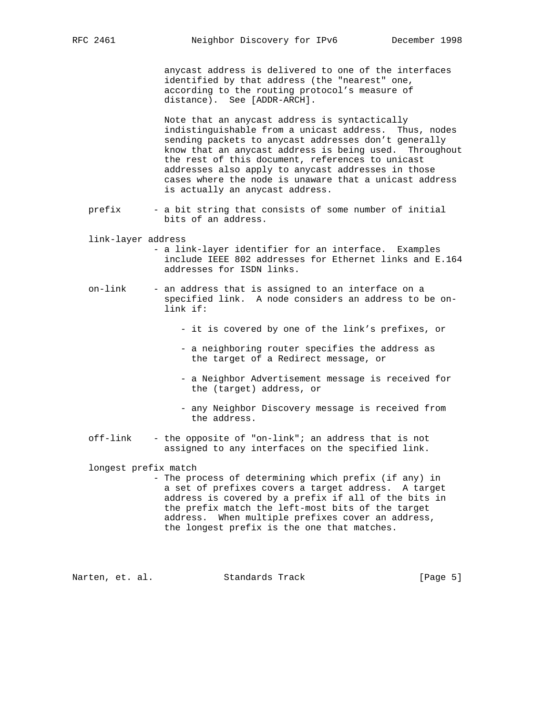anycast address is delivered to one of the interfaces identified by that address (the "nearest" one, according to the routing protocol's measure of distance). See [ADDR-ARCH].

 Note that an anycast address is syntactically indistinguishable from a unicast address. Thus, nodes sending packets to anycast addresses don't generally know that an anycast address is being used. Throughout the rest of this document, references to unicast addresses also apply to anycast addresses in those cases where the node is unaware that a unicast address is actually an anycast address.

- prefix a bit string that consists of some number of initial bits of an address.
- link-layer address
	- a link-layer identifier for an interface. Examples include IEEE 802 addresses for Ethernet links and E.164 addresses for ISDN links.
- on-link an address that is assigned to an interface on a specified link. A node considers an address to be on link if:
	- it is covered by one of the link's prefixes, or
	- a neighboring router specifies the address as the target of a Redirect message, or
	- a Neighbor Advertisement message is received for the (target) address, or
	- any Neighbor Discovery message is received from the address.
- off-link the opposite of "on-link"; an address that is not assigned to any interfaces on the specified link.

longest prefix match

 - The process of determining which prefix (if any) in a set of prefixes covers a target address. A target address is covered by a prefix if all of the bits in the prefix match the left-most bits of the target address. When multiple prefixes cover an address, the longest prefix is the one that matches.

Narten, et. al. Standards Track [Page 5]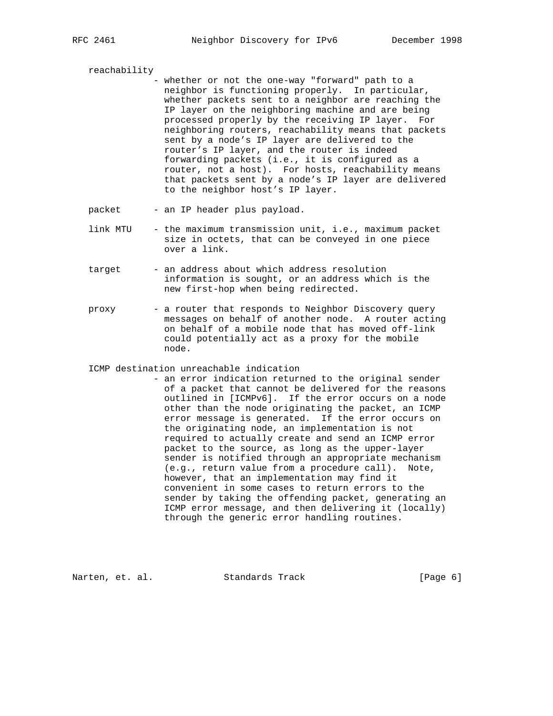```
 reachability
             - whether or not the one-way "forward" path to a
               neighbor is functioning properly. In particular,
               whether packets sent to a neighbor are reaching the
               IP layer on the neighboring machine and are being
               processed properly by the receiving IP layer. For
               neighboring routers, reachability means that packets
               sent by a node's IP layer are delivered to the
               router's IP layer, and the router is indeed
               forwarding packets (i.e., it is configured as a
               router, not a host). For hosts, reachability means
               that packets sent by a node's IP layer are delivered
               to the neighbor host's IP layer.
```
packet - an IP header plus payload.

- link MTU the maximum transmission unit, i.e., maximum packet size in octets, that can be conveyed in one piece over a link.
- target an address about which address resolution information is sought, or an address which is the new first-hop when being redirected.
- proxy a router that responds to Neighbor Discovery query messages on behalf of another node. A router acting on behalf of a mobile node that has moved off-link could potentially act as a proxy for the mobile node.

ICMP destination unreachable indication

 - an error indication returned to the original sender of a packet that cannot be delivered for the reasons outlined in [ICMPv6]. If the error occurs on a node other than the node originating the packet, an ICMP error message is generated. If the error occurs on the originating node, an implementation is not required to actually create and send an ICMP error packet to the source, as long as the upper-layer sender is notified through an appropriate mechanism (e.g., return value from a procedure call). Note, however, that an implementation may find it convenient in some cases to return errors to the sender by taking the offending packet, generating an ICMP error message, and then delivering it (locally) through the generic error handling routines.

Narten, et. al. Standards Track [Page 6]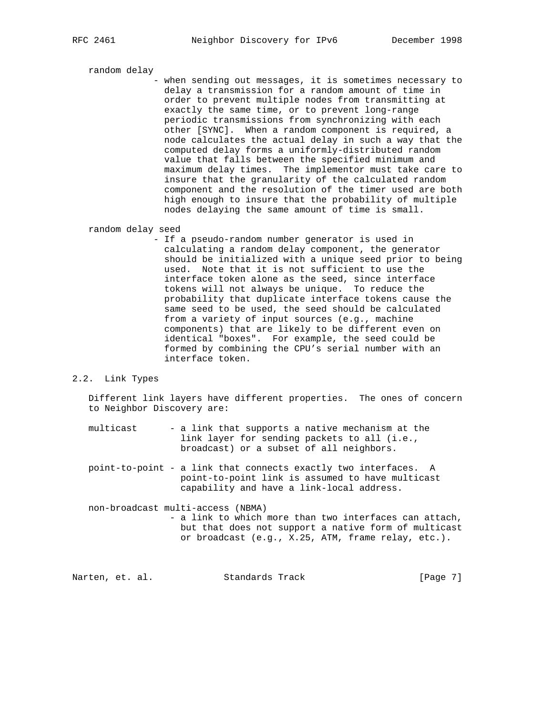random delay

 - when sending out messages, it is sometimes necessary to delay a transmission for a random amount of time in order to prevent multiple nodes from transmitting at exactly the same time, or to prevent long-range periodic transmissions from synchronizing with each other [SYNC]. When a random component is required, a node calculates the actual delay in such a way that the computed delay forms a uniformly-distributed random value that falls between the specified minimum and maximum delay times. The implementor must take care to insure that the granularity of the calculated random component and the resolution of the timer used are both high enough to insure that the probability of multiple nodes delaying the same amount of time is small.

random delay seed

 - If a pseudo-random number generator is used in calculating a random delay component, the generator should be initialized with a unique seed prior to being used. Note that it is not sufficient to use the interface token alone as the seed, since interface tokens will not always be unique. To reduce the probability that duplicate interface tokens cause the same seed to be used, the seed should be calculated from a variety of input sources (e.g., machine components) that are likely to be different even on identical "boxes". For example, the seed could be formed by combining the CPU's serial number with an interface token.

## 2.2. Link Types

 Different link layers have different properties. The ones of concern to Neighbor Discovery are:

- multicast a link that supports a native mechanism at the link layer for sending packets to all (i.e., broadcast) or a subset of all neighbors.
- point-to-point a link that connects exactly two interfaces. A point-to-point link is assumed to have multicast capability and have a link-local address.

 non-broadcast multi-access (NBMA) - a link to which more than two interfaces can attach, but that does not support a native form of multicast or broadcast (e.g., X.25, ATM, frame relay, etc.).

Narten, et. al. Standards Track [Page 7]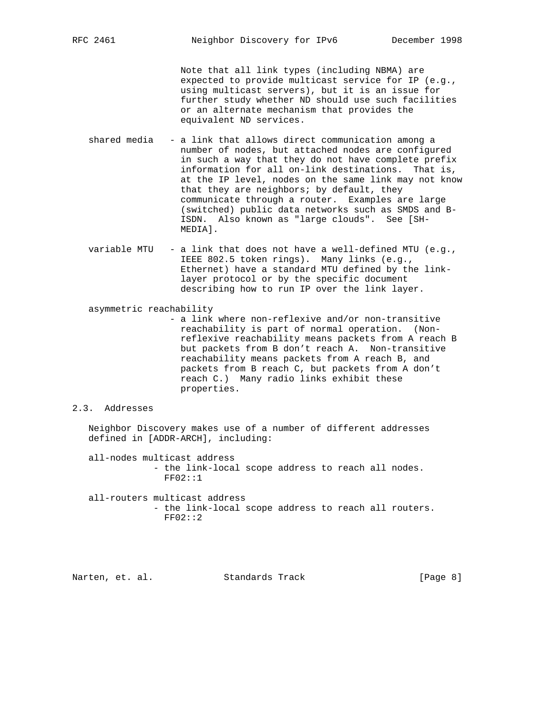Note that all link types (including NBMA) are expected to provide multicast service for IP (e.g., using multicast servers), but it is an issue for further study whether ND should use such facilities or an alternate mechanism that provides the equivalent ND services.

- shared media a link that allows direct communication among a number of nodes, but attached nodes are configured in such a way that they do not have complete prefix information for all on-link destinations. That is, at the IP level, nodes on the same link may not know that they are neighbors; by default, they communicate through a router. Examples are large (switched) public data networks such as SMDS and B- ISDN. Also known as "large clouds". See [SH- MEDIA].
- variable MTU a link that does not have a well-defined MTU (e.g., IEEE 802.5 token rings). Many links (e.g., Ethernet) have a standard MTU defined by the link layer protocol or by the specific document describing how to run IP over the link layer.

asymmetric reachability

 - a link where non-reflexive and/or non-transitive reachability is part of normal operation. (Non reflexive reachability means packets from A reach B but packets from B don't reach A. Non-transitive reachability means packets from A reach B, and packets from B reach C, but packets from A don't reach C.) Many radio links exhibit these properties.

# 2.3. Addresses

 Neighbor Discovery makes use of a number of different addresses defined in [ADDR-ARCH], including:

 all-nodes multicast address - the link-local scope address to reach all nodes. FF02::1

 all-routers multicast address - the link-local scope address to reach all routers. FF02::2

Narten, et. al. Standards Track [Page 8]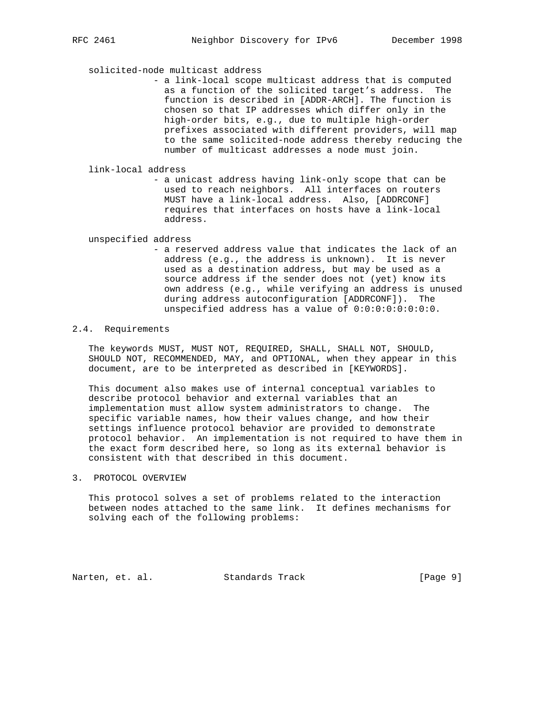# solicited-node multicast address

 - a link-local scope multicast address that is computed as a function of the solicited target's address. The function is described in [ADDR-ARCH]. The function is chosen so that IP addresses which differ only in the high-order bits, e.g., due to multiple high-order prefixes associated with different providers, will map to the same solicited-node address thereby reducing the number of multicast addresses a node must join.

### link-local address

 - a unicast address having link-only scope that can be used to reach neighbors. All interfaces on routers MUST have a link-local address. Also, [ADDRCONF] requires that interfaces on hosts have a link-local address.

### unspecified address

 - a reserved address value that indicates the lack of an address (e.g., the address is unknown). It is never used as a destination address, but may be used as a source address if the sender does not (yet) know its own address (e.g., while verifying an address is unused during address autoconfiguration [ADDRCONF]). The unspecified address has a value of 0:0:0:0:0:0:0:0.

# 2.4. Requirements

 The keywords MUST, MUST NOT, REQUIRED, SHALL, SHALL NOT, SHOULD, SHOULD NOT, RECOMMENDED, MAY, and OPTIONAL, when they appear in this document, are to be interpreted as described in [KEYWORDS].

 This document also makes use of internal conceptual variables to describe protocol behavior and external variables that an implementation must allow system administrators to change. The specific variable names, how their values change, and how their settings influence protocol behavior are provided to demonstrate protocol behavior. An implementation is not required to have them in the exact form described here, so long as its external behavior is consistent with that described in this document.

# 3. PROTOCOL OVERVIEW

 This protocol solves a set of problems related to the interaction between nodes attached to the same link. It defines mechanisms for solving each of the following problems:

Narten, et. al. Standards Track [Page 9]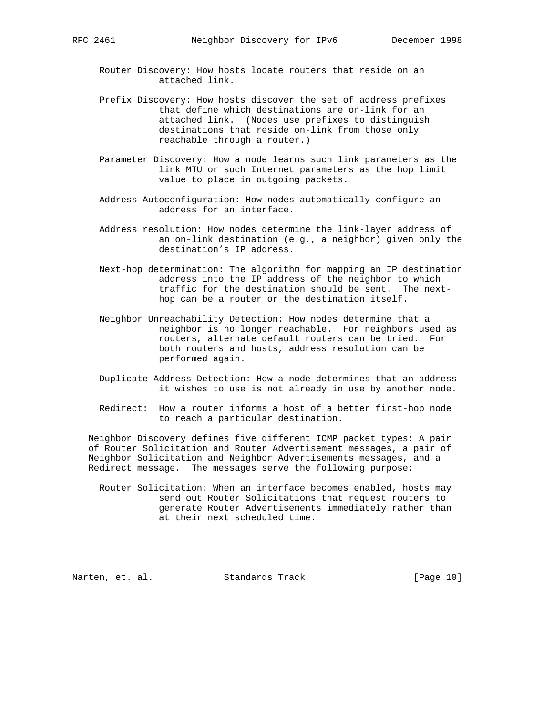- Router Discovery: How hosts locate routers that reside on an attached link.
- Prefix Discovery: How hosts discover the set of address prefixes that define which destinations are on-link for an attached link. (Nodes use prefixes to distinguish destinations that reside on-link from those only reachable through a router.)
- Parameter Discovery: How a node learns such link parameters as the link MTU or such Internet parameters as the hop limit value to place in outgoing packets.
- Address Autoconfiguration: How nodes automatically configure an address for an interface.
- Address resolution: How nodes determine the link-layer address of an on-link destination (e.g., a neighbor) given only the destination's IP address.
- Next-hop determination: The algorithm for mapping an IP destination address into the IP address of the neighbor to which traffic for the destination should be sent. The next hop can be a router or the destination itself.
- Neighbor Unreachability Detection: How nodes determine that a neighbor is no longer reachable. For neighbors used as routers, alternate default routers can be tried. For both routers and hosts, address resolution can be performed again.
- Duplicate Address Detection: How a node determines that an address it wishes to use is not already in use by another node.
- Redirect: How a router informs a host of a better first-hop node to reach a particular destination.

 Neighbor Discovery defines five different ICMP packet types: A pair of Router Solicitation and Router Advertisement messages, a pair of Neighbor Solicitation and Neighbor Advertisements messages, and a Redirect message. The messages serve the following purpose:

 Router Solicitation: When an interface becomes enabled, hosts may send out Router Solicitations that request routers to generate Router Advertisements immediately rather than at their next scheduled time.

Narten, et. al. Standards Track [Page 10]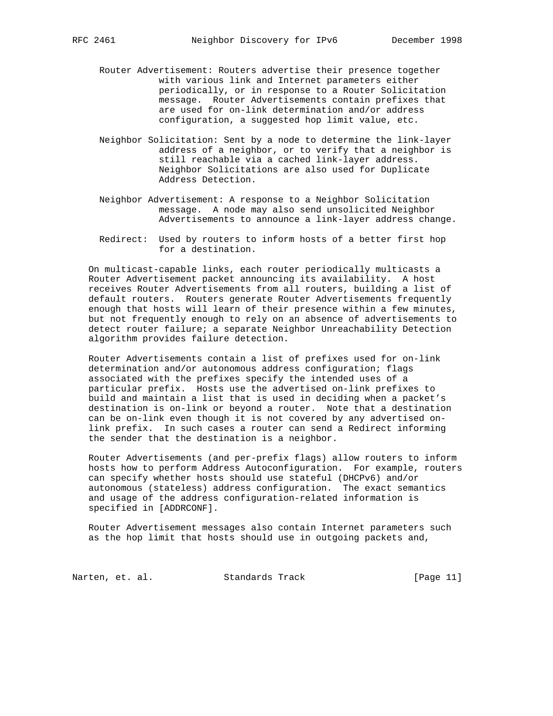- Router Advertisement: Routers advertise their presence together with various link and Internet parameters either periodically, or in response to a Router Solicitation message. Router Advertisements contain prefixes that are used for on-link determination and/or address configuration, a suggested hop limit value, etc.
- Neighbor Solicitation: Sent by a node to determine the link-layer address of a neighbor, or to verify that a neighbor is still reachable via a cached link-layer address. Neighbor Solicitations are also used for Duplicate Address Detection.
- Neighbor Advertisement: A response to a Neighbor Solicitation message. A node may also send unsolicited Neighbor Advertisements to announce a link-layer address change.
- Redirect: Used by routers to inform hosts of a better first hop for a destination.

 On multicast-capable links, each router periodically multicasts a Router Advertisement packet announcing its availability. A host receives Router Advertisements from all routers, building a list of default routers. Routers generate Router Advertisements frequently enough that hosts will learn of their presence within a few minutes, but not frequently enough to rely on an absence of advertisements to detect router failure; a separate Neighbor Unreachability Detection algorithm provides failure detection.

 Router Advertisements contain a list of prefixes used for on-link determination and/or autonomous address configuration; flags associated with the prefixes specify the intended uses of a particular prefix. Hosts use the advertised on-link prefixes to build and maintain a list that is used in deciding when a packet's destination is on-link or beyond a router. Note that a destination can be on-link even though it is not covered by any advertised on link prefix. In such cases a router can send a Redirect informing the sender that the destination is a neighbor.

 Router Advertisements (and per-prefix flags) allow routers to inform hosts how to perform Address Autoconfiguration. For example, routers can specify whether hosts should use stateful (DHCPv6) and/or autonomous (stateless) address configuration. The exact semantics and usage of the address configuration-related information is specified in [ADDRCONF].

 Router Advertisement messages also contain Internet parameters such as the hop limit that hosts should use in outgoing packets and,

Narten, et. al. Standards Track [Page 11]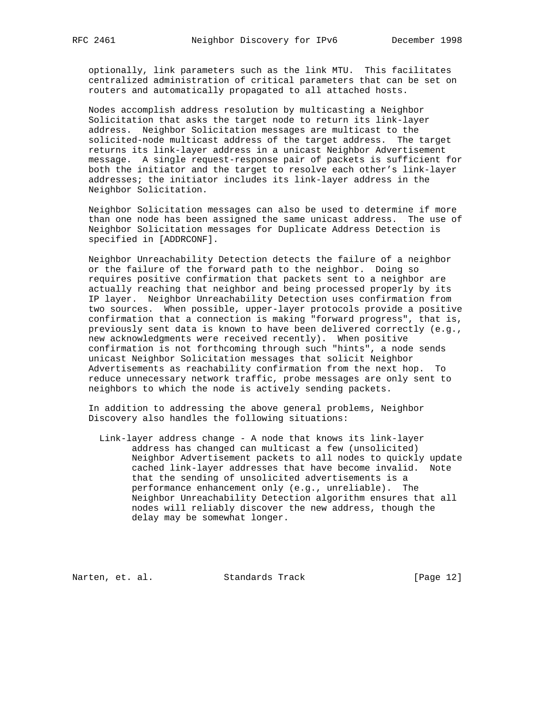optionally, link parameters such as the link MTU. This facilitates centralized administration of critical parameters that can be set on routers and automatically propagated to all attached hosts.

 Nodes accomplish address resolution by multicasting a Neighbor Solicitation that asks the target node to return its link-layer address. Neighbor Solicitation messages are multicast to the solicited-node multicast address of the target address. The target returns its link-layer address in a unicast Neighbor Advertisement message. A single request-response pair of packets is sufficient for both the initiator and the target to resolve each other's link-layer addresses; the initiator includes its link-layer address in the Neighbor Solicitation.

 Neighbor Solicitation messages can also be used to determine if more than one node has been assigned the same unicast address. The use of Neighbor Solicitation messages for Duplicate Address Detection is specified in [ADDRCONF].

 Neighbor Unreachability Detection detects the failure of a neighbor or the failure of the forward path to the neighbor. Doing so requires positive confirmation that packets sent to a neighbor are actually reaching that neighbor and being processed properly by its IP layer. Neighbor Unreachability Detection uses confirmation from two sources. When possible, upper-layer protocols provide a positive confirmation that a connection is making "forward progress", that is, previously sent data is known to have been delivered correctly (e.g., new acknowledgments were received recently). When positive confirmation is not forthcoming through such "hints", a node sends unicast Neighbor Solicitation messages that solicit Neighbor Advertisements as reachability confirmation from the next hop. To reduce unnecessary network traffic, probe messages are only sent to neighbors to which the node is actively sending packets.

 In addition to addressing the above general problems, Neighbor Discovery also handles the following situations:

 Link-layer address change - A node that knows its link-layer address has changed can multicast a few (unsolicited) Neighbor Advertisement packets to all nodes to quickly update cached link-layer addresses that have become invalid. Note that the sending of unsolicited advertisements is a performance enhancement only (e.g., unreliable). The Neighbor Unreachability Detection algorithm ensures that all nodes will reliably discover the new address, though the delay may be somewhat longer.

Narten, et. al. Standards Track [Page 12]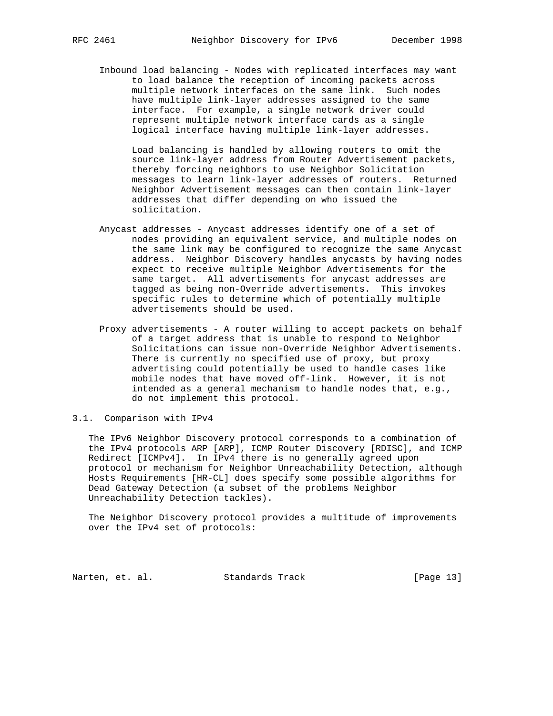Inbound load balancing - Nodes with replicated interfaces may want to load balance the reception of incoming packets across multiple network interfaces on the same link. Such nodes have multiple link-layer addresses assigned to the same interface. For example, a single network driver could represent multiple network interface cards as a single logical interface having multiple link-layer addresses.

 Load balancing is handled by allowing routers to omit the source link-layer address from Router Advertisement packets, thereby forcing neighbors to use Neighbor Solicitation messages to learn link-layer addresses of routers. Returned Neighbor Advertisement messages can then contain link-layer addresses that differ depending on who issued the solicitation.

- Anycast addresses Anycast addresses identify one of a set of nodes providing an equivalent service, and multiple nodes on the same link may be configured to recognize the same Anycast address. Neighbor Discovery handles anycasts by having nodes expect to receive multiple Neighbor Advertisements for the same target. All advertisements for anycast addresses are tagged as being non-Override advertisements. This invokes specific rules to determine which of potentially multiple advertisements should be used.
- Proxy advertisements A router willing to accept packets on behalf of a target address that is unable to respond to Neighbor Solicitations can issue non-Override Neighbor Advertisements. There is currently no specified use of proxy, but proxy advertising could potentially be used to handle cases like mobile nodes that have moved off-link. However, it is not intended as a general mechanism to handle nodes that, e.g., do not implement this protocol.

# 3.1. Comparison with IPv4

 The IPv6 Neighbor Discovery protocol corresponds to a combination of the IPv4 protocols ARP [ARP], ICMP Router Discovery [RDISC], and ICMP Redirect [ICMPv4]. In IPv4 there is no generally agreed upon protocol or mechanism for Neighbor Unreachability Detection, although Hosts Requirements [HR-CL] does specify some possible algorithms for Dead Gateway Detection (a subset of the problems Neighbor Unreachability Detection tackles).

 The Neighbor Discovery protocol provides a multitude of improvements over the IPv4 set of protocols:

Narten, et. al. Standards Track [Page 13]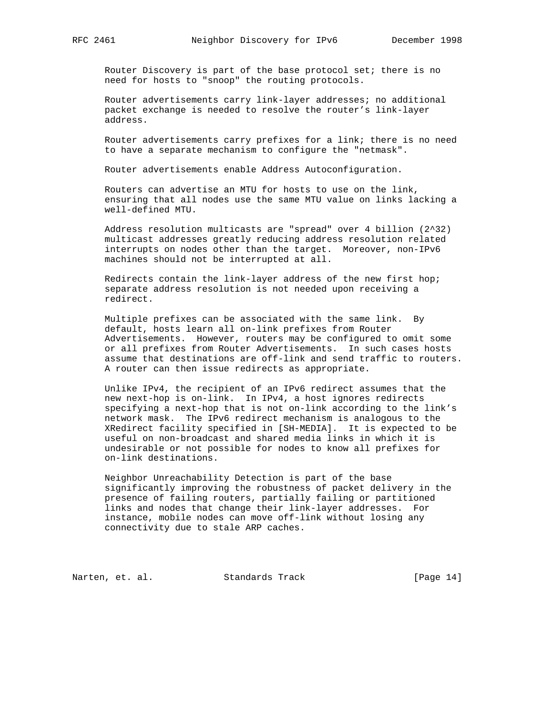Router Discovery is part of the base protocol set; there is no need for hosts to "snoop" the routing protocols.

 Router advertisements carry link-layer addresses; no additional packet exchange is needed to resolve the router's link-layer address.

 Router advertisements carry prefixes for a link; there is no need to have a separate mechanism to configure the "netmask".

Router advertisements enable Address Autoconfiguration.

 Routers can advertise an MTU for hosts to use on the link, ensuring that all nodes use the same MTU value on links lacking a well-defined MTU.

 Address resolution multicasts are "spread" over 4 billion (2^32) multicast addresses greatly reducing address resolution related interrupts on nodes other than the target. Moreover, non-IPv6 machines should not be interrupted at all.

 Redirects contain the link-layer address of the new first hop; separate address resolution is not needed upon receiving a redirect.

 Multiple prefixes can be associated with the same link. By default, hosts learn all on-link prefixes from Router Advertisements. However, routers may be configured to omit some or all prefixes from Router Advertisements. In such cases hosts assume that destinations are off-link and send traffic to routers. A router can then issue redirects as appropriate.

 Unlike IPv4, the recipient of an IPv6 redirect assumes that the new next-hop is on-link. In IPv4, a host ignores redirects specifying a next-hop that is not on-link according to the link's network mask. The IPv6 redirect mechanism is analogous to the XRedirect facility specified in [SH-MEDIA]. It is expected to be useful on non-broadcast and shared media links in which it is undesirable or not possible for nodes to know all prefixes for on-link destinations.

 Neighbor Unreachability Detection is part of the base significantly improving the robustness of packet delivery in the presence of failing routers, partially failing or partitioned links and nodes that change their link-layer addresses. For instance, mobile nodes can move off-link without losing any connectivity due to stale ARP caches.

Narten, et. al. Standards Track [Page 14]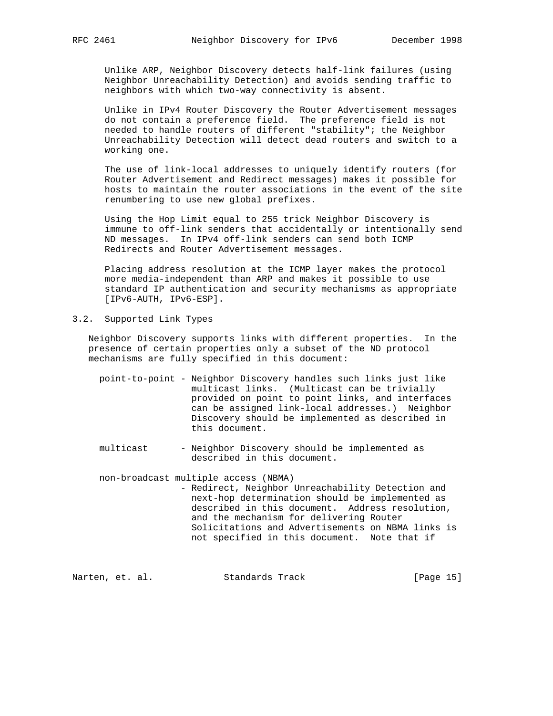Unlike ARP, Neighbor Discovery detects half-link failures (using Neighbor Unreachability Detection) and avoids sending traffic to neighbors with which two-way connectivity is absent.

 Unlike in IPv4 Router Discovery the Router Advertisement messages do not contain a preference field. The preference field is not needed to handle routers of different "stability"; the Neighbor Unreachability Detection will detect dead routers and switch to a working one.

 The use of link-local addresses to uniquely identify routers (for Router Advertisement and Redirect messages) makes it possible for hosts to maintain the router associations in the event of the site renumbering to use new global prefixes.

 Using the Hop Limit equal to 255 trick Neighbor Discovery is immune to off-link senders that accidentally or intentionally send ND messages. In IPv4 off-link senders can send both ICMP Redirects and Router Advertisement messages.

 Placing address resolution at the ICMP layer makes the protocol more media-independent than ARP and makes it possible to use standard IP authentication and security mechanisms as appropriate [IPv6-AUTH, IPv6-ESP].

# 3.2. Supported Link Types

 Neighbor Discovery supports links with different properties. In the presence of certain properties only a subset of the ND protocol mechanisms are fully specified in this document:

- point-to-point Neighbor Discovery handles such links just like multicast links. (Multicast can be trivially provided on point to point links, and interfaces can be assigned link-local addresses.) Neighbor Discovery should be implemented as described in this document.
- multicast Neighbor Discovery should be implemented as described in this document.

 non-broadcast multiple access (NBMA) - Redirect, Neighbor Unreachability Detection and next-hop determination should be implemented as described in this document. Address resolution, and the mechanism for delivering Router Solicitations and Advertisements on NBMA links is not specified in this document. Note that if

Narten, et. al. Standards Track [Page 15]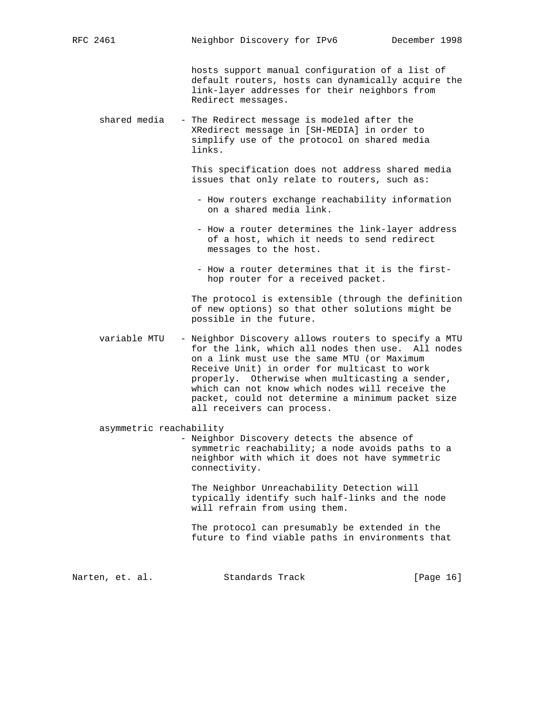hosts support manual configuration of a list of default routers, hosts can dynamically acquire the link-layer addresses for their neighbors from Redirect messages.

 shared media - The Redirect message is modeled after the XRedirect message in [SH-MEDIA] in order to simplify use of the protocol on shared media links.

> This specification does not address shared media issues that only relate to routers, such as:

- How routers exchange reachability information on a shared media link.
- How a router determines the link-layer address of a host, which it needs to send redirect messages to the host.
- How a router determines that it is the first hop router for a received packet.

 The protocol is extensible (through the definition of new options) so that other solutions might be possible in the future.

 variable MTU - Neighbor Discovery allows routers to specify a MTU for the link, which all nodes then use. All nodes on a link must use the same MTU (or Maximum Receive Unit) in order for multicast to work properly. Otherwise when multicasting a sender, which can not know which nodes will receive the packet, could not determine a minimum packet size all receivers can process.

#### asymmetric reachability

 - Neighbor Discovery detects the absence of symmetric reachability; a node avoids paths to a neighbor with which it does not have symmetric connectivity.

 The Neighbor Unreachability Detection will typically identify such half-links and the node will refrain from using them.

 The protocol can presumably be extended in the future to find viable paths in environments that

Narten, et. al. Standards Track [Page 16]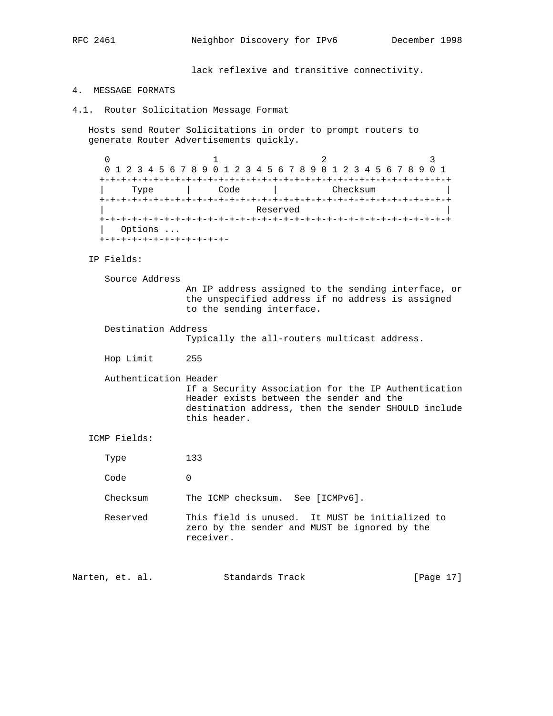lack reflexive and transitive connectivity.

- 4. MESSAGE FORMATS
- 4.1. Router Solicitation Message Format

 Hosts send Router Solicitations in order to prompt routers to generate Router Advertisements quickly.

0  $1$   $2$   $3$  0 1 2 3 4 5 6 7 8 9 0 1 2 3 4 5 6 7 8 9 0 1 2 3 4 5 6 7 8 9 0 1 +-+-+-+-+-+-+-+-+-+-+-+-+-+-+-+-+-+-+-+-+-+-+-+-+-+-+-+-+-+-+-+-+ Type | Code | Checksum +-+-+-+-+-+-+-+-+-+-+-+-+-+-+-+-+-+-+-+-+-+-+-+-+-+-+-+-+-+-+-+-+ Reserved +-+-+-+-+-+-+-+-+-+-+-+-+-+-+-+-+-+-+-+-+-+-+-+-+-+-+-+-+-+-+-+-+ | Options ... +-+-+-+-+-+-+-+-+-+-+-+-

IP Fields:

Source Address

 An IP address assigned to the sending interface, or the unspecified address if no address is assigned to the sending interface.

 Destination Address Typically the all-routers multicast address.

Hop Limit 255

Authentication Header

 If a Security Association for the IP Authentication Header exists between the sender and the destination address, then the sender SHOULD include this header.

ICMP Fields:

| Type     | 133                                                                                                           |
|----------|---------------------------------------------------------------------------------------------------------------|
| Code     | 0                                                                                                             |
| Checksum | The ICMP checksum. See [ICMPv6].                                                                              |
| Reserved | This field is unused. It MUST be initialized to<br>zero by the sender and MUST be ignored by the<br>receiver. |

Narten, et. al. Standards Track [Page 17]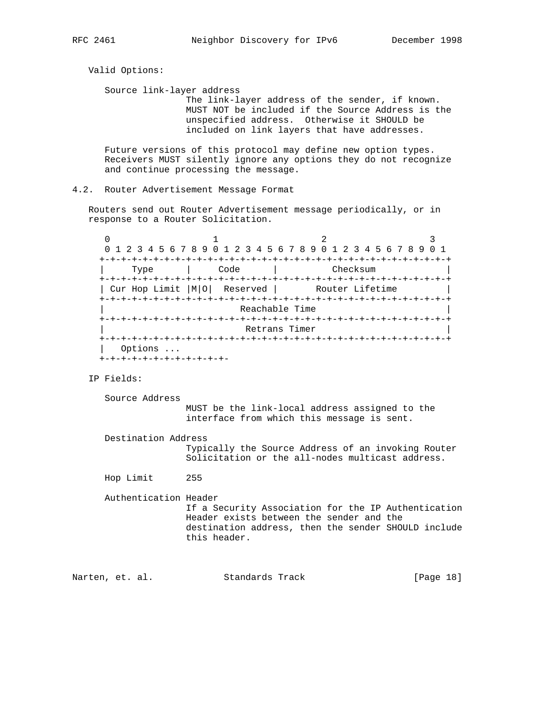Valid Options:

 Source link-layer address The link-layer address of the sender, if known. MUST NOT be included if the Source Address is the unspecified address. Otherwise it SHOULD be included on link layers that have addresses.

 Future versions of this protocol may define new option types. Receivers MUST silently ignore any options they do not recognize and continue processing the message.

# 4.2. Router Advertisement Message Format

 Routers send out Router Advertisement message periodically, or in response to a Router Solicitation.

 $0$  and  $1$  and  $2$  3 0 1 2 3 4 5 6 7 8 9 0 1 2 3 4 5 6 7 8 9 0 1 2 3 4 5 6 7 8 9 0 1 +-+-+-+-+-+-+-+-+-+-+-+-+-+-+-+-+-+-+-+-+-+-+-+-+-+-+-+-+-+-+-+-+ | Type | Code | Checksum | +-+-+-+-+-+-+-+-+-+-+-+-+-+-+-+-+-+-+-+-+-+-+-+-+-+-+-+-+-+-+-+-+ | Cur Hop Limit | M| 0| Reserved | Router Lifetime +-+-+-+-+-+-+-+-+-+-+-+-+-+-+-+-+-+-+-+-+-+-+-+-+-+-+-+-+-+-+-+-+ Reachable Time +-+-+-+-+-+-+-+-+-+-+-+-+-+-+-+-+-+-+-+-+-+-+-+-+-+-+-+-+-+-+-+-+ Retrans Timer +-+-+-+-+-+-+-+-+-+-+-+-+-+-+-+-+-+-+-+-+-+-+-+-+-+-+-+-+-+-+-+-+ | Options ... +-+-+-+-+-+-+-+-+-+-+-+-

IP Fields:

 Source Address MUST be the link-local address assigned to the interface from which this message is sent.

 Destination Address Typically the Source Address of an invoking Router Solicitation or the all-nodes multicast address.

Hop Limit 255

 Authentication Header If a Security Association for the IP Authentication Header exists between the sender and the destination address, then the sender SHOULD include this header.

Narten, et. al. Standards Track [Page 18]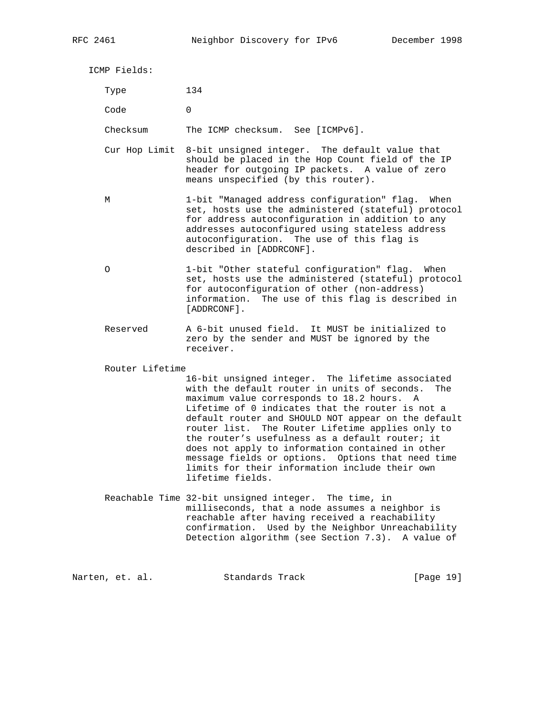ICMP Fields:

Type 134

Code 0

Checksum The ICMP checksum. See [ICMPv6].

- Cur Hop Limit 8-bit unsigned integer. The default value that should be placed in the Hop Count field of the IP header for outgoing IP packets. A value of zero means unspecified (by this router).
- M 1-bit "Managed address configuration" flag. When set, hosts use the administered (stateful) protocol for address autoconfiguration in addition to any addresses autoconfigured using stateless address autoconfiguration. The use of this flag is described in [ADDRCONF].
- O 1-bit "Other stateful configuration" flag. When set, hosts use the administered (stateful) protocol for autoconfiguration of other (non-address) information. The use of this flag is described in [ADDRCONF].
- Reserved A 6-bit unused field. It MUST be initialized to zero by the sender and MUST be ignored by the receiver.

Router Lifetime

 16-bit unsigned integer. The lifetime associated with the default router in units of seconds. The maximum value corresponds to 18.2 hours. A Lifetime of 0 indicates that the router is not a default router and SHOULD NOT appear on the default router list. The Router Lifetime applies only to the router's usefulness as a default router; it does not apply to information contained in other message fields or options. Options that need time limits for their information include their own lifetime fields.

 Reachable Time 32-bit unsigned integer. The time, in milliseconds, that a node assumes a neighbor is reachable after having received a reachability confirmation. Used by the Neighbor Unreachability Detection algorithm (see Section 7.3). A value of

Narten, et. al. Standards Track [Page 19]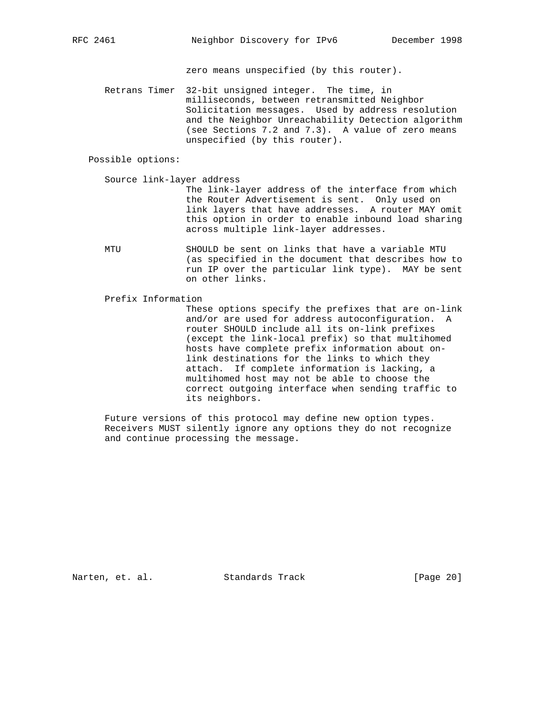zero means unspecified (by this router).

 Retrans Timer 32-bit unsigned integer. The time, in milliseconds, between retransmitted Neighbor Solicitation messages. Used by address resolution and the Neighbor Unreachability Detection algorithm (see Sections 7.2 and 7.3). A value of zero means unspecified (by this router).

Possible options:

Source link-layer address

 The link-layer address of the interface from which the Router Advertisement is sent. Only used on link layers that have addresses. A router MAY omit this option in order to enable inbound load sharing across multiple link-layer addresses.

- MTU SHOULD be sent on links that have a variable MTU (as specified in the document that describes how to run IP over the particular link type). MAY be sent on other links.
- Prefix Information

 These options specify the prefixes that are on-link and/or are used for address autoconfiguration. A router SHOULD include all its on-link prefixes (except the link-local prefix) so that multihomed hosts have complete prefix information about on link destinations for the links to which they attach. If complete information is lacking, a multihomed host may not be able to choose the correct outgoing interface when sending traffic to its neighbors.

 Future versions of this protocol may define new option types. Receivers MUST silently ignore any options they do not recognize and continue processing the message.

Narten, et. al. Standards Track [Page 20]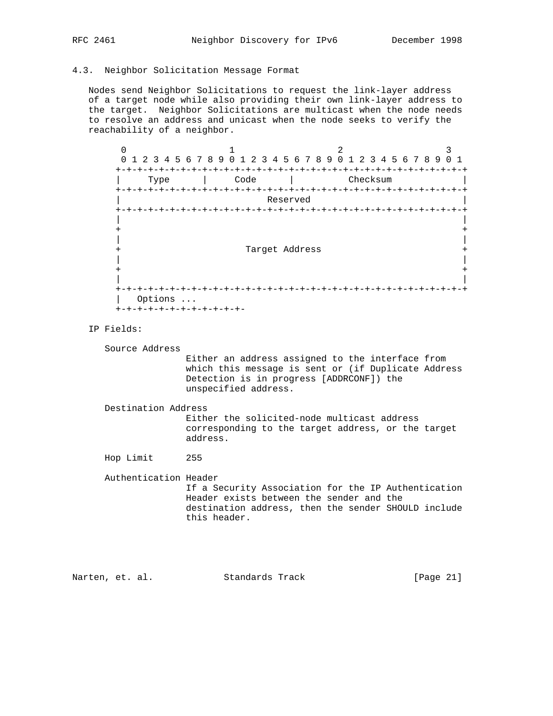## 4.3. Neighbor Solicitation Message Format

 Nodes send Neighbor Solicitations to request the link-layer address of a target node while also providing their own link-layer address to the target. Neighbor Solicitations are multicast when the node needs to resolve an address and unicast when the node seeks to verify the reachability of a neighbor.

 $0$  1 2 3 0 1 2 3 4 5 6 7 8 9 0 1 2 3 4 5 6 7 8 9 0 1 2 3 4 5 6 7 8 9 0 1 +-+-+-+-+-+-+-+-+-+-+-+-+-+-+-+-+-+-+-+-+-+-+-+-+-+-+-+-+-+-+-+-+ Type | Code | Checksum +-+-+-+-+-+-+-+-+-+-+-+-+-+-+-+-+-+-+-+-+-+-+-+-+-+-+-+-+-+-+-+-+ Reserved +-+-+-+-+-+-+-+-+-+-+-+-+-+-+-+-+-+-+-+-+-+-+-+-+-+-+-+-+-+-+-+-+ | | + + | | + Target Address + | | + + | | +-+-+-+-+-+-+-+-+-+-+-+-+-+-+-+-+-+-+-+-+-+-+-+-+-+-+-+-+-+-+-+-+ | Options ... +-+-+-+-+-+-+-+-+-+-+-+-

### IP Fields:

Source Address

 Either an address assigned to the interface from which this message is sent or (if Duplicate Address Detection is in progress [ADDRCONF]) the unspecified address.

 Destination Address Either the solicited-node multicast address corresponding to the target address, or the target address.

Hop Limit 255

 Authentication Header If a Security Association for the IP Authentication Header exists between the sender and the destination address, then the sender SHOULD include this header.

Narten, et. al. Standards Track [Page 21]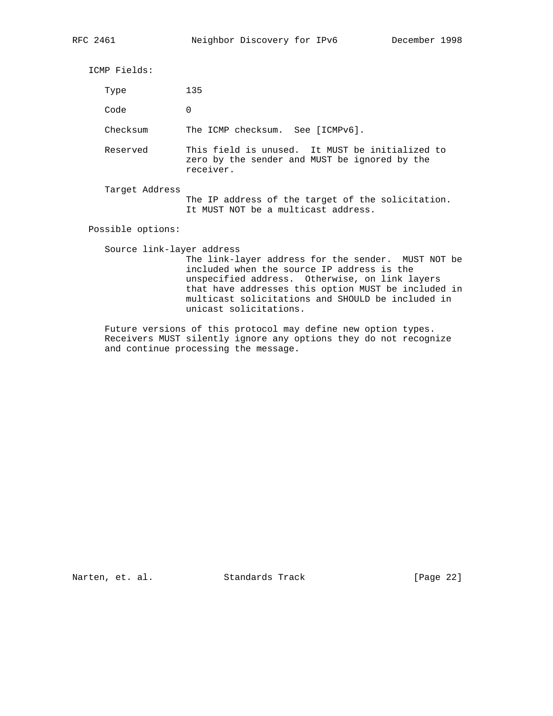ICMP Fields:

| Type | 135 |
|------|-----|
|      |     |

Code 0

Checksum The ICMP checksum. See [ICMPv6].

- Reserved This field is unused. It MUST be initialized to zero by the sender and MUST be ignored by the receiver.
- Target Address The IP address of the target of the solicitation. It MUST NOT be a multicast address.

Possible options:

Source link-layer address

 The link-layer address for the sender. MUST NOT be included when the source IP address is the unspecified address. Otherwise, on link layers that have addresses this option MUST be included in multicast solicitations and SHOULD be included in unicast solicitations.

 Future versions of this protocol may define new option types. Receivers MUST silently ignore any options they do not recognize and continue processing the message.

Narten, et. al. Standards Track [Page 22]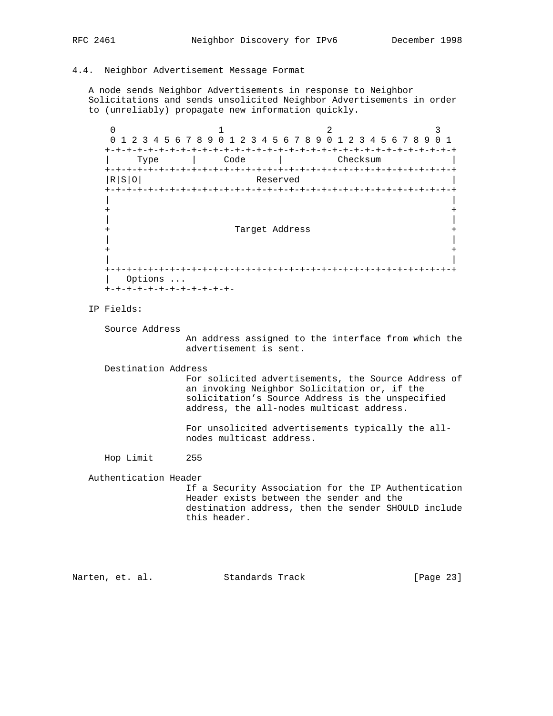# 4.4. Neighbor Advertisement Message Format

 A node sends Neighbor Advertisements in response to Neighbor Solicitations and sends unsolicited Neighbor Advertisements in order to (unreliably) propagate new information quickly.

 $0$  1 2 3 0 1 2 3 4 5 6 7 8 9 0 1 2 3 4 5 6 7 8 9 0 1 2 3 4 5 6 7 8 9 0 1 +-+-+-+-+-+-+-+-+-+-+-+-+-+-+-+-+-+-+-+-+-+-+-+-+-+-+-+-+-+-+-+-+ | Type | Code | Checksum | +-+-+-+-+-+-+-+-+-+-+-+-+-+-+-+-+-+-+-+-+-+-+-+-+-+-+-+-+-+-+-+-+ |R|S|O| Reserved | +-+-+-+-+-+-+-+-+-+-+-+-+-+-+-+-+-+-+-+-+-+-+-+-+-+-+-+-+-+-+-+-+ | | + + | | + Target Address + | | + + | | +-+-+-+-+-+-+-+-+-+-+-+-+-+-+-+-+-+-+-+-+-+-+-+-+-+-+-+-+-+-+-+-+ | Options ... +-+-+-+-+-+-+-+-+-+-+-+-

IP Fields:

Source Address

 An address assigned to the interface from which the advertisement is sent.

Destination Address

 For solicited advertisements, the Source Address of an invoking Neighbor Solicitation or, if the solicitation's Source Address is the unspecified address, the all-nodes multicast address.

 For unsolicited advertisements typically the all nodes multicast address.

Hop Limit 255

Authentication Header

 If a Security Association for the IP Authentication Header exists between the sender and the destination address, then the sender SHOULD include this header.

Narten, et. al. Standards Track [Page 23]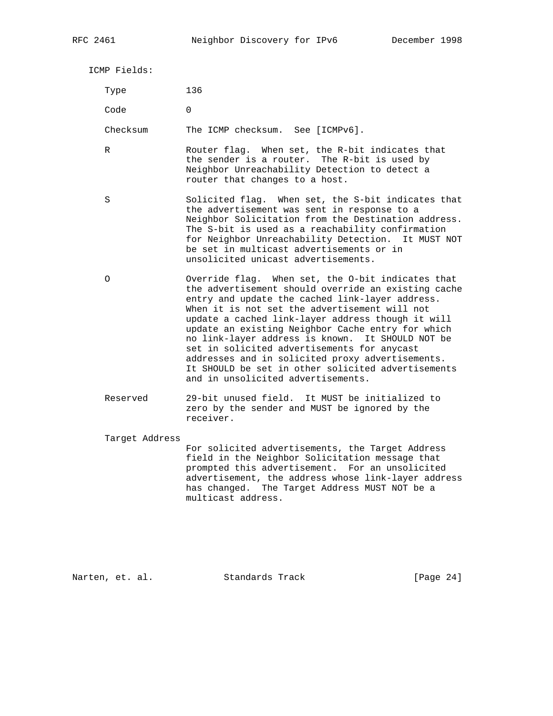ICMP Fields:

Type 136

Code 0

Checksum The ICMP checksum. See [ICMPv6].

- R Router flag. When set, the R-bit indicates that the sender is a router. The R-bit is used by Neighbor Unreachability Detection to detect a router that changes to a host.
- S Solicited flag. When set, the S-bit indicates that the advertisement was sent in response to a Neighbor Solicitation from the Destination address. The S-bit is used as a reachability confirmation for Neighbor Unreachability Detection. It MUST NOT be set in multicast advertisements or in unsolicited unicast advertisements.
- O Override flag. When set, the O-bit indicates that the advertisement should override an existing cache entry and update the cached link-layer address. When it is not set the advertisement will not update a cached link-layer address though it will update an existing Neighbor Cache entry for which no link-layer address is known. It SHOULD NOT be set in solicited advertisements for anycast addresses and in solicited proxy advertisements. It SHOULD be set in other solicited advertisements and in unsolicited advertisements.
- Reserved 29-bit unused field. It MUST be initialized to zero by the sender and MUST be ignored by the receiver.

Target Address

 For solicited advertisements, the Target Address field in the Neighbor Solicitation message that prompted this advertisement. For an unsolicited advertisement, the address whose link-layer address has changed. The Target Address MUST NOT be a multicast address.

Narten, et. al. Standards Track [Page 24]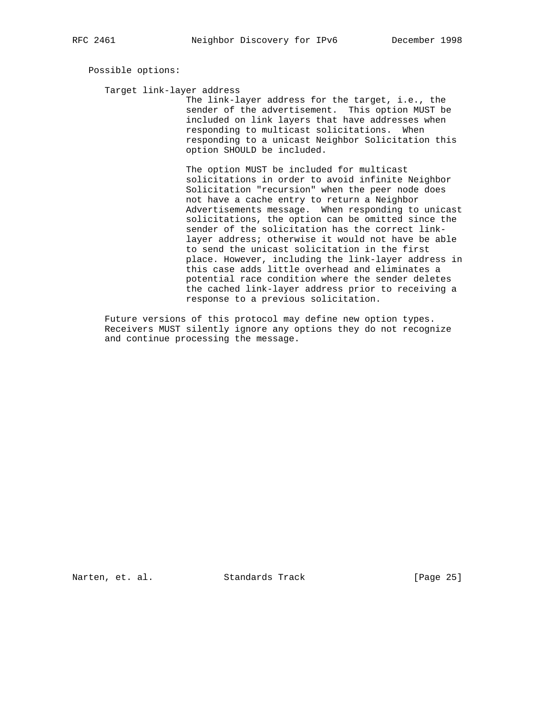Possible options:

Target link-layer address

 The link-layer address for the target, i.e., the sender of the advertisement. This option MUST be included on link layers that have addresses when responding to multicast solicitations. When responding to a unicast Neighbor Solicitation this option SHOULD be included.

 The option MUST be included for multicast solicitations in order to avoid infinite Neighbor Solicitation "recursion" when the peer node does not have a cache entry to return a Neighbor Advertisements message. When responding to unicast solicitations, the option can be omitted since the sender of the solicitation has the correct link layer address; otherwise it would not have be able to send the unicast solicitation in the first place. However, including the link-layer address in this case adds little overhead and eliminates a potential race condition where the sender deletes the cached link-layer address prior to receiving a response to a previous solicitation.

 Future versions of this protocol may define new option types. Receivers MUST silently ignore any options they do not recognize and continue processing the message.

Narten, et. al. Standards Track [Page 25]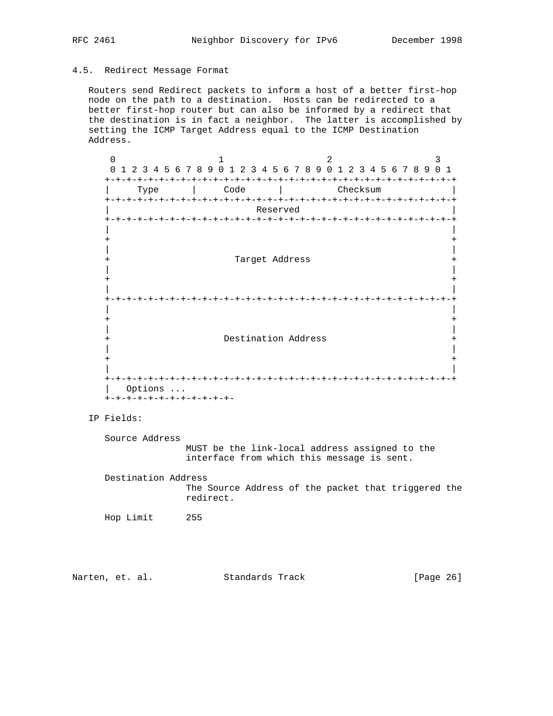# 4.5. Redirect Message Format

 Routers send Redirect packets to inform a host of a better first-hop node on the path to a destination. Hosts can be redirected to a better first-hop router but can also be informed by a redirect that the destination is in fact a neighbor. The latter is accomplished by setting the ICMP Target Address equal to the ICMP Destination Address.

 $0$  1 2 3 0 1 2 3 4 5 6 7 8 9 0 1 2 3 4 5 6 7 8 9 0 1 2 3 4 5 6 7 8 9 0 1 +-+-+-+-+-+-+-+-+-+-+-+-+-+-+-+-+-+-+-+-+-+-+-+-+-+-+-+-+-+-+-+-+ Type | Code | Checksum +-+-+-+-+-+-+-+-+-+-+-+-+-+-+-+-+-+-+-+-+-+-+-+-+-+-+-+-+-+-+-+-+ Reserved +-+-+-+-+-+-+-+-+-+-+-+-+-+-+-+-+-+-+-+-+-+-+-+-+-+-+-+-+-+-+-+-+ | | + + | | Target Address | | + + | | +-+-+-+-+-+-+-+-+-+-+-+-+-+-+-+-+-+-+-+-+-+-+-+-+-+-+-+-+-+-+-+-+ | | + + | | Destination Address + | | + + | | +-+-+-+-+-+-+-+-+-+-+-+-+-+-+-+-+-+-+-+-+-+-+-+-+-+-+-+-+-+-+-+-+ | Options ... +-+-+-+-+-+-+-+-+-+-+-+-

IP Fields:

 Source Address MUST be the link-local address assigned to the interface from which this message is sent.

 Destination Address The Source Address of the packet that triggered the redirect.

Hop Limit 255

Narten, et. al. Standards Track [Page 26]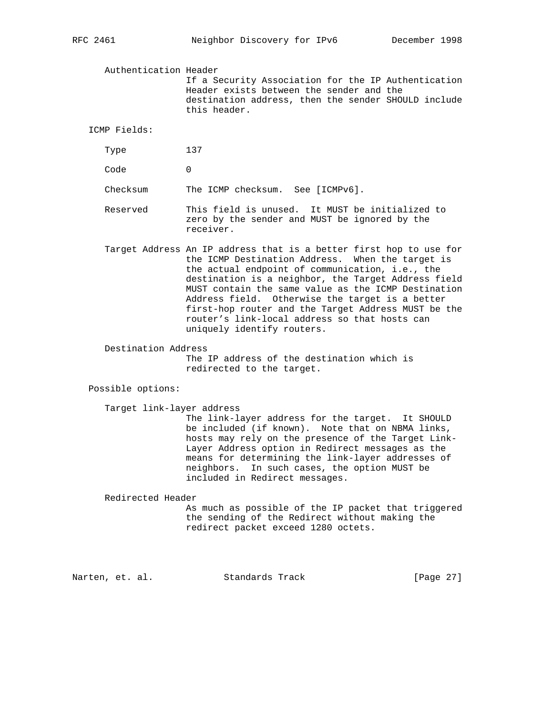Authentication Header If a Security Association for the IP Authentication Header exists between the sender and the destination address, then the sender SHOULD include this header.

ICMP Fields:

Type 137

Code 0

Checksum The ICMP checksum. See [ICMPv6].

 Reserved This field is unused. It MUST be initialized to zero by the sender and MUST be ignored by the receiver.

 Target Address An IP address that is a better first hop to use for the ICMP Destination Address. When the target is the actual endpoint of communication, i.e., the destination is a neighbor, the Target Address field MUST contain the same value as the ICMP Destination Address field. Otherwise the target is a better first-hop router and the Target Address MUST be the router's link-local address so that hosts can uniquely identify routers.

 Destination Address The IP address of the destination which is redirected to the target.

Possible options:

 Target link-layer address The link-layer address for the target. It SHOULD be included (if known). Note that on NBMA links, hosts may rely on the presence of the Target Link- Layer Address option in Redirect messages as the means for determining the link-layer addresses of neighbors. In such cases, the option MUST be included in Redirect messages.

Redirected Header

 As much as possible of the IP packet that triggered the sending of the Redirect without making the redirect packet exceed 1280 octets.

Narten, et. al. Standards Track [Page 27]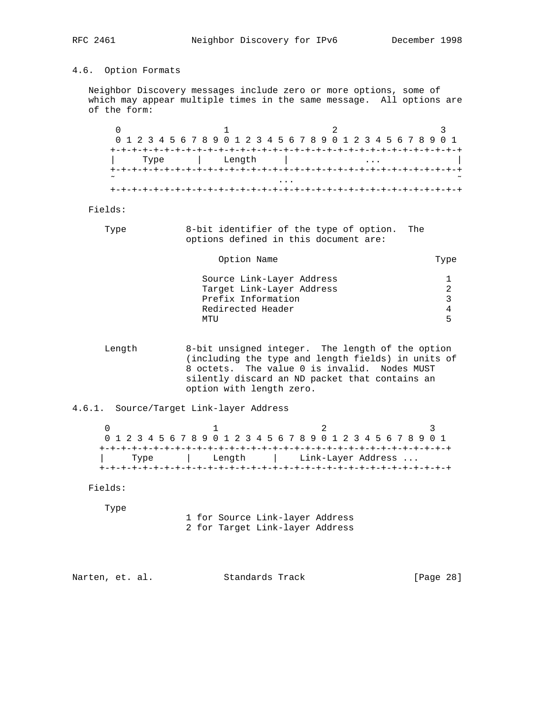# 4.6. Option Formats

 Neighbor Discovery messages include zero or more options, some of which may appear multiple times in the same message. All options are of the form:

|        |  |      |  |  |  |  |        |  |          |  |  |  |          |  | 0 1 2 3 4 5 6 7 8 9 0 1 2 3 4 5 6 7 8 9 0 1 2 3 4 5 6 7 8 9 0 1 |  |  |
|--------|--|------|--|--|--|--|--------|--|----------|--|--|--|----------|--|-----------------------------------------------------------------|--|--|
|        |  |      |  |  |  |  |        |  |          |  |  |  |          |  |                                                                 |  |  |
|        |  | Type |  |  |  |  | Length |  |          |  |  |  | $\cdots$ |  |                                                                 |  |  |
|        |  |      |  |  |  |  |        |  |          |  |  |  |          |  |                                                                 |  |  |
| $\sim$ |  |      |  |  |  |  |        |  | $\cdots$ |  |  |  |          |  |                                                                 |  |  |
|        |  |      |  |  |  |  |        |  |          |  |  |  |          |  |                                                                 |  |  |

# Fields:

 Type 8-bit identifier of the type of option. The options defined in this document are:

| Option Name<br>Type |  |
|---------------------|--|
|---------------------|--|

| Source Link-Layer Address |  |
|---------------------------|--|
| Target Link-Layer Address |  |
| Prefix Information        |  |
| Redirected Header         |  |
| MTTJ                      |  |

 Length 8-bit unsigned integer. The length of the option (including the type and length fields) in units of 8 octets. The value 0 is invalid. Nodes MUST silently discard an ND packet that contains an option with length zero.

# 4.6.1. Source/Target Link-layer Address

|  |  |      |  |  |  |  |        |  |  |  |  |  |  |  |                    | 0 1 2 3 4 5 6 7 8 9 0 1 2 3 4 5 6 7 8 9 0 1 2 3 4 5 6 7 8 9 0 1 |  |
|--|--|------|--|--|--|--|--------|--|--|--|--|--|--|--|--------------------|-----------------------------------------------------------------|--|
|  |  |      |  |  |  |  |        |  |  |  |  |  |  |  |                    |                                                                 |  |
|  |  | Type |  |  |  |  | Lenath |  |  |  |  |  |  |  | Link-Layer Address |                                                                 |  |
|  |  |      |  |  |  |  |        |  |  |  |  |  |  |  |                    |                                                                 |  |

Fields:

Type

 1 for Source Link-layer Address 2 for Target Link-layer Address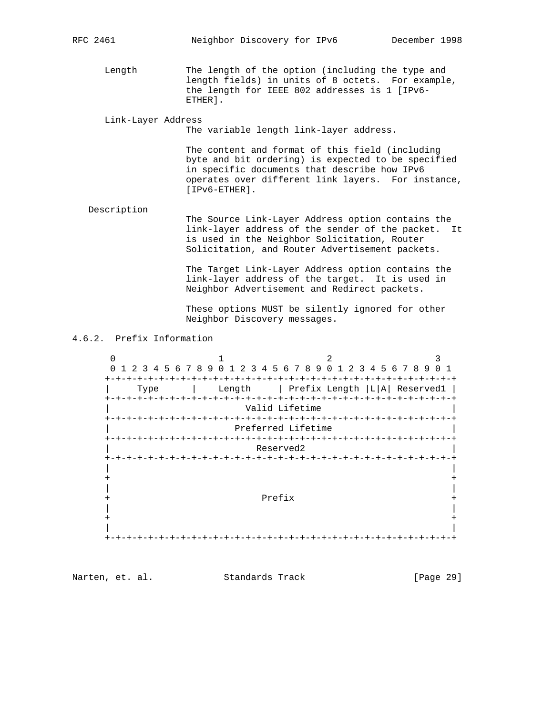Length The length of the option (including the type and length fields) in units of 8 octets. For example, the length for IEEE 802 addresses is 1 [IPv6- ETHER].

Link-Layer Address

The variable length link-layer address.

 The content and format of this field (including byte and bit ordering) is expected to be specified in specific documents that describe how IPv6 operates over different link layers. For instance, [IPv6-ETHER].

Description

 The Source Link-Layer Address option contains the link-layer address of the sender of the packet. It is used in the Neighbor Solicitation, Router Solicitation, and Router Advertisement packets.

 The Target Link-Layer Address option contains the link-layer address of the target. It is used in Neighbor Advertisement and Redirect packets.

 These options MUST be silently ignored for other Neighbor Discovery messages.

# 4.6.2. Prefix Information

|                 |                       |                    | 2   |                     |
|-----------------|-----------------------|--------------------|-----|---------------------|
| $\Omega$        | 1 2 3 4 5 6 7 8 9 0 1 | 2 3 4 5 6 7 8 9 0  |     | 2 3 4 5 6 7 8 9 0 1 |
|                 |                       |                    |     |                     |
| Type            | Length                | Prefix Length      | L A | Reserved1           |
| $+ - + - + - +$ |                       |                    |     |                     |
|                 |                       | Valid Lifetime     |     |                     |
|                 | $-+ - +$              | $+ - + - + - +$    |     | -+-+-+-+-+-         |
|                 |                       | Preferred Lifetime |     |                     |
|                 | $+ - + - + - +$       |                    |     |                     |
|                 |                       | Reserved2          |     |                     |
|                 |                       | -+-+-+-            |     |                     |
|                 |                       |                    |     |                     |
|                 |                       |                    |     |                     |
|                 |                       |                    |     |                     |
|                 |                       | Prefix             |     |                     |
|                 |                       |                    |     |                     |
|                 |                       |                    |     |                     |
|                 |                       |                    |     |                     |
|                 |                       |                    |     |                     |
|                 |                       |                    |     |                     |

Narten, et. al. Standards Track [Page 29]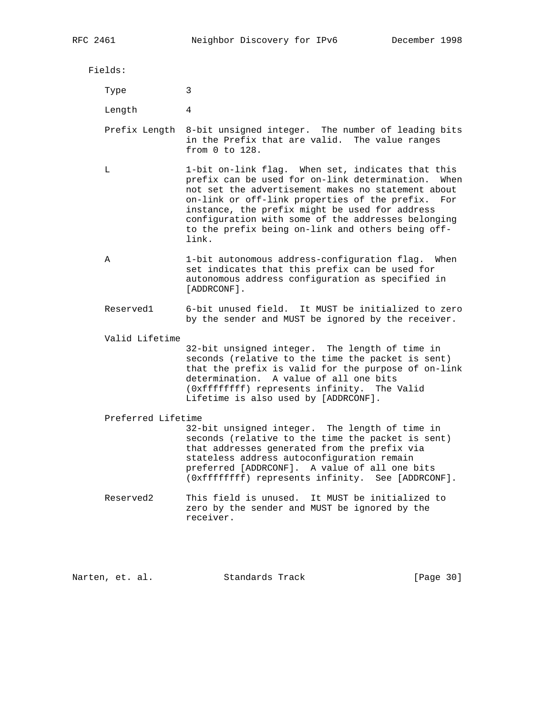Fields:

Type 3

Length 4

- Prefix Length 8-bit unsigned integer. The number of leading bits in the Prefix that are valid. The value ranges from 0 to 128.
- L 1-bit on-link flag. When set, indicates that this prefix can be used for on-link determination. When not set the advertisement makes no statement about on-link or off-link properties of the prefix. For instance, the prefix might be used for address configuration with some of the addresses belonging to the prefix being on-link and others being off link.
- A 1-bit autonomous address-configuration flag. When set indicates that this prefix can be used for autonomous address configuration as specified in [ADDRCONF].
- Reserved1 6-bit unused field. It MUST be initialized to zero by the sender and MUST be ignored by the receiver.

Valid Lifetime

 32-bit unsigned integer. The length of time in seconds (relative to the time the packet is sent) that the prefix is valid for the purpose of on-link determination. A value of all one bits (0xffffffff) represents infinity. The Valid Lifetime is also used by [ADDRCONF].

- Preferred Lifetime 32-bit unsigned integer. The length of time in seconds (relative to the time the packet is sent) that addresses generated from the prefix via stateless address autoconfiguration remain preferred [ADDRCONF]. A value of all one bits (0xffffffff) represents infinity. See [ADDRCONF].
- Reserved2 This field is unused. It MUST be initialized to zero by the sender and MUST be ignored by the receiver.

Narten, et. al. Standards Track [Page 30]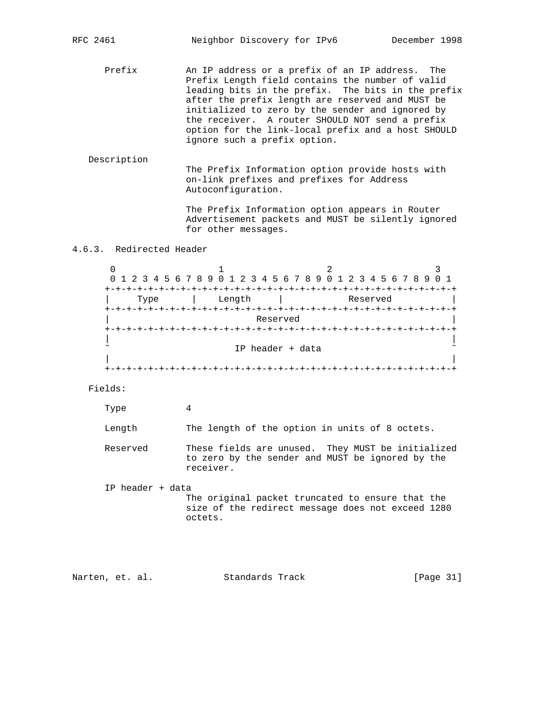RFC 2461 Neighbor Discovery for IPv6 December 1998 Prefix An IP address or a prefix of an IP address. The Prefix Length field contains the number of valid leading bits in the prefix. The bits in the prefix after the prefix length are reserved and MUST be initialized to zero by the sender and ignored by the receiver. A router SHOULD NOT send a prefix option for the link-local prefix and a host SHOULD ignore such a prefix option. Description

 The Prefix Information option provide hosts with on-link prefixes and prefixes for Address Autoconfiguration.

> The Prefix Information option appears in Router Advertisement packets and MUST be silently ignored for other messages.

# 4.6.3. Redirected Header

|             | 0 1 2 3 4 5 6 7 8 9 0 1 2 3 4 5 6 7 8 9 0 1 2 3 4 5 6 7 8 9 |                    |          |  |
|-------------|-------------------------------------------------------------|--------------------|----------|--|
| Type        | Length                                                      |                    | Reserved |  |
|             |                                                             | Reserved           |          |  |
| $+-+--$     |                                                             | -+-+-+-+-+-+       |          |  |
|             |                                                             | IP header $+$ data |          |  |
| $+ - + - +$ |                                                             |                    |          |  |

## Fields:

Type 4

Length The length of the option in units of 8 octets.

 Reserved These fields are unused. They MUST be initialized to zero by the sender and MUST be ignored by the receiver.

 IP header + data The original packet truncated to ensure that the size of the redirect message does not exceed 1280 octets.

Narten, et. al. Standards Track [Page 31]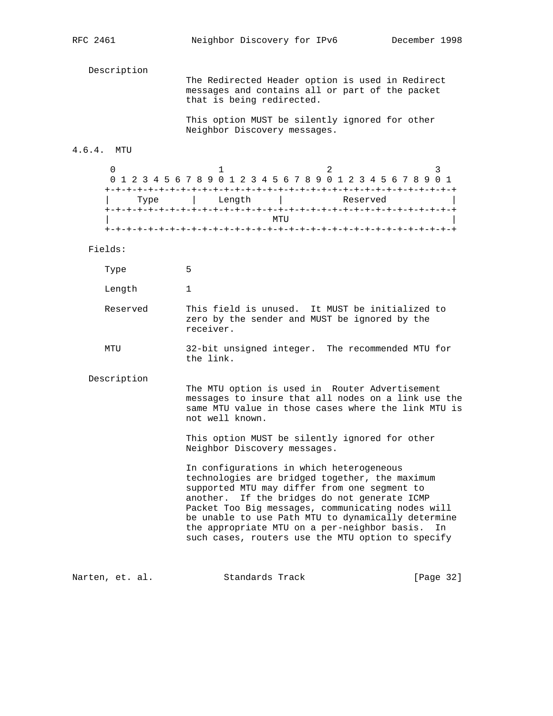Description

 The Redirected Header option is used in Redirect messages and contains all or part of the packet that is being redirected.

 This option MUST be silently ignored for other Neighbor Discovery messages.

## 4.6.4. MTU

|                |      |  |  |  |  |  |          |  | 0 1 2 3 4 5 6 7 8 9 0 1 2 3 4 5 6 7 8 9 0 1 2 3 4 5 6 7 8 9 0 1 |  |  |  |  |  |  |  |  |  |  |  |  |  |  |  |  |  |
|----------------|------|--|--|--|--|--|----------|--|-----------------------------------------------------------------|--|--|--|--|--|--|--|--|--|--|--|--|--|--|--|--|--|
|                |      |  |  |  |  |  |          |  |                                                                 |  |  |  |  |  |  |  |  |  |  |  |  |  |  |  |  |  |
| Length<br>Type |      |  |  |  |  |  | Reserved |  |                                                                 |  |  |  |  |  |  |  |  |  |  |  |  |  |  |  |  |  |
|                |      |  |  |  |  |  |          |  |                                                                 |  |  |  |  |  |  |  |  |  |  |  |  |  |  |  |  |  |
|                | MTTI |  |  |  |  |  |          |  |                                                                 |  |  |  |  |  |  |  |  |  |  |  |  |  |  |  |  |  |
|                |      |  |  |  |  |  |          |  |                                                                 |  |  |  |  |  |  |  |  |  |  |  |  |  |  |  |  |  |

# Fields:

| Type | ↳ |
|------|---|
|      |   |

Length 1

- Reserved This field is unused. It MUST be initialized to zero by the sender and MUST be ignored by the receiver.
- MTU 32-bit unsigned integer. The recommended MTU for the link.

#### Description

 The MTU option is used in Router Advertisement messages to insure that all nodes on a link use the same MTU value in those cases where the link MTU is not well known.

> This option MUST be silently ignored for other Neighbor Discovery messages.

 In configurations in which heterogeneous technologies are bridged together, the maximum supported MTU may differ from one segment to another. If the bridges do not generate ICMP Packet Too Big messages, communicating nodes will be unable to use Path MTU to dynamically determine the appropriate MTU on a per-neighbor basis. In such cases, routers use the MTU option to specify

Narten, et. al. Standards Track [Page 32]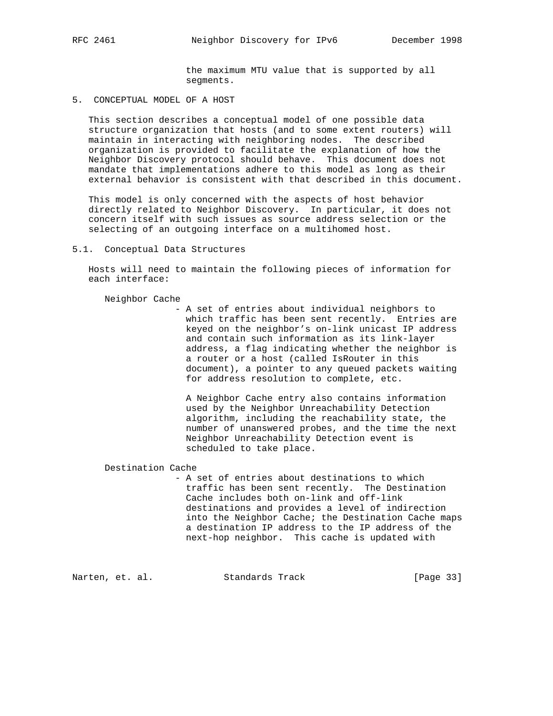the maximum MTU value that is supported by all segments.

5. CONCEPTUAL MODEL OF A HOST

 This section describes a conceptual model of one possible data structure organization that hosts (and to some extent routers) will maintain in interacting with neighboring nodes. The described organization is provided to facilitate the explanation of how the Neighbor Discovery protocol should behave. This document does not mandate that implementations adhere to this model as long as their external behavior is consistent with that described in this document.

 This model is only concerned with the aspects of host behavior directly related to Neighbor Discovery. In particular, it does not concern itself with such issues as source address selection or the selecting of an outgoing interface on a multihomed host.

## 5.1. Conceptual Data Structures

 Hosts will need to maintain the following pieces of information for each interface:

Neighbor Cache

 - A set of entries about individual neighbors to which traffic has been sent recently. Entries are keyed on the neighbor's on-link unicast IP address and contain such information as its link-layer address, a flag indicating whether the neighbor is a router or a host (called IsRouter in this document), a pointer to any queued packets waiting for address resolution to complete, etc.

 A Neighbor Cache entry also contains information used by the Neighbor Unreachability Detection algorithm, including the reachability state, the number of unanswered probes, and the time the next Neighbor Unreachability Detection event is scheduled to take place.

Destination Cache

 - A set of entries about destinations to which traffic has been sent recently. The Destination Cache includes both on-link and off-link destinations and provides a level of indirection into the Neighbor Cache; the Destination Cache maps a destination IP address to the IP address of the next-hop neighbor. This cache is updated with

Narten, et. al. Standards Track [Page 33]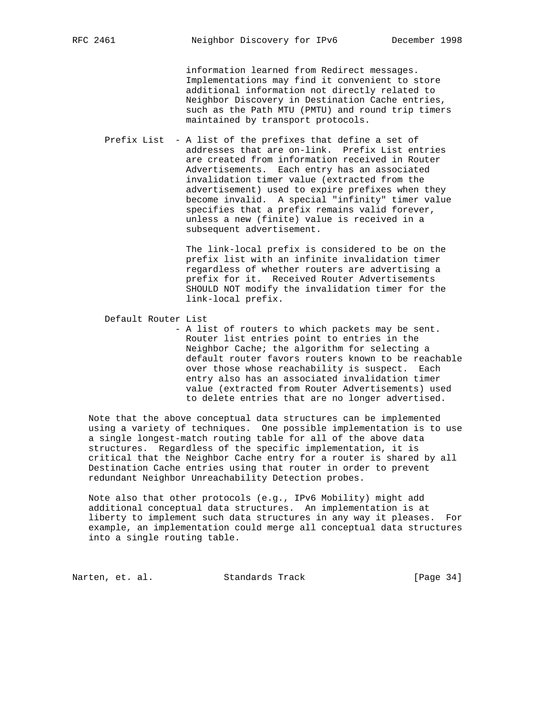information learned from Redirect messages. Implementations may find it convenient to store additional information not directly related to Neighbor Discovery in Destination Cache entries, such as the Path MTU (PMTU) and round trip timers maintained by transport protocols.

 Prefix List - A list of the prefixes that define a set of addresses that are on-link. Prefix List entries are created from information received in Router Advertisements. Each entry has an associated invalidation timer value (extracted from the advertisement) used to expire prefixes when they become invalid. A special "infinity" timer value specifies that a prefix remains valid forever, unless a new (finite) value is received in a subsequent advertisement.

> The link-local prefix is considered to be on the prefix list with an infinite invalidation timer regardless of whether routers are advertising a prefix for it. Received Router Advertisements SHOULD NOT modify the invalidation timer for the link-local prefix.

 Default Router List - A list of routers to which packets may be sent. Router list entries point to entries in the Neighbor Cache; the algorithm for selecting a default router favors routers known to be reachable over those whose reachability is suspect. Each entry also has an associated invalidation timer value (extracted from Router Advertisements) used to delete entries that are no longer advertised.

 Note that the above conceptual data structures can be implemented using a variety of techniques. One possible implementation is to use a single longest-match routing table for all of the above data structures. Regardless of the specific implementation, it is critical that the Neighbor Cache entry for a router is shared by all Destination Cache entries using that router in order to prevent redundant Neighbor Unreachability Detection probes.

 Note also that other protocols (e.g., IPv6 Mobility) might add additional conceptual data structures. An implementation is at liberty to implement such data structures in any way it pleases. For example, an implementation could merge all conceptual data structures into a single routing table.

Narten, et. al. Standards Track [Page 34]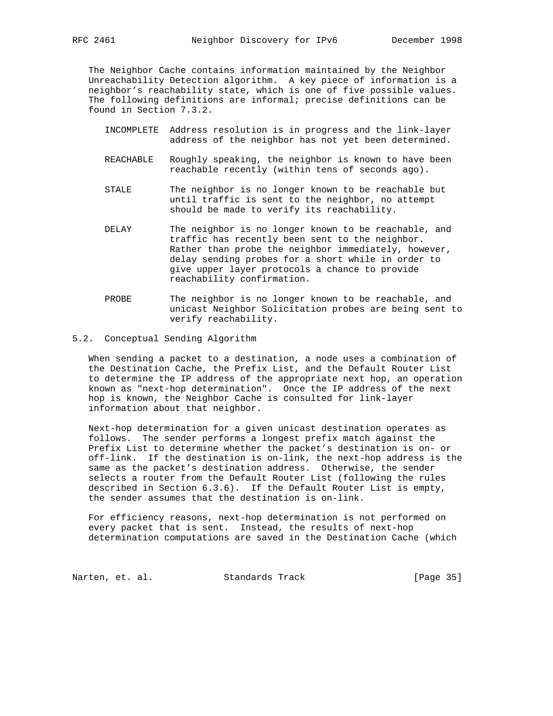The Neighbor Cache contains information maintained by the Neighbor Unreachability Detection algorithm. A key piece of information is a neighbor's reachability state, which is one of five possible values. The following definitions are informal; precise definitions can be found in Section 7.3.2.

- INCOMPLETE Address resolution is in progress and the link-layer address of the neighbor has not yet been determined.
- REACHABLE Roughly speaking, the neighbor is known to have been reachable recently (within tens of seconds ago).
- STALE The neighbor is no longer known to be reachable but until traffic is sent to the neighbor, no attempt should be made to verify its reachability.
- DELAY The neighbor is no longer known to be reachable, and traffic has recently been sent to the neighbor. Rather than probe the neighbor immediately, however, delay sending probes for a short while in order to give upper layer protocols a chance to provide reachability confirmation.
- PROBE The neighbor is no longer known to be reachable, and unicast Neighbor Solicitation probes are being sent to verify reachability.

# 5.2. Conceptual Sending Algorithm

 When sending a packet to a destination, a node uses a combination of the Destination Cache, the Prefix List, and the Default Router List to determine the IP address of the appropriate next hop, an operation known as "next-hop determination". Once the IP address of the next hop is known, the Neighbor Cache is consulted for link-layer information about that neighbor.

 Next-hop determination for a given unicast destination operates as follows. The sender performs a longest prefix match against the Prefix List to determine whether the packet's destination is on- or off-link. If the destination is on-link, the next-hop address is the same as the packet's destination address. Otherwise, the sender selects a router from the Default Router List (following the rules described in Section 6.3.6). If the Default Router List is empty, the sender assumes that the destination is on-link.

 For efficiency reasons, next-hop determination is not performed on every packet that is sent. Instead, the results of next-hop determination computations are saved in the Destination Cache (which

Narten, et. al. Standards Track [Page 35]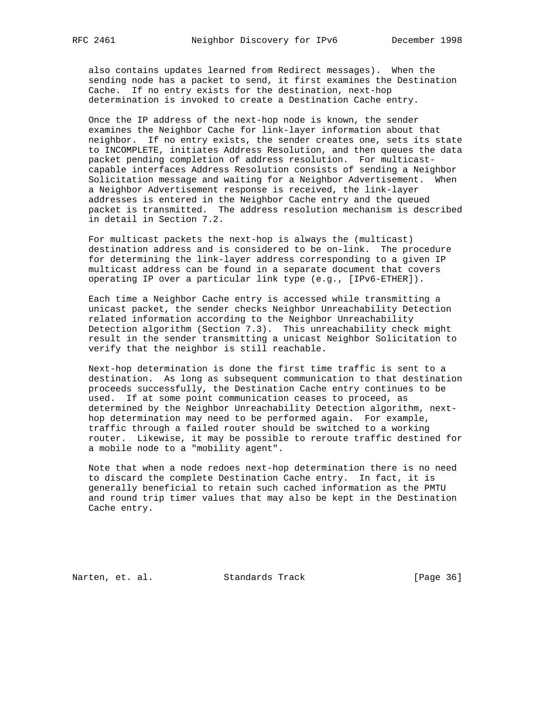also contains updates learned from Redirect messages). When the sending node has a packet to send, it first examines the Destination Cache. If no entry exists for the destination, next-hop determination is invoked to create a Destination Cache entry.

 Once the IP address of the next-hop node is known, the sender examines the Neighbor Cache for link-layer information about that neighbor. If no entry exists, the sender creates one, sets its state to INCOMPLETE, initiates Address Resolution, and then queues the data packet pending completion of address resolution. For multicast capable interfaces Address Resolution consists of sending a Neighbor Solicitation message and waiting for a Neighbor Advertisement. When a Neighbor Advertisement response is received, the link-layer addresses is entered in the Neighbor Cache entry and the queued packet is transmitted. The address resolution mechanism is described in detail in Section 7.2.

 For multicast packets the next-hop is always the (multicast) destination address and is considered to be on-link. The procedure for determining the link-layer address corresponding to a given IP multicast address can be found in a separate document that covers operating IP over a particular link type (e.g., [IPv6-ETHER]).

 Each time a Neighbor Cache entry is accessed while transmitting a unicast packet, the sender checks Neighbor Unreachability Detection related information according to the Neighbor Unreachability Detection algorithm (Section 7.3). This unreachability check might result in the sender transmitting a unicast Neighbor Solicitation to verify that the neighbor is still reachable.

 Next-hop determination is done the first time traffic is sent to a destination. As long as subsequent communication to that destination proceeds successfully, the Destination Cache entry continues to be used. If at some point communication ceases to proceed, as determined by the Neighbor Unreachability Detection algorithm, next hop determination may need to be performed again. For example, traffic through a failed router should be switched to a working router. Likewise, it may be possible to reroute traffic destined for a mobile node to a "mobility agent".

 Note that when a node redoes next-hop determination there is no need to discard the complete Destination Cache entry. In fact, it is generally beneficial to retain such cached information as the PMTU and round trip timer values that may also be kept in the Destination Cache entry.

Narten, et. al. Standards Track [Page 36]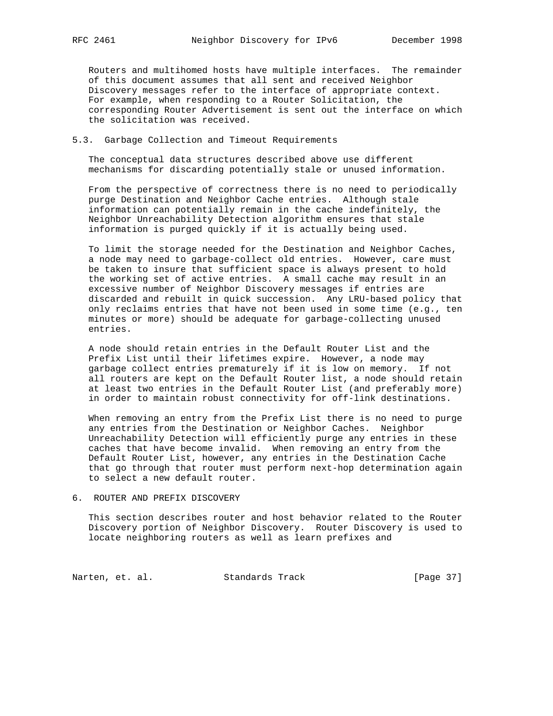Routers and multihomed hosts have multiple interfaces. The remainder of this document assumes that all sent and received Neighbor Discovery messages refer to the interface of appropriate context. For example, when responding to a Router Solicitation, the corresponding Router Advertisement is sent out the interface on which the solicitation was received.

# 5.3. Garbage Collection and Timeout Requirements

 The conceptual data structures described above use different mechanisms for discarding potentially stale or unused information.

 From the perspective of correctness there is no need to periodically purge Destination and Neighbor Cache entries. Although stale information can potentially remain in the cache indefinitely, the Neighbor Unreachability Detection algorithm ensures that stale information is purged quickly if it is actually being used.

 To limit the storage needed for the Destination and Neighbor Caches, a node may need to garbage-collect old entries. However, care must be taken to insure that sufficient space is always present to hold the working set of active entries. A small cache may result in an excessive number of Neighbor Discovery messages if entries are discarded and rebuilt in quick succession. Any LRU-based policy that only reclaims entries that have not been used in some time (e.g., ten minutes or more) should be adequate for garbage-collecting unused entries.

 A node should retain entries in the Default Router List and the Prefix List until their lifetimes expire. However, a node may garbage collect entries prematurely if it is low on memory. If not all routers are kept on the Default Router list, a node should retain at least two entries in the Default Router List (and preferably more) in order to maintain robust connectivity for off-link destinations.

 When removing an entry from the Prefix List there is no need to purge any entries from the Destination or Neighbor Caches. Neighbor Unreachability Detection will efficiently purge any entries in these caches that have become invalid. When removing an entry from the Default Router List, however, any entries in the Destination Cache that go through that router must perform next-hop determination again to select a new default router.

6. ROUTER AND PREFIX DISCOVERY

 This section describes router and host behavior related to the Router Discovery portion of Neighbor Discovery. Router Discovery is used to locate neighboring routers as well as learn prefixes and

Narten, et. al. Standards Track [Page 37]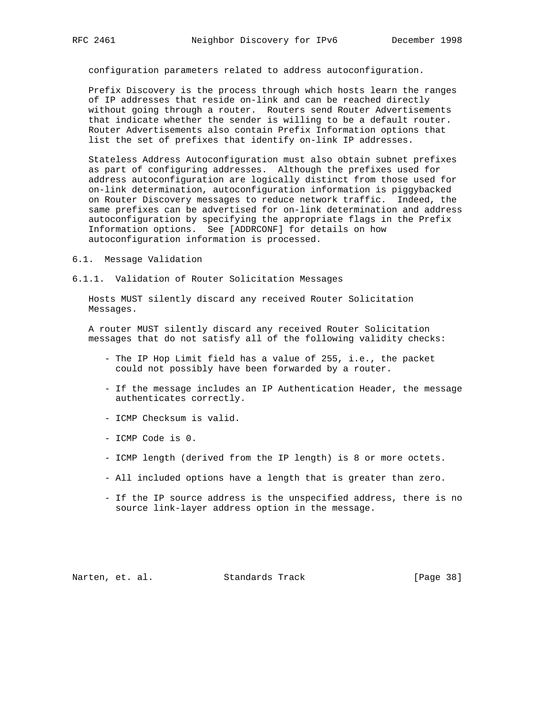configuration parameters related to address autoconfiguration.

 Prefix Discovery is the process through which hosts learn the ranges of IP addresses that reside on-link and can be reached directly without going through a router. Routers send Router Advertisements that indicate whether the sender is willing to be a default router. Router Advertisements also contain Prefix Information options that list the set of prefixes that identify on-link IP addresses.

 Stateless Address Autoconfiguration must also obtain subnet prefixes as part of configuring addresses. Although the prefixes used for address autoconfiguration are logically distinct from those used for on-link determination, autoconfiguration information is piggybacked on Router Discovery messages to reduce network traffic. Indeed, the same prefixes can be advertised for on-link determination and address autoconfiguration by specifying the appropriate flags in the Prefix Information options. See [ADDRCONF] for details on how autoconfiguration information is processed.

- 6.1. Message Validation
- 6.1.1. Validation of Router Solicitation Messages

 Hosts MUST silently discard any received Router Solicitation Messages.

 A router MUST silently discard any received Router Solicitation messages that do not satisfy all of the following validity checks:

- The IP Hop Limit field has a value of 255, i.e., the packet could not possibly have been forwarded by a router.
- If the message includes an IP Authentication Header, the message authenticates correctly.
- ICMP Checksum is valid.
- ICMP Code is 0.
- ICMP length (derived from the IP length) is 8 or more octets.
- All included options have a length that is greater than zero.
- If the IP source address is the unspecified address, there is no source link-layer address option in the message.

Narten, et. al. Standards Track [Page 38]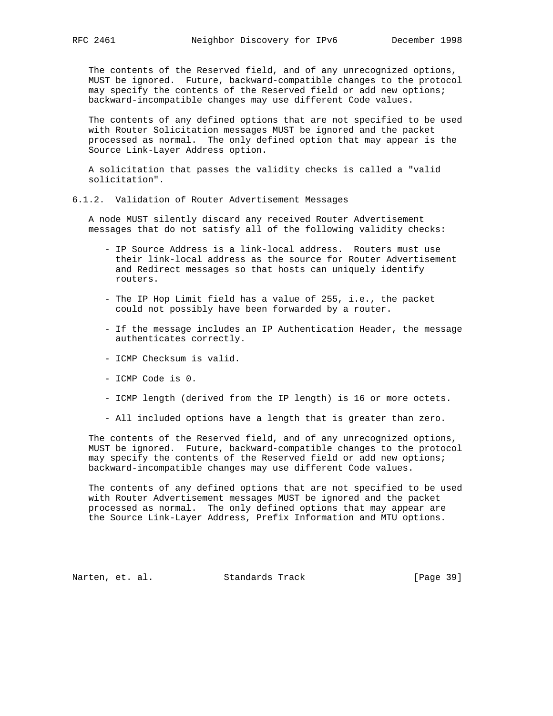The contents of the Reserved field, and of any unrecognized options, MUST be ignored. Future, backward-compatible changes to the protocol may specify the contents of the Reserved field or add new options; backward-incompatible changes may use different Code values.

 The contents of any defined options that are not specified to be used with Router Solicitation messages MUST be ignored and the packet processed as normal. The only defined option that may appear is the Source Link-Layer Address option.

 A solicitation that passes the validity checks is called a "valid solicitation".

#### 6.1.2. Validation of Router Advertisement Messages

 A node MUST silently discard any received Router Advertisement messages that do not satisfy all of the following validity checks:

- IP Source Address is a link-local address. Routers must use their link-local address as the source for Router Advertisement and Redirect messages so that hosts can uniquely identify routers.
- The IP Hop Limit field has a value of 255, i.e., the packet could not possibly have been forwarded by a router.
- If the message includes an IP Authentication Header, the message authenticates correctly.
- ICMP Checksum is valid.
- ICMP Code is 0.
- ICMP length (derived from the IP length) is 16 or more octets.
- All included options have a length that is greater than zero.

 The contents of the Reserved field, and of any unrecognized options, MUST be ignored. Future, backward-compatible changes to the protocol may specify the contents of the Reserved field or add new options; backward-incompatible changes may use different Code values.

 The contents of any defined options that are not specified to be used with Router Advertisement messages MUST be ignored and the packet processed as normal. The only defined options that may appear are the Source Link-Layer Address, Prefix Information and MTU options.

Narten, et. al. Standards Track [Page 39]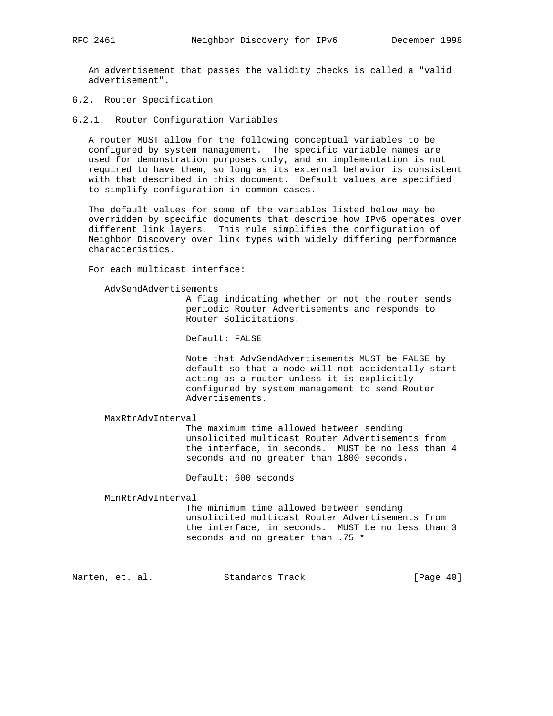An advertisement that passes the validity checks is called a "valid advertisement".

6.2. Router Specification

6.2.1. Router Configuration Variables

 A router MUST allow for the following conceptual variables to be configured by system management. The specific variable names are used for demonstration purposes only, and an implementation is not required to have them, so long as its external behavior is consistent with that described in this document. Default values are specified to simplify configuration in common cases.

 The default values for some of the variables listed below may be overridden by specific documents that describe how IPv6 operates over different link layers. This rule simplifies the configuration of Neighbor Discovery over link types with widely differing performance characteristics.

For each multicast interface:

AdvSendAdvertisements

 A flag indicating whether or not the router sends periodic Router Advertisements and responds to Router Solicitations.

Default: FALSE

 Note that AdvSendAdvertisements MUST be FALSE by default so that a node will not accidentally start acting as a router unless it is explicitly configured by system management to send Router Advertisements.

MaxRtrAdvInterval

 The maximum time allowed between sending unsolicited multicast Router Advertisements from the interface, in seconds. MUST be no less than 4 seconds and no greater than 1800 seconds.

Default: 600 seconds

MinRtrAdvInterval

 The minimum time allowed between sending unsolicited multicast Router Advertisements from the interface, in seconds. MUST be no less than 3 seconds and no greater than .75 \*

Narten, et. al. Standards Track [Page 40]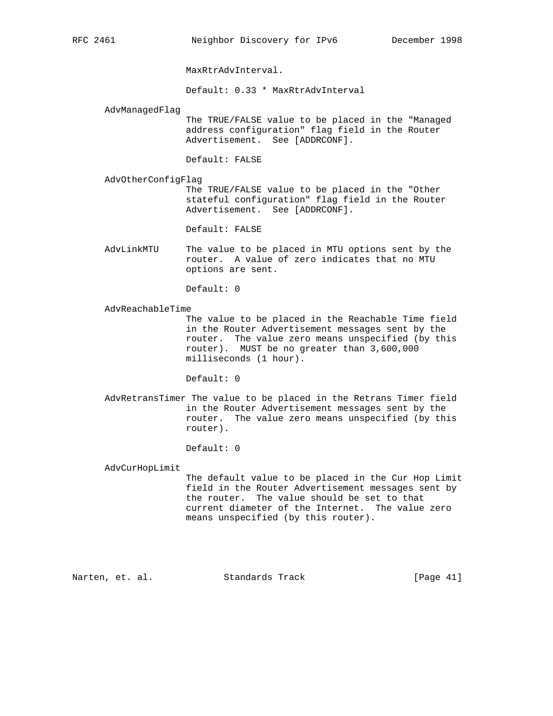MaxRtrAdvInterval.

Default: 0.33 \* MaxRtrAdvInterval

AdvManagedFlag

 The TRUE/FALSE value to be placed in the "Managed address configuration" flag field in the Router Advertisement. See [ADDRCONF].

Default: FALSE

 AdvOtherConfigFlag The TRUE/FALSE value to be placed in the "Other stateful configuration" flag field in the Router Advertisement. See [ADDRCONF].

Default: FALSE

 AdvLinkMTU The value to be placed in MTU options sent by the router. A value of zero indicates that no MTU options are sent.

Default: 0

AdvReachableTime

 The value to be placed in the Reachable Time field in the Router Advertisement messages sent by the router. The value zero means unspecified (by this router). MUST be no greater than 3,600,000 milliseconds (1 hour).

Default: 0

 AdvRetransTimer The value to be placed in the Retrans Timer field in the Router Advertisement messages sent by the router. The value zero means unspecified (by this router).

Default: 0

AdvCurHopLimit

 The default value to be placed in the Cur Hop Limit field in the Router Advertisement messages sent by the router. The value should be set to that current diameter of the Internet. The value zero means unspecified (by this router).

Narten, et. al. Standards Track [Page 41]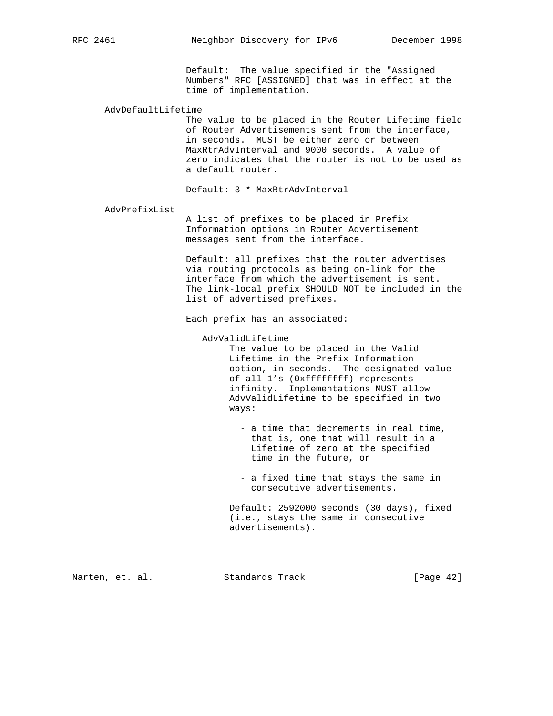Default: The value specified in the "Assigned Numbers" RFC [ASSIGNED] that was in effect at the time of implementation.

AdvDefaultLifetime

 The value to be placed in the Router Lifetime field of Router Advertisements sent from the interface, in seconds. MUST be either zero or between MaxRtrAdvInterval and 9000 seconds. A value of zero indicates that the router is not to be used as a default router.

Default: 3 \* MaxRtrAdvInterval

AdvPrefixList

 A list of prefixes to be placed in Prefix Information options in Router Advertisement messages sent from the interface.

 Default: all prefixes that the router advertises via routing protocols as being on-link for the interface from which the advertisement is sent. The link-local prefix SHOULD NOT be included in the list of advertised prefixes.

Each prefix has an associated:

AdvValidLifetime

 The value to be placed in the Valid Lifetime in the Prefix Information option, in seconds. The designated value of all 1's (0xffffffff) represents infinity. Implementations MUST allow AdvValidLifetime to be specified in two ways:

- a time that decrements in real time, that is, one that will result in a Lifetime of zero at the specified time in the future, or
- a fixed time that stays the same in consecutive advertisements.

 Default: 2592000 seconds (30 days), fixed (i.e., stays the same in consecutive advertisements).

Narten, et. al. Standards Track [Page 42]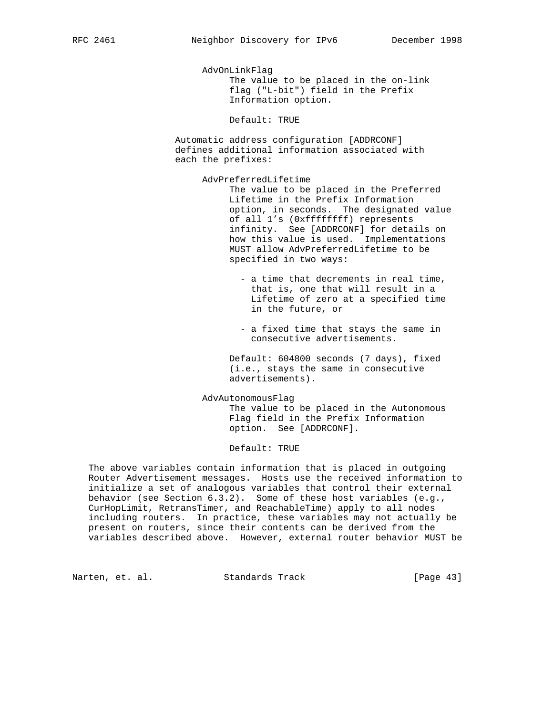AdvOnLinkFlag The value to be placed in the on-link flag ("L-bit") field in the Prefix Information option.

Default: TRUE

 Automatic address configuration [ADDRCONF] defines additional information associated with each the prefixes:

AdvPreferredLifetime

 The value to be placed in the Preferred Lifetime in the Prefix Information option, in seconds. The designated value of all 1's (0xffffffff) represents infinity. See [ADDRCONF] for details on how this value is used. Implementations MUST allow AdvPreferredLifetime to be specified in two ways:

- a time that decrements in real time, that is, one that will result in a Lifetime of zero at a specified time in the future, or
- a fixed time that stays the same in consecutive advertisements.

 Default: 604800 seconds (7 days), fixed (i.e., stays the same in consecutive advertisements).

AdvAutonomousFlag

 The value to be placed in the Autonomous Flag field in the Prefix Information option. See [ADDRCONF].

Default: TRUE

 The above variables contain information that is placed in outgoing Router Advertisement messages. Hosts use the received information to initialize a set of analogous variables that control their external behavior (see Section 6.3.2). Some of these host variables (e.g., CurHopLimit, RetransTimer, and ReachableTime) apply to all nodes including routers. In practice, these variables may not actually be present on routers, since their contents can be derived from the variables described above. However, external router behavior MUST be

Narten, et. al. Standards Track [Page 43]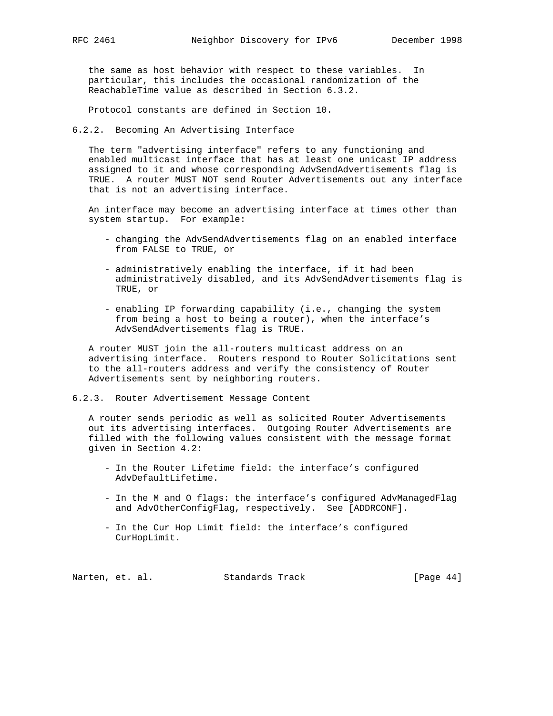the same as host behavior with respect to these variables. In particular, this includes the occasional randomization of the ReachableTime value as described in Section 6.3.2.

Protocol constants are defined in Section 10.

### 6.2.2. Becoming An Advertising Interface

 The term "advertising interface" refers to any functioning and enabled multicast interface that has at least one unicast IP address assigned to it and whose corresponding AdvSendAdvertisements flag is TRUE. A router MUST NOT send Router Advertisements out any interface that is not an advertising interface.

 An interface may become an advertising interface at times other than system startup. For example:

- changing the AdvSendAdvertisements flag on an enabled interface from FALSE to TRUE, or
- administratively enabling the interface, if it had been administratively disabled, and its AdvSendAdvertisements flag is TRUE, or
- enabling IP forwarding capability (i.e., changing the system from being a host to being a router), when the interface's AdvSendAdvertisements flag is TRUE.

 A router MUST join the all-routers multicast address on an advertising interface. Routers respond to Router Solicitations sent to the all-routers address and verify the consistency of Router Advertisements sent by neighboring routers.

### 6.2.3. Router Advertisement Message Content

 A router sends periodic as well as solicited Router Advertisements out its advertising interfaces. Outgoing Router Advertisements are filled with the following values consistent with the message format given in Section 4.2:

- In the Router Lifetime field: the interface's configured AdvDefaultLifetime.
- In the M and O flags: the interface's configured AdvManagedFlag and AdvOtherConfigFlag, respectively. See [ADDRCONF].
- In the Cur Hop Limit field: the interface's configured CurHopLimit.

Narten, et. al. Standards Track [Page 44]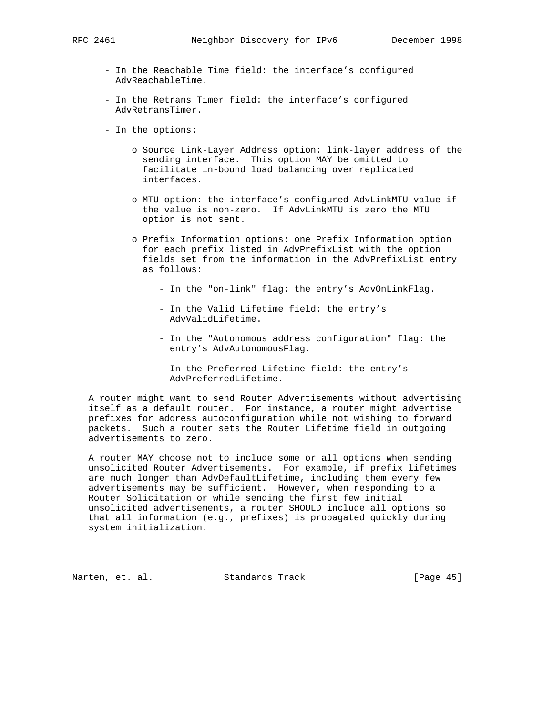- In the Reachable Time field: the interface's configured AdvReachableTime.
- In the Retrans Timer field: the interface's configured AdvRetransTimer.
- In the options:
	- o Source Link-Layer Address option: link-layer address of the sending interface. This option MAY be omitted to facilitate in-bound load balancing over replicated interfaces.
	- o MTU option: the interface's configured AdvLinkMTU value if the value is non-zero. If AdvLinkMTU is zero the MTU option is not sent.
	- o Prefix Information options: one Prefix Information option for each prefix listed in AdvPrefixList with the option fields set from the information in the AdvPrefixList entry as follows:
		- In the "on-link" flag: the entry's AdvOnLinkFlag.
		- In the Valid Lifetime field: the entry's AdvValidLifetime.
		- In the "Autonomous address configuration" flag: the entry's AdvAutonomousFlag.
		- In the Preferred Lifetime field: the entry's AdvPreferredLifetime.

 A router might want to send Router Advertisements without advertising itself as a default router. For instance, a router might advertise prefixes for address autoconfiguration while not wishing to forward packets. Such a router sets the Router Lifetime field in outgoing advertisements to zero.

 A router MAY choose not to include some or all options when sending unsolicited Router Advertisements. For example, if prefix lifetimes are much longer than AdvDefaultLifetime, including them every few advertisements may be sufficient. However, when responding to a Router Solicitation or while sending the first few initial unsolicited advertisements, a router SHOULD include all options so that all information (e.g., prefixes) is propagated quickly during system initialization.

Narten, et. al. Standards Track [Page 45]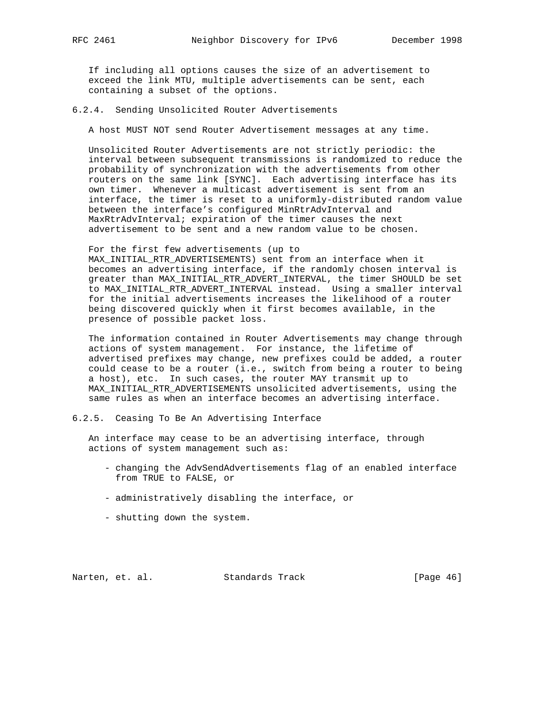If including all options causes the size of an advertisement to exceed the link MTU, multiple advertisements can be sent, each containing a subset of the options.

#### 6.2.4. Sending Unsolicited Router Advertisements

A host MUST NOT send Router Advertisement messages at any time.

 Unsolicited Router Advertisements are not strictly periodic: the interval between subsequent transmissions is randomized to reduce the probability of synchronization with the advertisements from other routers on the same link [SYNC]. Each advertising interface has its own timer. Whenever a multicast advertisement is sent from an interface, the timer is reset to a uniformly-distributed random value between the interface's configured MinRtrAdvInterval and MaxRtrAdvInterval; expiration of the timer causes the next advertisement to be sent and a new random value to be chosen.

 For the first few advertisements (up to MAX\_INITIAL\_RTR\_ADVERTISEMENTS) sent from an interface when it becomes an advertising interface, if the randomly chosen interval is greater than MAX\_INITIAL\_RTR\_ADVERT\_INTERVAL, the timer SHOULD be set to MAX\_INITIAL\_RTR\_ADVERT\_INTERVAL instead. Using a smaller interval for the initial advertisements increases the likelihood of a router being discovered quickly when it first becomes available, in the presence of possible packet loss.

 The information contained in Router Advertisements may change through actions of system management. For instance, the lifetime of advertised prefixes may change, new prefixes could be added, a router could cease to be a router (i.e., switch from being a router to being a host), etc. In such cases, the router MAY transmit up to MAX\_INITIAL\_RTR\_ADVERTISEMENTS unsolicited advertisements, using the same rules as when an interface becomes an advertising interface.

# 6.2.5. Ceasing To Be An Advertising Interface

 An interface may cease to be an advertising interface, through actions of system management such as:

- changing the AdvSendAdvertisements flag of an enabled interface from TRUE to FALSE, or
- administratively disabling the interface, or
- shutting down the system.

Narten, et. al. Standards Track [Page 46]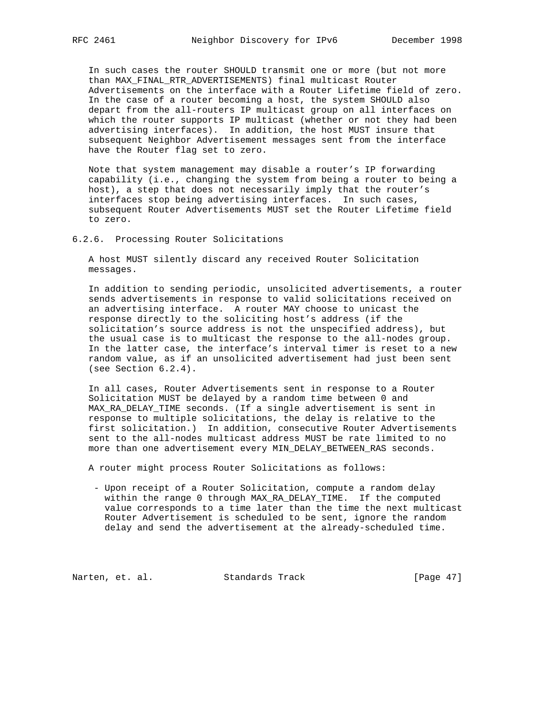In such cases the router SHOULD transmit one or more (but not more than MAX\_FINAL\_RTR\_ADVERTISEMENTS) final multicast Router Advertisements on the interface with a Router Lifetime field of zero. In the case of a router becoming a host, the system SHOULD also depart from the all-routers IP multicast group on all interfaces on which the router supports IP multicast (whether or not they had been advertising interfaces). In addition, the host MUST insure that subsequent Neighbor Advertisement messages sent from the interface have the Router flag set to zero.

 Note that system management may disable a router's IP forwarding capability (i.e., changing the system from being a router to being a host), a step that does not necessarily imply that the router's interfaces stop being advertising interfaces. In such cases, subsequent Router Advertisements MUST set the Router Lifetime field to zero.

6.2.6. Processing Router Solicitations

 A host MUST silently discard any received Router Solicitation messages.

 In addition to sending periodic, unsolicited advertisements, a router sends advertisements in response to valid solicitations received on an advertising interface. A router MAY choose to unicast the response directly to the soliciting host's address (if the solicitation's source address is not the unspecified address), but the usual case is to multicast the response to the all-nodes group. In the latter case, the interface's interval timer is reset to a new random value, as if an unsolicited advertisement had just been sent (see Section 6.2.4).

 In all cases, Router Advertisements sent in response to a Router Solicitation MUST be delayed by a random time between 0 and MAX\_RA\_DELAY\_TIME seconds. (If a single advertisement is sent in response to multiple solicitations, the delay is relative to the first solicitation.) In addition, consecutive Router Advertisements sent to the all-nodes multicast address MUST be rate limited to no more than one advertisement every MIN\_DELAY\_BETWEEN\_RAS seconds.

A router might process Router Solicitations as follows:

 - Upon receipt of a Router Solicitation, compute a random delay within the range 0 through MAX\_RA\_DELAY\_TIME. If the computed value corresponds to a time later than the time the next multicast Router Advertisement is scheduled to be sent, ignore the random delay and send the advertisement at the already-scheduled time.

Narten, et. al. Standards Track [Page 47]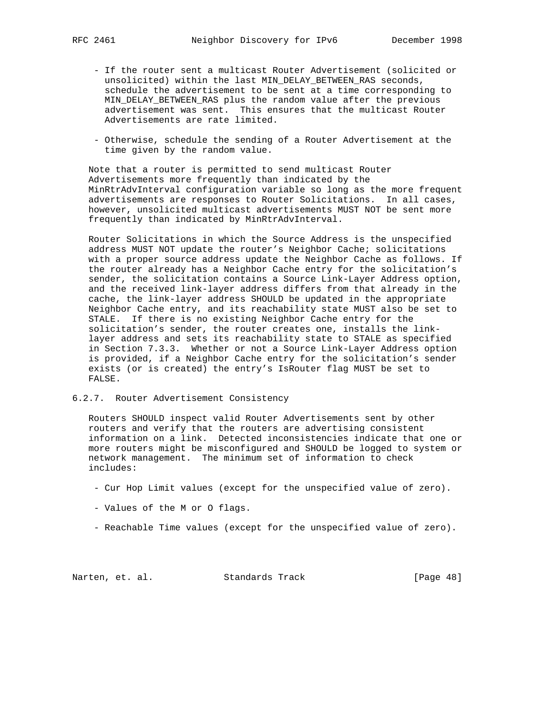- If the router sent a multicast Router Advertisement (solicited or unsolicited) within the last MIN\_DELAY\_BETWEEN\_RAS seconds, schedule the advertisement to be sent at a time corresponding to MIN DELAY BETWEEN RAS plus the random value after the previous advertisement was sent. This ensures that the multicast Router Advertisements are rate limited.
	- Otherwise, schedule the sending of a Router Advertisement at the time given by the random value.

 Note that a router is permitted to send multicast Router Advertisements more frequently than indicated by the MinRtrAdvInterval configuration variable so long as the more frequent advertisements are responses to Router Solicitations. In all cases, however, unsolicited multicast advertisements MUST NOT be sent more frequently than indicated by MinRtrAdvInterval.

 Router Solicitations in which the Source Address is the unspecified address MUST NOT update the router's Neighbor Cache; solicitations with a proper source address update the Neighbor Cache as follows. If the router already has a Neighbor Cache entry for the solicitation's sender, the solicitation contains a Source Link-Layer Address option, and the received link-layer address differs from that already in the cache, the link-layer address SHOULD be updated in the appropriate Neighbor Cache entry, and its reachability state MUST also be set to STALE. If there is no existing Neighbor Cache entry for the solicitation's sender, the router creates one, installs the link layer address and sets its reachability state to STALE as specified in Section 7.3.3. Whether or not a Source Link-Layer Address option is provided, if a Neighbor Cache entry for the solicitation's sender exists (or is created) the entry's IsRouter flag MUST be set to FALSE.

# 6.2.7. Router Advertisement Consistency

 Routers SHOULD inspect valid Router Advertisements sent by other routers and verify that the routers are advertising consistent information on a link. Detected inconsistencies indicate that one or more routers might be misconfigured and SHOULD be logged to system or network management. The minimum set of information to check includes:

- Cur Hop Limit values (except for the unspecified value of zero).
- Values of the M or O flags.
- Reachable Time values (except for the unspecified value of zero).

Narten, et. al. Standards Track [Page 48]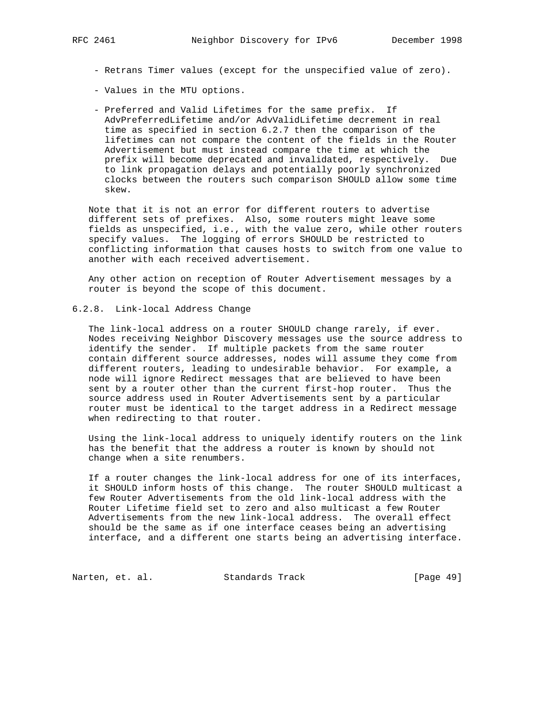- Retrans Timer values (except for the unspecified value of zero).

- Values in the MTU options.
- Preferred and Valid Lifetimes for the same prefix. If AdvPreferredLifetime and/or AdvValidLifetime decrement in real time as specified in section 6.2.7 then the comparison of the lifetimes can not compare the content of the fields in the Router Advertisement but must instead compare the time at which the prefix will become deprecated and invalidated, respectively. Due to link propagation delays and potentially poorly synchronized clocks between the routers such comparison SHOULD allow some time skew.

 Note that it is not an error for different routers to advertise different sets of prefixes. Also, some routers might leave some fields as unspecified, i.e., with the value zero, while other routers specify values. The logging of errors SHOULD be restricted to conflicting information that causes hosts to switch from one value to another with each received advertisement.

 Any other action on reception of Router Advertisement messages by a router is beyond the scope of this document.

#### 6.2.8. Link-local Address Change

 The link-local address on a router SHOULD change rarely, if ever. Nodes receiving Neighbor Discovery messages use the source address to identify the sender. If multiple packets from the same router contain different source addresses, nodes will assume they come from different routers, leading to undesirable behavior. For example, a node will ignore Redirect messages that are believed to have been sent by a router other than the current first-hop router. Thus the source address used in Router Advertisements sent by a particular router must be identical to the target address in a Redirect message when redirecting to that router.

 Using the link-local address to uniquely identify routers on the link has the benefit that the address a router is known by should not change when a site renumbers.

 If a router changes the link-local address for one of its interfaces, it SHOULD inform hosts of this change. The router SHOULD multicast a few Router Advertisements from the old link-local address with the Router Lifetime field set to zero and also multicast a few Router Advertisements from the new link-local address. The overall effect should be the same as if one interface ceases being an advertising interface, and a different one starts being an advertising interface.

Narten, et. al. Standards Track [Page 49]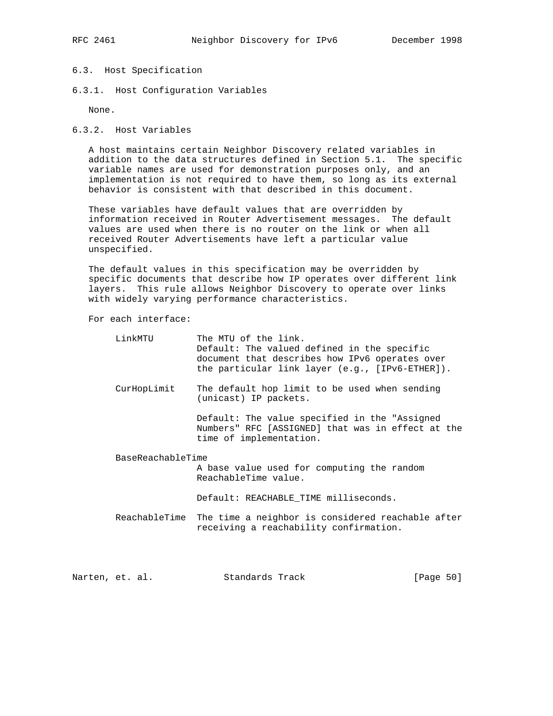## 6.3. Host Specification

6.3.1. Host Configuration Variables

None.

6.3.2. Host Variables

 A host maintains certain Neighbor Discovery related variables in addition to the data structures defined in Section 5.1. The specific variable names are used for demonstration purposes only, and an implementation is not required to have them, so long as its external behavior is consistent with that described in this document.

 These variables have default values that are overridden by information received in Router Advertisement messages. The default values are used when there is no router on the link or when all received Router Advertisements have left a particular value unspecified.

 The default values in this specification may be overridden by specific documents that describe how IP operates over different link layers. This rule allows Neighbor Discovery to operate over links with widely varying performance characteristics.

For each interface:

| LinkMTU | The MTU of the link.                               |
|---------|----------------------------------------------------|
|         | Default: The valued defined in the specific        |
|         | document that describes how IPv6 operates over     |
|         | the particular link layer $(e,q, f[IPv6-ETHER])$ . |

 CurHopLimit The default hop limit to be used when sending (unicast) IP packets.

> Default: The value specified in the "Assigned Numbers" RFC [ASSIGNED] that was in effect at the time of implementation.

BaseReachableTime

 A base value used for computing the random ReachableTime value.

Default: REACHABLE\_TIME milliseconds.

 ReachableTime The time a neighbor is considered reachable after receiving a reachability confirmation.

Narten, et. al. Standards Track [Page 50]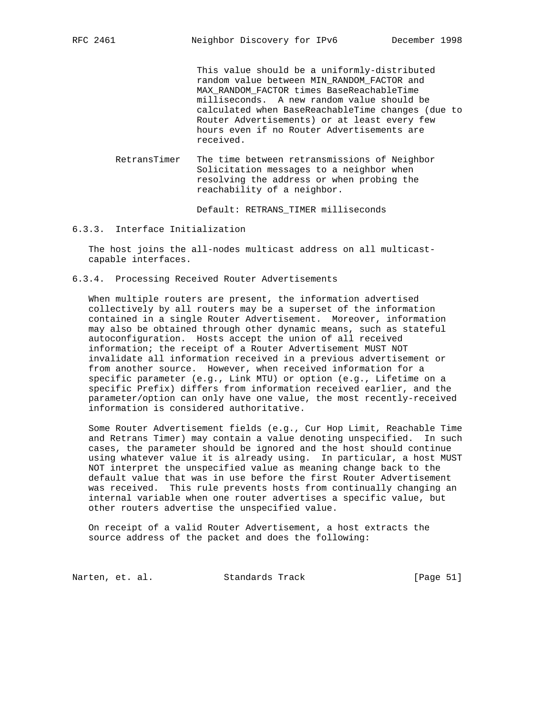This value should be a uniformly-distributed random value between MIN\_RANDOM\_FACTOR and MAX\_RANDOM\_FACTOR times BaseReachableTime milliseconds. A new random value should be calculated when BaseReachableTime changes (due to Router Advertisements) or at least every few hours even if no Router Advertisements are received.

 RetransTimer The time between retransmissions of Neighbor Solicitation messages to a neighbor when resolving the address or when probing the reachability of a neighbor.

Default: RETRANS\_TIMER milliseconds

6.3.3. Interface Initialization

 The host joins the all-nodes multicast address on all multicast capable interfaces.

6.3.4. Processing Received Router Advertisements

 When multiple routers are present, the information advertised collectively by all routers may be a superset of the information contained in a single Router Advertisement. Moreover, information may also be obtained through other dynamic means, such as stateful autoconfiguration. Hosts accept the union of all received information; the receipt of a Router Advertisement MUST NOT invalidate all information received in a previous advertisement or from another source. However, when received information for a specific parameter (e.g., Link MTU) or option (e.g., Lifetime on a specific Prefix) differs from information received earlier, and the parameter/option can only have one value, the most recently-received information is considered authoritative.

 Some Router Advertisement fields (e.g., Cur Hop Limit, Reachable Time and Retrans Timer) may contain a value denoting unspecified. In such cases, the parameter should be ignored and the host should continue using whatever value it is already using. In particular, a host MUST NOT interpret the unspecified value as meaning change back to the default value that was in use before the first Router Advertisement was received. This rule prevents hosts from continually changing an internal variable when one router advertises a specific value, but other routers advertise the unspecified value.

 On receipt of a valid Router Advertisement, a host extracts the source address of the packet and does the following:

Narten, et. al. Standards Track [Page 51]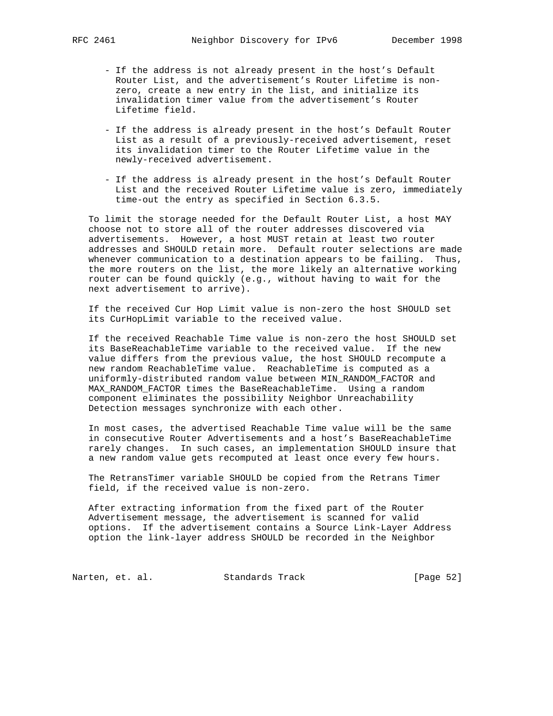- If the address is not already present in the host's Default Router List, and the advertisement's Router Lifetime is non zero, create a new entry in the list, and initialize its invalidation timer value from the advertisement's Router Lifetime field.
- If the address is already present in the host's Default Router List as a result of a previously-received advertisement, reset its invalidation timer to the Router Lifetime value in the newly-received advertisement.
- If the address is already present in the host's Default Router List and the received Router Lifetime value is zero, immediately time-out the entry as specified in Section 6.3.5.

 To limit the storage needed for the Default Router List, a host MAY choose not to store all of the router addresses discovered via advertisements. However, a host MUST retain at least two router addresses and SHOULD retain more. Default router selections are made whenever communication to a destination appears to be failing. Thus, the more routers on the list, the more likely an alternative working router can be found quickly (e.g., without having to wait for the next advertisement to arrive).

 If the received Cur Hop Limit value is non-zero the host SHOULD set its CurHopLimit variable to the received value.

 If the received Reachable Time value is non-zero the host SHOULD set its BaseReachableTime variable to the received value. If the new value differs from the previous value, the host SHOULD recompute a new random ReachableTime value. ReachableTime is computed as a uniformly-distributed random value between MIN\_RANDOM\_FACTOR and MAX\_RANDOM\_FACTOR times the BaseReachableTime. Using a random component eliminates the possibility Neighbor Unreachability Detection messages synchronize with each other.

 In most cases, the advertised Reachable Time value will be the same in consecutive Router Advertisements and a host's BaseReachableTime rarely changes. In such cases, an implementation SHOULD insure that a new random value gets recomputed at least once every few hours.

 The RetransTimer variable SHOULD be copied from the Retrans Timer field, if the received value is non-zero.

 After extracting information from the fixed part of the Router Advertisement message, the advertisement is scanned for valid options. If the advertisement contains a Source Link-Layer Address option the link-layer address SHOULD be recorded in the Neighbor

Narten, et. al. Standards Track [Page 52]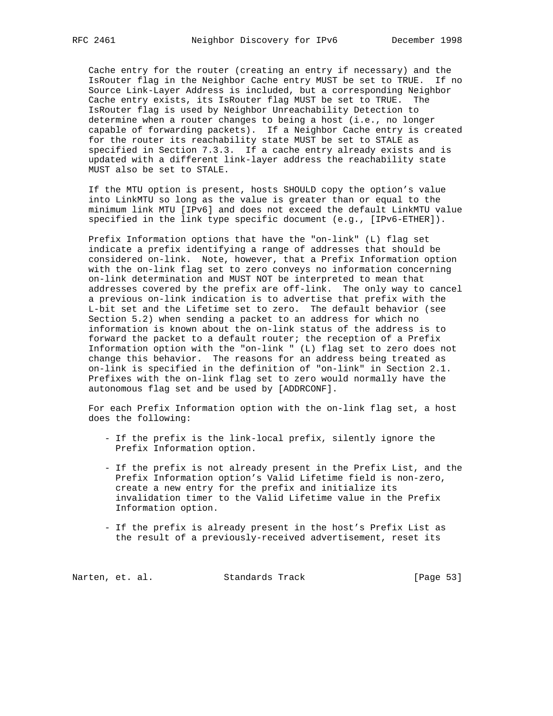Cache entry for the router (creating an entry if necessary) and the IsRouter flag in the Neighbor Cache entry MUST be set to TRUE. If no Source Link-Layer Address is included, but a corresponding Neighbor Cache entry exists, its IsRouter flag MUST be set to TRUE. The IsRouter flag is used by Neighbor Unreachability Detection to determine when a router changes to being a host (i.e., no longer capable of forwarding packets). If a Neighbor Cache entry is created for the router its reachability state MUST be set to STALE as specified in Section 7.3.3. If a cache entry already exists and is updated with a different link-layer address the reachability state MUST also be set to STALE.

 If the MTU option is present, hosts SHOULD copy the option's value into LinkMTU so long as the value is greater than or equal to the minimum link MTU [IPv6] and does not exceed the default LinkMTU value specified in the link type specific document (e.g., [IPv6-ETHER]).

 Prefix Information options that have the "on-link" (L) flag set indicate a prefix identifying a range of addresses that should be considered on-link. Note, however, that a Prefix Information option with the on-link flag set to zero conveys no information concerning on-link determination and MUST NOT be interpreted to mean that addresses covered by the prefix are off-link. The only way to cancel a previous on-link indication is to advertise that prefix with the L-bit set and the Lifetime set to zero. The default behavior (see Section 5.2) when sending a packet to an address for which no information is known about the on-link status of the address is to forward the packet to a default router; the reception of a Prefix Information option with the "on-link " (L) flag set to zero does not change this behavior. The reasons for an address being treated as on-link is specified in the definition of "on-link" in Section 2.1. Prefixes with the on-link flag set to zero would normally have the autonomous flag set and be used by [ADDRCONF].

 For each Prefix Information option with the on-link flag set, a host does the following:

- If the prefix is the link-local prefix, silently ignore the Prefix Information option.
- If the prefix is not already present in the Prefix List, and the Prefix Information option's Valid Lifetime field is non-zero, create a new entry for the prefix and initialize its invalidation timer to the Valid Lifetime value in the Prefix Information option.
- If the prefix is already present in the host's Prefix List as the result of a previously-received advertisement, reset its

Narten, et. al. Standards Track [Page 53]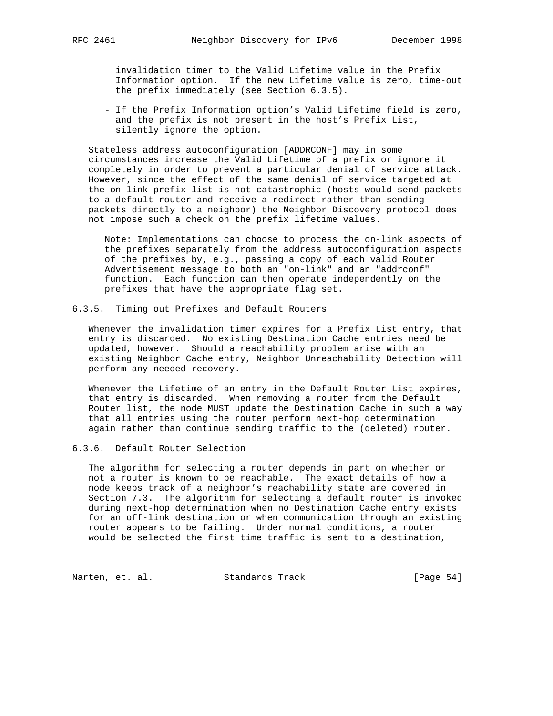invalidation timer to the Valid Lifetime value in the Prefix Information option. If the new Lifetime value is zero, time-out the prefix immediately (see Section 6.3.5).

 - If the Prefix Information option's Valid Lifetime field is zero, and the prefix is not present in the host's Prefix List, silently ignore the option.

 Stateless address autoconfiguration [ADDRCONF] may in some circumstances increase the Valid Lifetime of a prefix or ignore it completely in order to prevent a particular denial of service attack. However, since the effect of the same denial of service targeted at the on-link prefix list is not catastrophic (hosts would send packets to a default router and receive a redirect rather than sending packets directly to a neighbor) the Neighbor Discovery protocol does not impose such a check on the prefix lifetime values.

 Note: Implementations can choose to process the on-link aspects of the prefixes separately from the address autoconfiguration aspects of the prefixes by, e.g., passing a copy of each valid Router Advertisement message to both an "on-link" and an "addrconf" function. Each function can then operate independently on the prefixes that have the appropriate flag set.

6.3.5. Timing out Prefixes and Default Routers

 Whenever the invalidation timer expires for a Prefix List entry, that entry is discarded. No existing Destination Cache entries need be updated, however. Should a reachability problem arise with an existing Neighbor Cache entry, Neighbor Unreachability Detection will perform any needed recovery.

 Whenever the Lifetime of an entry in the Default Router List expires, that entry is discarded. When removing a router from the Default Router list, the node MUST update the Destination Cache in such a way that all entries using the router perform next-hop determination again rather than continue sending traffic to the (deleted) router.

6.3.6. Default Router Selection

 The algorithm for selecting a router depends in part on whether or not a router is known to be reachable. The exact details of how a node keeps track of a neighbor's reachability state are covered in Section 7.3. The algorithm for selecting a default router is invoked during next-hop determination when no Destination Cache entry exists for an off-link destination or when communication through an existing router appears to be failing. Under normal conditions, a router would be selected the first time traffic is sent to a destination,

Narten, et. al. Standards Track [Page 54]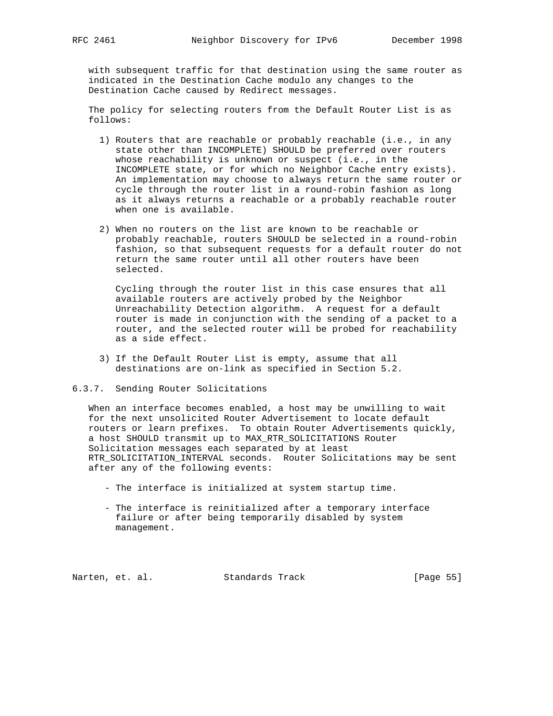with subsequent traffic for that destination using the same router as indicated in the Destination Cache modulo any changes to the Destination Cache caused by Redirect messages.

 The policy for selecting routers from the Default Router List is as follows:

- 1) Routers that are reachable or probably reachable (i.e., in any state other than INCOMPLETE) SHOULD be preferred over routers whose reachability is unknown or suspect (i.e., in the INCOMPLETE state, or for which no Neighbor Cache entry exists). An implementation may choose to always return the same router or cycle through the router list in a round-robin fashion as long as it always returns a reachable or a probably reachable router when one is available.
- 2) When no routers on the list are known to be reachable or probably reachable, routers SHOULD be selected in a round-robin fashion, so that subsequent requests for a default router do not return the same router until all other routers have been selected.

 Cycling through the router list in this case ensures that all available routers are actively probed by the Neighbor Unreachability Detection algorithm. A request for a default router is made in conjunction with the sending of a packet to a router, and the selected router will be probed for reachability as a side effect.

 3) If the Default Router List is empty, assume that all destinations are on-link as specified in Section 5.2.

### 6.3.7. Sending Router Solicitations

 When an interface becomes enabled, a host may be unwilling to wait for the next unsolicited Router Advertisement to locate default routers or learn prefixes. To obtain Router Advertisements quickly, a host SHOULD transmit up to MAX\_RTR\_SOLICITATIONS Router Solicitation messages each separated by at least RTR\_SOLICITATION\_INTERVAL seconds. Router Solicitations may be sent after any of the following events:

- The interface is initialized at system startup time.
- The interface is reinitialized after a temporary interface failure or after being temporarily disabled by system management.

Narten, et. al. Standards Track [Page 55]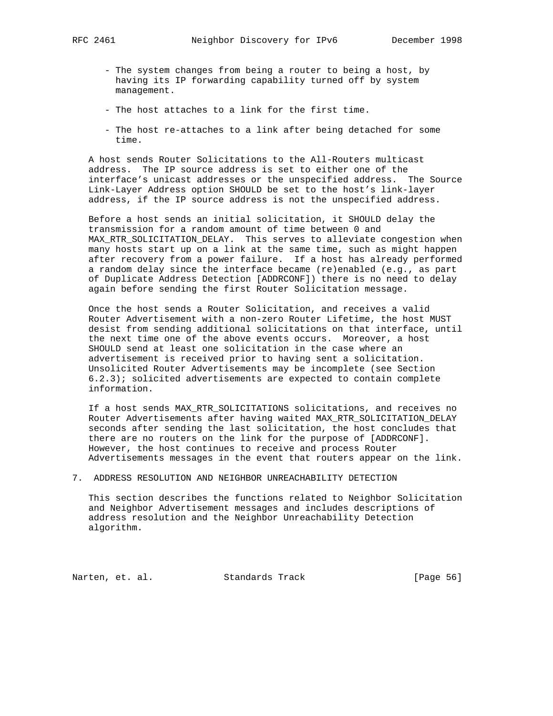- The system changes from being a router to being a host, by having its IP forwarding capability turned off by system management.
- The host attaches to a link for the first time.
- The host re-attaches to a link after being detached for some time.

 A host sends Router Solicitations to the All-Routers multicast address. The IP source address is set to either one of the interface's unicast addresses or the unspecified address. The Source Link-Layer Address option SHOULD be set to the host's link-layer address, if the IP source address is not the unspecified address.

 Before a host sends an initial solicitation, it SHOULD delay the transmission for a random amount of time between 0 and MAX\_RTR\_SOLICITATION\_DELAY. This serves to alleviate congestion when many hosts start up on a link at the same time, such as might happen after recovery from a power failure. If a host has already performed a random delay since the interface became (re)enabled (e.g., as part of Duplicate Address Detection [ADDRCONF]) there is no need to delay again before sending the first Router Solicitation message.

 Once the host sends a Router Solicitation, and receives a valid Router Advertisement with a non-zero Router Lifetime, the host MUST desist from sending additional solicitations on that interface, until the next time one of the above events occurs. Moreover, a host SHOULD send at least one solicitation in the case where an advertisement is received prior to having sent a solicitation. Unsolicited Router Advertisements may be incomplete (see Section 6.2.3); solicited advertisements are expected to contain complete information.

 If a host sends MAX\_RTR\_SOLICITATIONS solicitations, and receives no Router Advertisements after having waited MAX\_RTR\_SOLICITATION\_DELAY seconds after sending the last solicitation, the host concludes that there are no routers on the link for the purpose of [ADDRCONF]. However, the host continues to receive and process Router Advertisements messages in the event that routers appear on the link.

7. ADDRESS RESOLUTION AND NEIGHBOR UNREACHABILITY DETECTION

 This section describes the functions related to Neighbor Solicitation and Neighbor Advertisement messages and includes descriptions of address resolution and the Neighbor Unreachability Detection algorithm.

Narten, et. al. Standards Track [Page 56]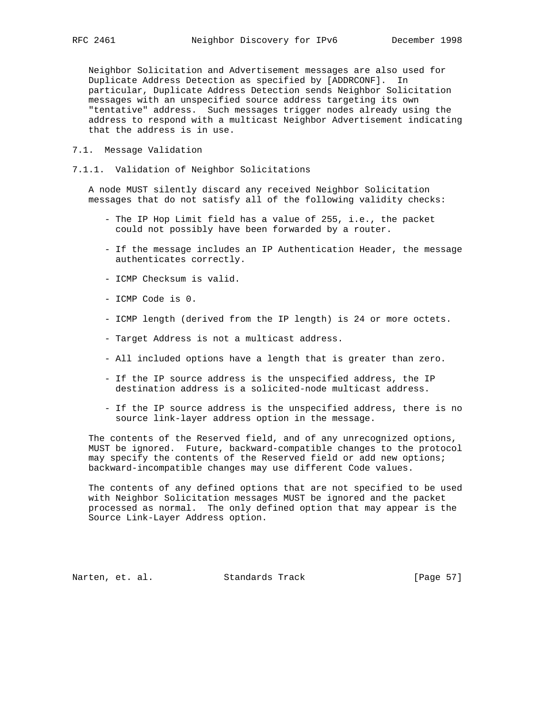Neighbor Solicitation and Advertisement messages are also used for Duplicate Address Detection as specified by [ADDRCONF]. In particular, Duplicate Address Detection sends Neighbor Solicitation messages with an unspecified source address targeting its own "tentative" address. Such messages trigger nodes already using the address to respond with a multicast Neighbor Advertisement indicating that the address is in use.

- 7.1. Message Validation
- 7.1.1. Validation of Neighbor Solicitations

 A node MUST silently discard any received Neighbor Solicitation messages that do not satisfy all of the following validity checks:

- The IP Hop Limit field has a value of 255, i.e., the packet could not possibly have been forwarded by a router.
- If the message includes an IP Authentication Header, the message authenticates correctly.
- ICMP Checksum is valid.
- ICMP Code is 0.
- ICMP length (derived from the IP length) is 24 or more octets.
- Target Address is not a multicast address.
- All included options have a length that is greater than zero.
- If the IP source address is the unspecified address, the IP destination address is a solicited-node multicast address.
- If the IP source address is the unspecified address, there is no source link-layer address option in the message.

 The contents of the Reserved field, and of any unrecognized options, MUST be ignored. Future, backward-compatible changes to the protocol may specify the contents of the Reserved field or add new options; backward-incompatible changes may use different Code values.

 The contents of any defined options that are not specified to be used with Neighbor Solicitation messages MUST be ignored and the packet processed as normal. The only defined option that may appear is the Source Link-Layer Address option.

Narten, et. al. Standards Track [Page 57]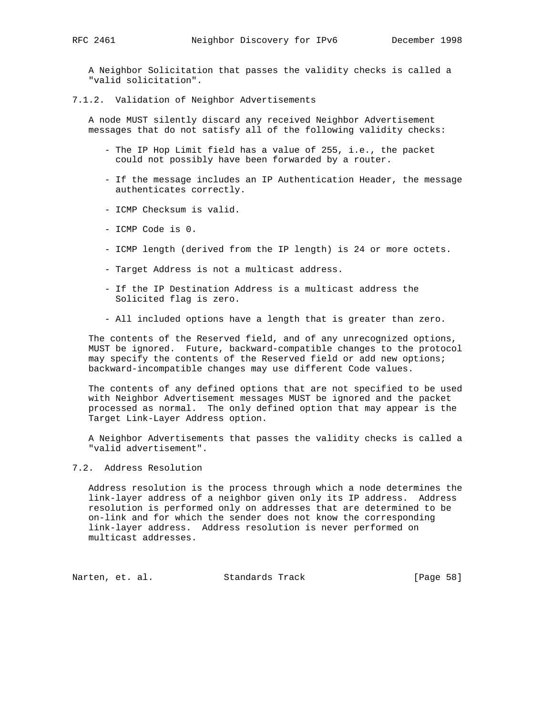A Neighbor Solicitation that passes the validity checks is called a "valid solicitation".

7.1.2. Validation of Neighbor Advertisements

 A node MUST silently discard any received Neighbor Advertisement messages that do not satisfy all of the following validity checks:

- The IP Hop Limit field has a value of 255, i.e., the packet could not possibly have been forwarded by a router.
- If the message includes an IP Authentication Header, the message authenticates correctly.
- ICMP Checksum is valid.
- ICMP Code is 0.
- ICMP length (derived from the IP length) is 24 or more octets.
- Target Address is not a multicast address.
- If the IP Destination Address is a multicast address the Solicited flag is zero.
- All included options have a length that is greater than zero.

 The contents of the Reserved field, and of any unrecognized options, MUST be ignored. Future, backward-compatible changes to the protocol may specify the contents of the Reserved field or add new options; backward-incompatible changes may use different Code values.

 The contents of any defined options that are not specified to be used with Neighbor Advertisement messages MUST be ignored and the packet processed as normal. The only defined option that may appear is the Target Link-Layer Address option.

 A Neighbor Advertisements that passes the validity checks is called a "valid advertisement".

## 7.2. Address Resolution

 Address resolution is the process through which a node determines the link-layer address of a neighbor given only its IP address. Address resolution is performed only on addresses that are determined to be on-link and for which the sender does not know the corresponding link-layer address. Address resolution is never performed on multicast addresses.

Narten, et. al. Standards Track [Page 58]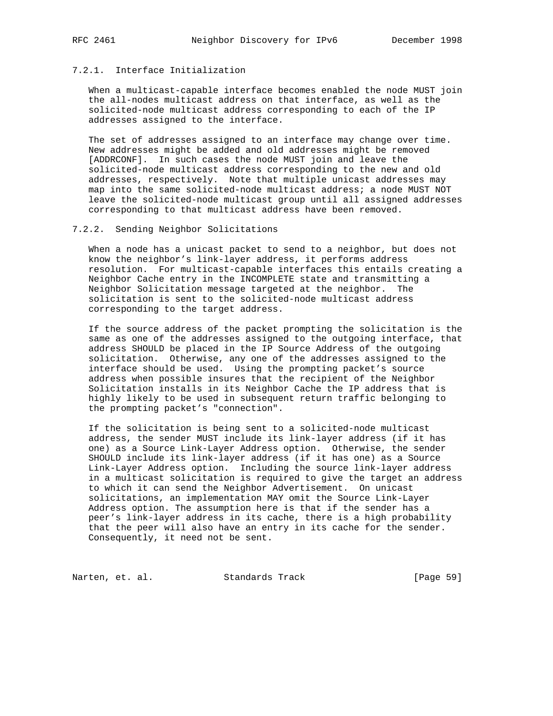# 7.2.1. Interface Initialization

 When a multicast-capable interface becomes enabled the node MUST join the all-nodes multicast address on that interface, as well as the solicited-node multicast address corresponding to each of the IP addresses assigned to the interface.

 The set of addresses assigned to an interface may change over time. New addresses might be added and old addresses might be removed [ADDRCONF]. In such cases the node MUST join and leave the solicited-node multicast address corresponding to the new and old addresses, respectively. Note that multiple unicast addresses may map into the same solicited-node multicast address; a node MUST NOT leave the solicited-node multicast group until all assigned addresses corresponding to that multicast address have been removed.

## 7.2.2. Sending Neighbor Solicitations

 When a node has a unicast packet to send to a neighbor, but does not know the neighbor's link-layer address, it performs address resolution. For multicast-capable interfaces this entails creating a Neighbor Cache entry in the INCOMPLETE state and transmitting a Neighbor Solicitation message targeted at the neighbor. The solicitation is sent to the solicited-node multicast address corresponding to the target address.

 If the source address of the packet prompting the solicitation is the same as one of the addresses assigned to the outgoing interface, that address SHOULD be placed in the IP Source Address of the outgoing solicitation. Otherwise, any one of the addresses assigned to the interface should be used. Using the prompting packet's source address when possible insures that the recipient of the Neighbor Solicitation installs in its Neighbor Cache the IP address that is highly likely to be used in subsequent return traffic belonging to the prompting packet's "connection".

 If the solicitation is being sent to a solicited-node multicast address, the sender MUST include its link-layer address (if it has one) as a Source Link-Layer Address option. Otherwise, the sender SHOULD include its link-layer address (if it has one) as a Source Link-Layer Address option. Including the source link-layer address in a multicast solicitation is required to give the target an address to which it can send the Neighbor Advertisement. On unicast solicitations, an implementation MAY omit the Source Link-Layer Address option. The assumption here is that if the sender has a peer's link-layer address in its cache, there is a high probability that the peer will also have an entry in its cache for the sender. Consequently, it need not be sent.

Narten, et. al. Standards Track [Page 59]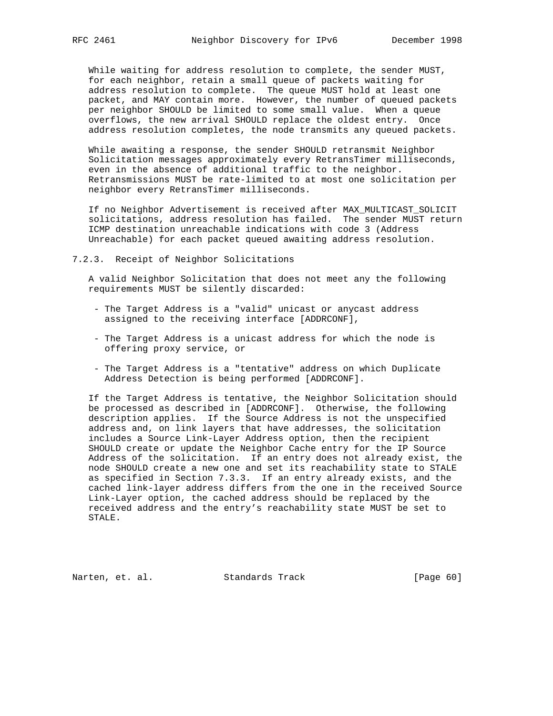While waiting for address resolution to complete, the sender MUST, for each neighbor, retain a small queue of packets waiting for address resolution to complete. The queue MUST hold at least one packet, and MAY contain more. However, the number of queued packets per neighbor SHOULD be limited to some small value. When a queue overflows, the new arrival SHOULD replace the oldest entry. Once address resolution completes, the node transmits any queued packets.

 While awaiting a response, the sender SHOULD retransmit Neighbor Solicitation messages approximately every RetransTimer milliseconds, even in the absence of additional traffic to the neighbor. Retransmissions MUST be rate-limited to at most one solicitation per neighbor every RetransTimer milliseconds.

 If no Neighbor Advertisement is received after MAX\_MULTICAST\_SOLICIT solicitations, address resolution has failed. The sender MUST return ICMP destination unreachable indications with code 3 (Address Unreachable) for each packet queued awaiting address resolution.

7.2.3. Receipt of Neighbor Solicitations

 A valid Neighbor Solicitation that does not meet any the following requirements MUST be silently discarded:

- The Target Address is a "valid" unicast or anycast address assigned to the receiving interface [ADDRCONF],
- The Target Address is a unicast address for which the node is offering proxy service, or
- The Target Address is a "tentative" address on which Duplicate Address Detection is being performed [ADDRCONF].

 If the Target Address is tentative, the Neighbor Solicitation should be processed as described in [ADDRCONF]. Otherwise, the following description applies. If the Source Address is not the unspecified address and, on link layers that have addresses, the solicitation includes a Source Link-Layer Address option, then the recipient SHOULD create or update the Neighbor Cache entry for the IP Source Address of the solicitation. If an entry does not already exist, the node SHOULD create a new one and set its reachability state to STALE as specified in Section 7.3.3. If an entry already exists, and the cached link-layer address differs from the one in the received Source Link-Layer option, the cached address should be replaced by the received address and the entry's reachability state MUST be set to STALE.

Narten, et. al. Standards Track [Page 60]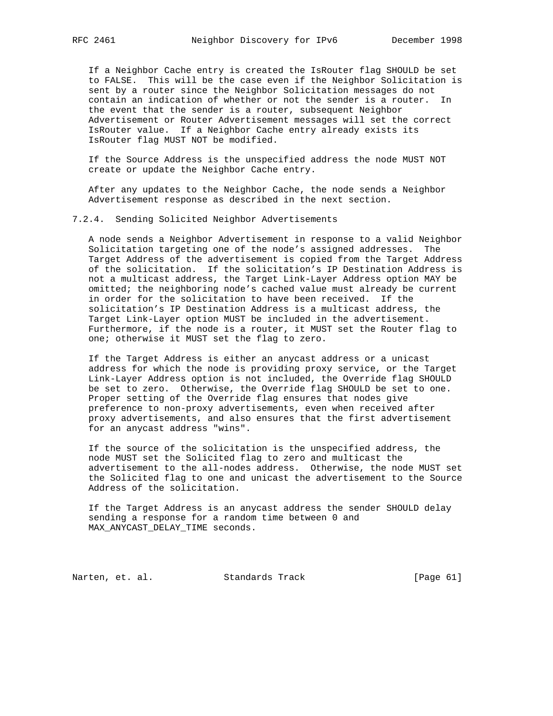If a Neighbor Cache entry is created the IsRouter flag SHOULD be set to FALSE. This will be the case even if the Neighbor Solicitation is sent by a router since the Neighbor Solicitation messages do not contain an indication of whether or not the sender is a router. In the event that the sender is a router, subsequent Neighbor Advertisement or Router Advertisement messages will set the correct IsRouter value. If a Neighbor Cache entry already exists its IsRouter flag MUST NOT be modified.

 If the Source Address is the unspecified address the node MUST NOT create or update the Neighbor Cache entry.

 After any updates to the Neighbor Cache, the node sends a Neighbor Advertisement response as described in the next section.

#### 7.2.4. Sending Solicited Neighbor Advertisements

 A node sends a Neighbor Advertisement in response to a valid Neighbor Solicitation targeting one of the node's assigned addresses. The Target Address of the advertisement is copied from the Target Address of the solicitation. If the solicitation's IP Destination Address is not a multicast address, the Target Link-Layer Address option MAY be omitted; the neighboring node's cached value must already be current in order for the solicitation to have been received. If the solicitation's IP Destination Address is a multicast address, the Target Link-Layer option MUST be included in the advertisement. Furthermore, if the node is a router, it MUST set the Router flag to one; otherwise it MUST set the flag to zero.

 If the Target Address is either an anycast address or a unicast address for which the node is providing proxy service, or the Target Link-Layer Address option is not included, the Override flag SHOULD be set to zero. Otherwise, the Override flag SHOULD be set to one. Proper setting of the Override flag ensures that nodes give preference to non-proxy advertisements, even when received after proxy advertisements, and also ensures that the first advertisement for an anycast address "wins".

 If the source of the solicitation is the unspecified address, the node MUST set the Solicited flag to zero and multicast the advertisement to the all-nodes address. Otherwise, the node MUST set the Solicited flag to one and unicast the advertisement to the Source Address of the solicitation.

 If the Target Address is an anycast address the sender SHOULD delay sending a response for a random time between 0 and MAX\_ANYCAST\_DELAY\_TIME seconds.

Narten, et. al. Standards Track [Page 61]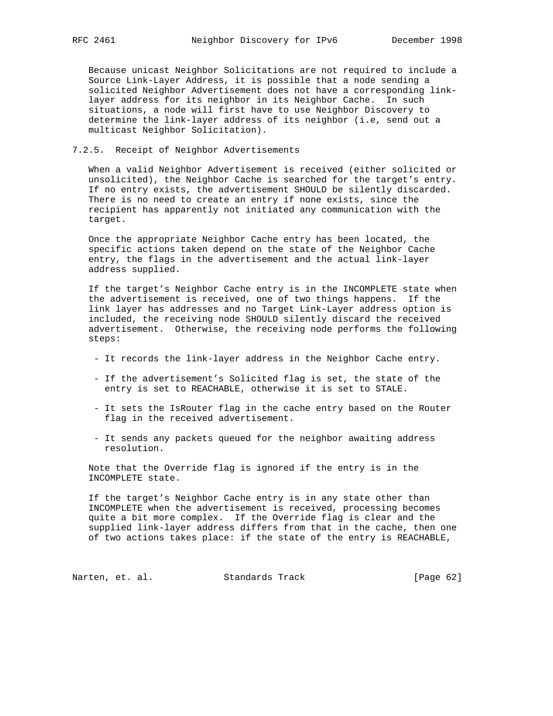Because unicast Neighbor Solicitations are not required to include a Source Link-Layer Address, it is possible that a node sending a solicited Neighbor Advertisement does not have a corresponding link layer address for its neighbor in its Neighbor Cache. In such situations, a node will first have to use Neighbor Discovery to determine the link-layer address of its neighbor (i.e, send out a multicast Neighbor Solicitation).

#### 7.2.5. Receipt of Neighbor Advertisements

 When a valid Neighbor Advertisement is received (either solicited or unsolicited), the Neighbor Cache is searched for the target's entry. If no entry exists, the advertisement SHOULD be silently discarded. There is no need to create an entry if none exists, since the recipient has apparently not initiated any communication with the target.

 Once the appropriate Neighbor Cache entry has been located, the specific actions taken depend on the state of the Neighbor Cache entry, the flags in the advertisement and the actual link-layer address supplied.

 If the target's Neighbor Cache entry is in the INCOMPLETE state when the advertisement is received, one of two things happens. If the link layer has addresses and no Target Link-Layer address option is included, the receiving node SHOULD silently discard the received advertisement. Otherwise, the receiving node performs the following steps:

- It records the link-layer address in the Neighbor Cache entry.
- If the advertisement's Solicited flag is set, the state of the entry is set to REACHABLE, otherwise it is set to STALE.
- It sets the IsRouter flag in the cache entry based on the Router flag in the received advertisement.
- It sends any packets queued for the neighbor awaiting address resolution.

 Note that the Override flag is ignored if the entry is in the INCOMPLETE state.

 If the target's Neighbor Cache entry is in any state other than INCOMPLETE when the advertisement is received, processing becomes quite a bit more complex. If the Override flag is clear and the supplied link-layer address differs from that in the cache, then one of two actions takes place: if the state of the entry is REACHABLE,

Narten, et. al. Standards Track [Page 62]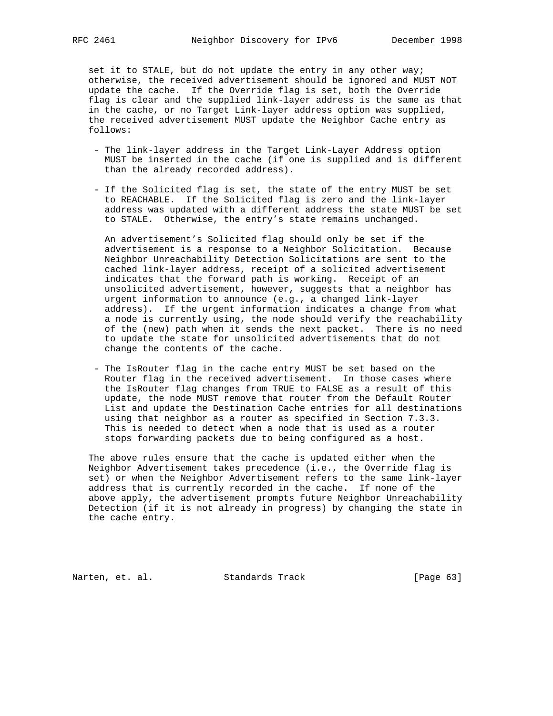set it to STALE, but do not update the entry in any other way; otherwise, the received advertisement should be ignored and MUST NOT update the cache. If the Override flag is set, both the Override flag is clear and the supplied link-layer address is the same as that in the cache, or no Target Link-layer address option was supplied, the received advertisement MUST update the Neighbor Cache entry as follows:

- The link-layer address in the Target Link-Layer Address option MUST be inserted in the cache (if one is supplied and is different than the already recorded address).
- If the Solicited flag is set, the state of the entry MUST be set to REACHABLE. If the Solicited flag is zero and the link-layer address was updated with a different address the state MUST be set to STALE. Otherwise, the entry's state remains unchanged.

 An advertisement's Solicited flag should only be set if the advertisement is a response to a Neighbor Solicitation. Because Neighbor Unreachability Detection Solicitations are sent to the cached link-layer address, receipt of a solicited advertisement indicates that the forward path is working. Receipt of an unsolicited advertisement, however, suggests that a neighbor has urgent information to announce (e.g., a changed link-layer address). If the urgent information indicates a change from what a node is currently using, the node should verify the reachability of the (new) path when it sends the next packet. There is no need to update the state for unsolicited advertisements that do not change the contents of the cache.

 - The IsRouter flag in the cache entry MUST be set based on the Router flag in the received advertisement. In those cases where the IsRouter flag changes from TRUE to FALSE as a result of this update, the node MUST remove that router from the Default Router List and update the Destination Cache entries for all destinations using that neighbor as a router as specified in Section 7.3.3. This is needed to detect when a node that is used as a router stops forwarding packets due to being configured as a host.

 The above rules ensure that the cache is updated either when the Neighbor Advertisement takes precedence (i.e., the Override flag is set) or when the Neighbor Advertisement refers to the same link-layer address that is currently recorded in the cache. If none of the above apply, the advertisement prompts future Neighbor Unreachability Detection (if it is not already in progress) by changing the state in the cache entry.

Narten, et. al. Standards Track [Page 63]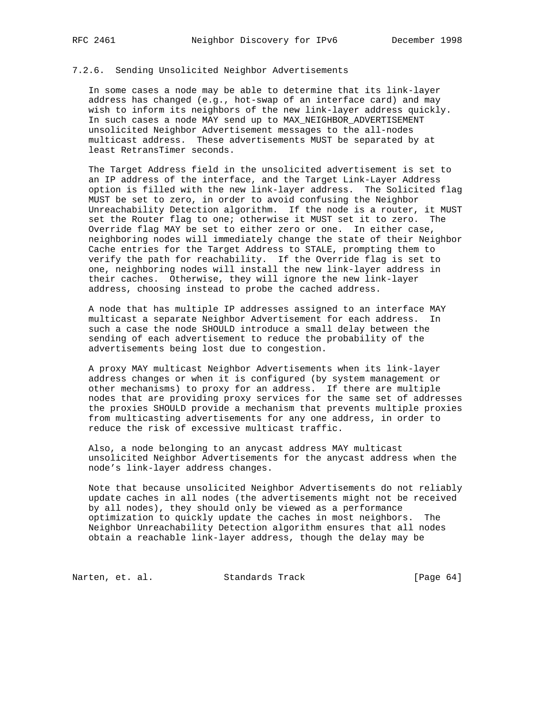# 7.2.6. Sending Unsolicited Neighbor Advertisements

 In some cases a node may be able to determine that its link-layer address has changed (e.g., hot-swap of an interface card) and may wish to inform its neighbors of the new link-layer address quickly. In such cases a node MAY send up to MAX\_NEIGHBOR\_ADVERTISEMENT unsolicited Neighbor Advertisement messages to the all-nodes multicast address. These advertisements MUST be separated by at least RetransTimer seconds.

 The Target Address field in the unsolicited advertisement is set to an IP address of the interface, and the Target Link-Layer Address option is filled with the new link-layer address. The Solicited flag MUST be set to zero, in order to avoid confusing the Neighbor Unreachability Detection algorithm. If the node is a router, it MUST set the Router flag to one; otherwise it MUST set it to zero. The Override flag MAY be set to either zero or one. In either case, neighboring nodes will immediately change the state of their Neighbor Cache entries for the Target Address to STALE, prompting them to verify the path for reachability. If the Override flag is set to one, neighboring nodes will install the new link-layer address in their caches. Otherwise, they will ignore the new link-layer address, choosing instead to probe the cached address.

 A node that has multiple IP addresses assigned to an interface MAY multicast a separate Neighbor Advertisement for each address. In such a case the node SHOULD introduce a small delay between the sending of each advertisement to reduce the probability of the advertisements being lost due to congestion.

 A proxy MAY multicast Neighbor Advertisements when its link-layer address changes or when it is configured (by system management or other mechanisms) to proxy for an address. If there are multiple nodes that are providing proxy services for the same set of addresses the proxies SHOULD provide a mechanism that prevents multiple proxies from multicasting advertisements for any one address, in order to reduce the risk of excessive multicast traffic.

 Also, a node belonging to an anycast address MAY multicast unsolicited Neighbor Advertisements for the anycast address when the node's link-layer address changes.

 Note that because unsolicited Neighbor Advertisements do not reliably update caches in all nodes (the advertisements might not be received by all nodes), they should only be viewed as a performance optimization to quickly update the caches in most neighbors. The Neighbor Unreachability Detection algorithm ensures that all nodes obtain a reachable link-layer address, though the delay may be

Narten, et. al. Standards Track [Page 64]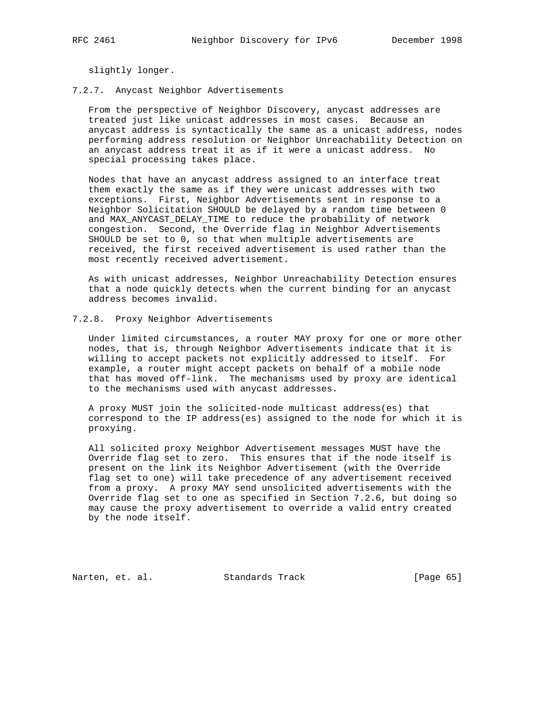slightly longer.

7.2.7. Anycast Neighbor Advertisements

 From the perspective of Neighbor Discovery, anycast addresses are treated just like unicast addresses in most cases. Because an anycast address is syntactically the same as a unicast address, nodes performing address resolution or Neighbor Unreachability Detection on an anycast address treat it as if it were a unicast address. No special processing takes place.

 Nodes that have an anycast address assigned to an interface treat them exactly the same as if they were unicast addresses with two exceptions. First, Neighbor Advertisements sent in response to a Neighbor Solicitation SHOULD be delayed by a random time between 0 and MAX ANYCAST DELAY TIME to reduce the probability of network congestion. Second, the Override flag in Neighbor Advertisements SHOULD be set to 0, so that when multiple advertisements are received, the first received advertisement is used rather than the most recently received advertisement.

 As with unicast addresses, Neighbor Unreachability Detection ensures that a node quickly detects when the current binding for an anycast address becomes invalid.

7.2.8. Proxy Neighbor Advertisements

 Under limited circumstances, a router MAY proxy for one or more other nodes, that is, through Neighbor Advertisements indicate that it is willing to accept packets not explicitly addressed to itself. For example, a router might accept packets on behalf of a mobile node that has moved off-link. The mechanisms used by proxy are identical to the mechanisms used with anycast addresses.

 A proxy MUST join the solicited-node multicast address(es) that correspond to the IP address(es) assigned to the node for which it is proxying.

 All solicited proxy Neighbor Advertisement messages MUST have the Override flag set to zero. This ensures that if the node itself is present on the link its Neighbor Advertisement (with the Override flag set to one) will take precedence of any advertisement received from a proxy. A proxy MAY send unsolicited advertisements with the Override flag set to one as specified in Section 7.2.6, but doing so may cause the proxy advertisement to override a valid entry created by the node itself.

Narten, et. al. Standards Track [Page 65]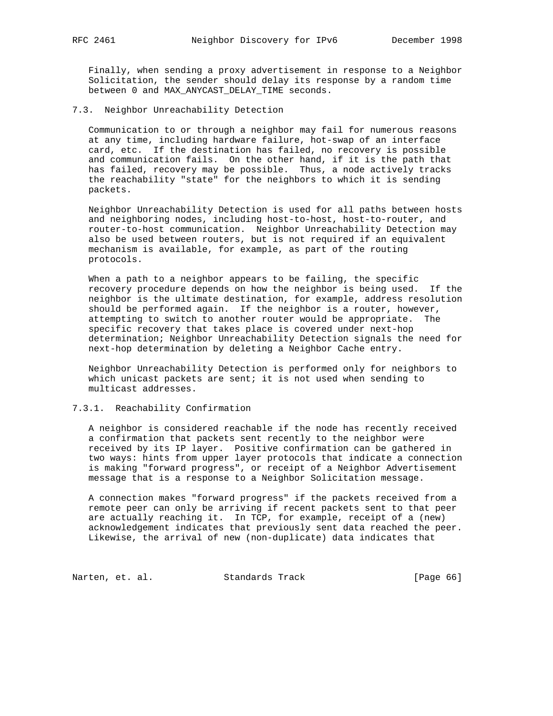Finally, when sending a proxy advertisement in response to a Neighbor Solicitation, the sender should delay its response by a random time between 0 and MAX\_ANYCAST\_DELAY\_TIME seconds.

7.3. Neighbor Unreachability Detection

 Communication to or through a neighbor may fail for numerous reasons at any time, including hardware failure, hot-swap of an interface card, etc. If the destination has failed, no recovery is possible and communication fails. On the other hand, if it is the path that has failed, recovery may be possible. Thus, a node actively tracks the reachability "state" for the neighbors to which it is sending packets.

 Neighbor Unreachability Detection is used for all paths between hosts and neighboring nodes, including host-to-host, host-to-router, and router-to-host communication. Neighbor Unreachability Detection may also be used between routers, but is not required if an equivalent mechanism is available, for example, as part of the routing protocols.

When a path to a neighbor appears to be failing, the specific recovery procedure depends on how the neighbor is being used. If the neighbor is the ultimate destination, for example, address resolution should be performed again. If the neighbor is a router, however, attempting to switch to another router would be appropriate. The specific recovery that takes place is covered under next-hop determination; Neighbor Unreachability Detection signals the need for next-hop determination by deleting a Neighbor Cache entry.

 Neighbor Unreachability Detection is performed only for neighbors to which unicast packets are sent; it is not used when sending to multicast addresses.

#### 7.3.1. Reachability Confirmation

 A neighbor is considered reachable if the node has recently received a confirmation that packets sent recently to the neighbor were received by its IP layer. Positive confirmation can be gathered in two ways: hints from upper layer protocols that indicate a connection is making "forward progress", or receipt of a Neighbor Advertisement message that is a response to a Neighbor Solicitation message.

 A connection makes "forward progress" if the packets received from a remote peer can only be arriving if recent packets sent to that peer are actually reaching it. In TCP, for example, receipt of a (new) acknowledgement indicates that previously sent data reached the peer. Likewise, the arrival of new (non-duplicate) data indicates that

Narten, et. al. Standards Track [Page 66]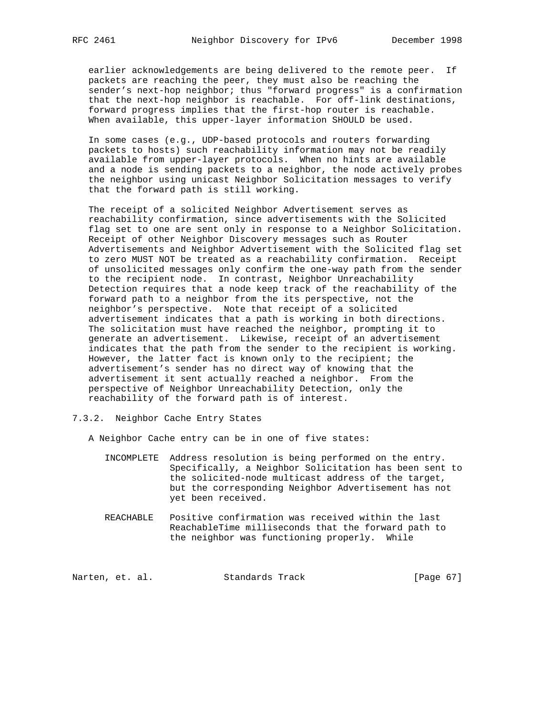earlier acknowledgements are being delivered to the remote peer. If packets are reaching the peer, they must also be reaching the sender's next-hop neighbor; thus "forward progress" is a confirmation that the next-hop neighbor is reachable. For off-link destinations, forward progress implies that the first-hop router is reachable. When available, this upper-layer information SHOULD be used.

 In some cases (e.g., UDP-based protocols and routers forwarding packets to hosts) such reachability information may not be readily available from upper-layer protocols. When no hints are available and a node is sending packets to a neighbor, the node actively probes the neighbor using unicast Neighbor Solicitation messages to verify that the forward path is still working.

 The receipt of a solicited Neighbor Advertisement serves as reachability confirmation, since advertisements with the Solicited flag set to one are sent only in response to a Neighbor Solicitation. Receipt of other Neighbor Discovery messages such as Router Advertisements and Neighbor Advertisement with the Solicited flag set to zero MUST NOT be treated as a reachability confirmation. Receipt of unsolicited messages only confirm the one-way path from the sender to the recipient node. In contrast, Neighbor Unreachability Detection requires that a node keep track of the reachability of the forward path to a neighbor from the its perspective, not the neighbor's perspective. Note that receipt of a solicited advertisement indicates that a path is working in both directions. The solicitation must have reached the neighbor, prompting it to generate an advertisement. Likewise, receipt of an advertisement indicates that the path from the sender to the recipient is working. However, the latter fact is known only to the recipient; the advertisement's sender has no direct way of knowing that the advertisement it sent actually reached a neighbor. From the perspective of Neighbor Unreachability Detection, only the reachability of the forward path is of interest.

- 7.3.2. Neighbor Cache Entry States
	- A Neighbor Cache entry can be in one of five states:
		- INCOMPLETE Address resolution is being performed on the entry. Specifically, a Neighbor Solicitation has been sent to the solicited-node multicast address of the target, but the corresponding Neighbor Advertisement has not yet been received.
		- REACHABLE Positive confirmation was received within the last ReachableTime milliseconds that the forward path to the neighbor was functioning properly. While

Narten, et. al. Standards Track [Page 67]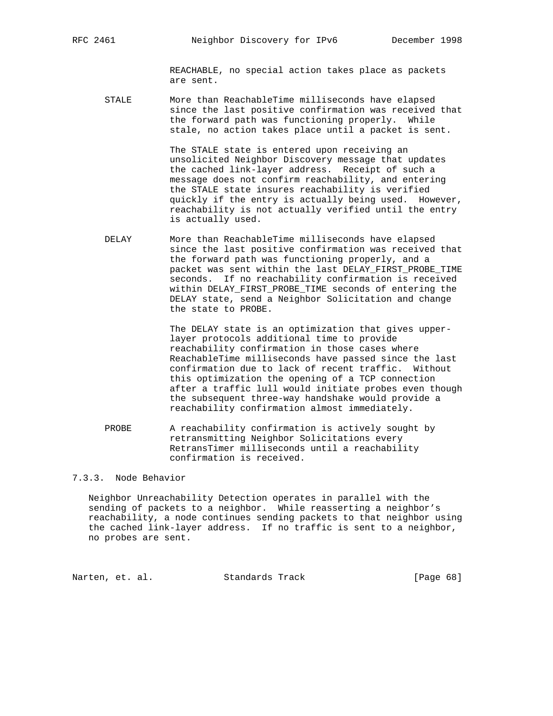REACHABLE, no special action takes place as packets are sent.

 STALE More than ReachableTime milliseconds have elapsed since the last positive confirmation was received that the forward path was functioning properly. While stale, no action takes place until a packet is sent.

> The STALE state is entered upon receiving an unsolicited Neighbor Discovery message that updates the cached link-layer address. Receipt of such a message does not confirm reachability, and entering the STALE state insures reachability is verified quickly if the entry is actually being used. However, reachability is not actually verified until the entry is actually used.

 DELAY More than ReachableTime milliseconds have elapsed since the last positive confirmation was received that the forward path was functioning properly, and a packet was sent within the last DELAY\_FIRST\_PROBE\_TIME seconds. If no reachability confirmation is received within DELAY\_FIRST\_PROBE\_TIME seconds of entering the DELAY state, send a Neighbor Solicitation and change the state to PROBE.

> The DELAY state is an optimization that gives upper layer protocols additional time to provide reachability confirmation in those cases where ReachableTime milliseconds have passed since the last confirmation due to lack of recent traffic. Without this optimization the opening of a TCP connection after a traffic lull would initiate probes even though the subsequent three-way handshake would provide a reachability confirmation almost immediately.

 PROBE A reachability confirmation is actively sought by retransmitting Neighbor Solicitations every RetransTimer milliseconds until a reachability confirmation is received.

# 7.3.3. Node Behavior

 Neighbor Unreachability Detection operates in parallel with the sending of packets to a neighbor. While reasserting a neighbor's reachability, a node continues sending packets to that neighbor using the cached link-layer address. If no traffic is sent to a neighbor, no probes are sent.

Narten, et. al. Standards Track [Page 68]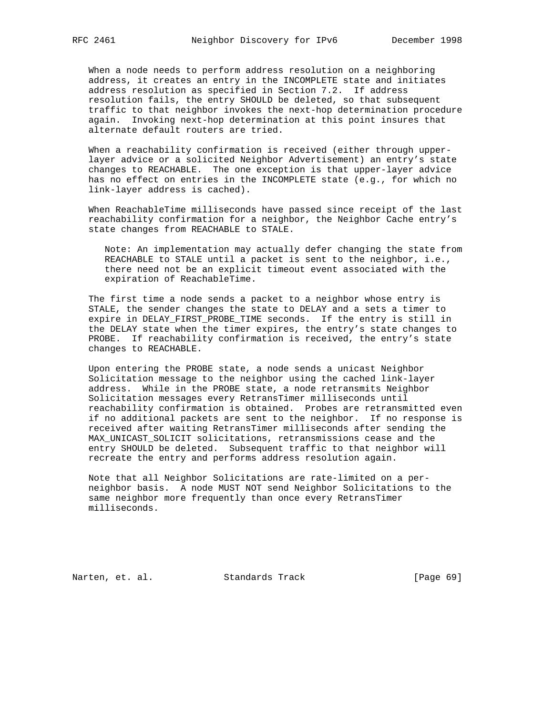When a node needs to perform address resolution on a neighboring address, it creates an entry in the INCOMPLETE state and initiates address resolution as specified in Section 7.2. If address resolution fails, the entry SHOULD be deleted, so that subsequent traffic to that neighbor invokes the next-hop determination procedure again. Invoking next-hop determination at this point insures that alternate default routers are tried.

 When a reachability confirmation is received (either through upper layer advice or a solicited Neighbor Advertisement) an entry's state changes to REACHABLE. The one exception is that upper-layer advice has no effect on entries in the INCOMPLETE state (e.g., for which no link-layer address is cached).

 When ReachableTime milliseconds have passed since receipt of the last reachability confirmation for a neighbor, the Neighbor Cache entry's state changes from REACHABLE to STALE.

 Note: An implementation may actually defer changing the state from REACHABLE to STALE until a packet is sent to the neighbor, i.e., there need not be an explicit timeout event associated with the expiration of ReachableTime.

 The first time a node sends a packet to a neighbor whose entry is STALE, the sender changes the state to DELAY and a sets a timer to expire in DELAY\_FIRST\_PROBE\_TIME seconds. If the entry is still in the DELAY state when the timer expires, the entry's state changes to PROBE. If reachability confirmation is received, the entry's state changes to REACHABLE.

 Upon entering the PROBE state, a node sends a unicast Neighbor Solicitation message to the neighbor using the cached link-layer address. While in the PROBE state, a node retransmits Neighbor Solicitation messages every RetransTimer milliseconds until reachability confirmation is obtained. Probes are retransmitted even if no additional packets are sent to the neighbor. If no response is received after waiting RetransTimer milliseconds after sending the MAX\_UNICAST\_SOLICIT solicitations, retransmissions cease and the entry SHOULD be deleted. Subsequent traffic to that neighbor will recreate the entry and performs address resolution again.

 Note that all Neighbor Solicitations are rate-limited on a per neighbor basis. A node MUST NOT send Neighbor Solicitations to the same neighbor more frequently than once every RetransTimer milliseconds.

Narten, et. al. Standards Track [Page 69]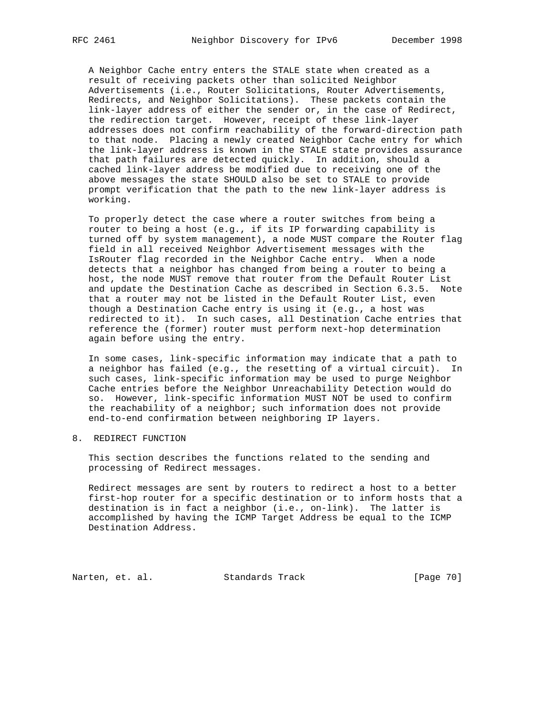A Neighbor Cache entry enters the STALE state when created as a result of receiving packets other than solicited Neighbor Advertisements (i.e., Router Solicitations, Router Advertisements, Redirects, and Neighbor Solicitations). These packets contain the link-layer address of either the sender or, in the case of Redirect, the redirection target. However, receipt of these link-layer addresses does not confirm reachability of the forward-direction path to that node. Placing a newly created Neighbor Cache entry for which the link-layer address is known in the STALE state provides assurance that path failures are detected quickly. In addition, should a cached link-layer address be modified due to receiving one of the above messages the state SHOULD also be set to STALE to provide prompt verification that the path to the new link-layer address is working.

 To properly detect the case where a router switches from being a router to being a host (e.g., if its IP forwarding capability is turned off by system management), a node MUST compare the Router flag field in all received Neighbor Advertisement messages with the IsRouter flag recorded in the Neighbor Cache entry. When a node detects that a neighbor has changed from being a router to being a host, the node MUST remove that router from the Default Router List and update the Destination Cache as described in Section 6.3.5. Note that a router may not be listed in the Default Router List, even though a Destination Cache entry is using it (e.g., a host was redirected to it). In such cases, all Destination Cache entries that reference the (former) router must perform next-hop determination again before using the entry.

 In some cases, link-specific information may indicate that a path to a neighbor has failed (e.g., the resetting of a virtual circuit). In such cases, link-specific information may be used to purge Neighbor Cache entries before the Neighbor Unreachability Detection would do so. However, link-specific information MUST NOT be used to confirm the reachability of a neighbor; such information does not provide end-to-end confirmation between neighboring IP layers.

8. REDIRECT FUNCTION

 This section describes the functions related to the sending and processing of Redirect messages.

 Redirect messages are sent by routers to redirect a host to a better first-hop router for a specific destination or to inform hosts that a destination is in fact a neighbor (i.e., on-link). The latter is accomplished by having the ICMP Target Address be equal to the ICMP Destination Address.

Narten, et. al. Standards Track [Page 70]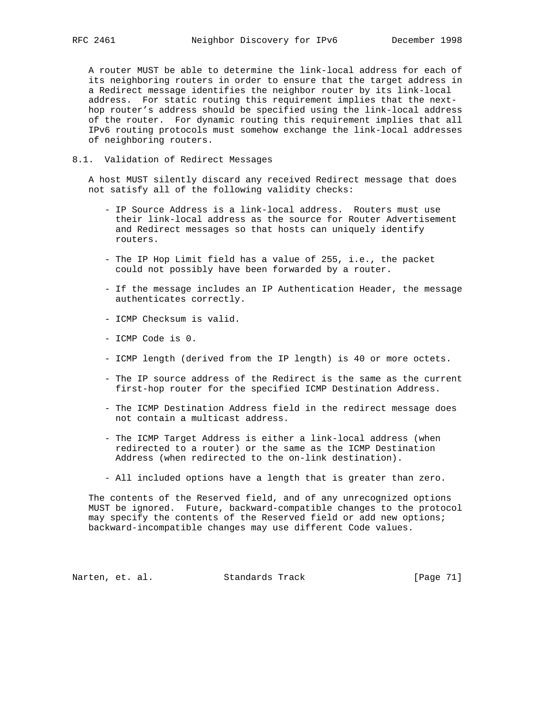A router MUST be able to determine the link-local address for each of its neighboring routers in order to ensure that the target address in a Redirect message identifies the neighbor router by its link-local address. For static routing this requirement implies that the next hop router's address should be specified using the link-local address of the router. For dynamic routing this requirement implies that all IPv6 routing protocols must somehow exchange the link-local addresses of neighboring routers.

## 8.1. Validation of Redirect Messages

 A host MUST silently discard any received Redirect message that does not satisfy all of the following validity checks:

- IP Source Address is a link-local address. Routers must use their link-local address as the source for Router Advertisement and Redirect messages so that hosts can uniquely identify routers.
- The IP Hop Limit field has a value of 255, i.e., the packet could not possibly have been forwarded by a router.
- If the message includes an IP Authentication Header, the message authenticates correctly.
- ICMP Checksum is valid.
- ICMP Code is 0.
- ICMP length (derived from the IP length) is 40 or more octets.
- The IP source address of the Redirect is the same as the current first-hop router for the specified ICMP Destination Address.
- The ICMP Destination Address field in the redirect message does not contain a multicast address.
- The ICMP Target Address is either a link-local address (when redirected to a router) or the same as the ICMP Destination Address (when redirected to the on-link destination).
- All included options have a length that is greater than zero.

 The contents of the Reserved field, and of any unrecognized options MUST be ignored. Future, backward-compatible changes to the protocol may specify the contents of the Reserved field or add new options; backward-incompatible changes may use different Code values.

Narten, et. al. Standards Track [Page 71]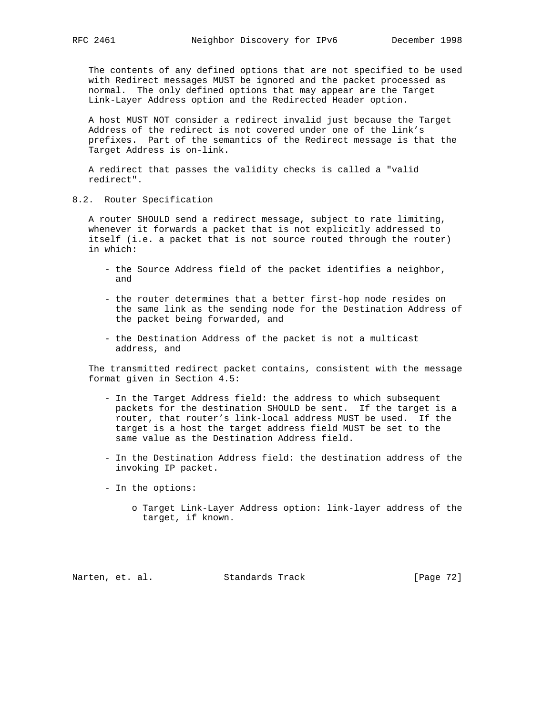The contents of any defined options that are not specified to be used with Redirect messages MUST be ignored and the packet processed as normal. The only defined options that may appear are the Target Link-Layer Address option and the Redirected Header option.

 A host MUST NOT consider a redirect invalid just because the Target Address of the redirect is not covered under one of the link's prefixes. Part of the semantics of the Redirect message is that the Target Address is on-link.

 A redirect that passes the validity checks is called a "valid redirect".

8.2. Router Specification

 A router SHOULD send a redirect message, subject to rate limiting, whenever it forwards a packet that is not explicitly addressed to itself (i.e. a packet that is not source routed through the router) in which:

- the Source Address field of the packet identifies a neighbor, and
- the router determines that a better first-hop node resides on the same link as the sending node for the Destination Address of the packet being forwarded, and
- the Destination Address of the packet is not a multicast address, and

 The transmitted redirect packet contains, consistent with the message format given in Section 4.5:

- In the Target Address field: the address to which subsequent packets for the destination SHOULD be sent. If the target is a router, that router's link-local address MUST be used. If the target is a host the target address field MUST be set to the same value as the Destination Address field.
- In the Destination Address field: the destination address of the invoking IP packet.
- In the options:
	- o Target Link-Layer Address option: link-layer address of the target, if known.

Narten, et. al. Standards Track [Page 72]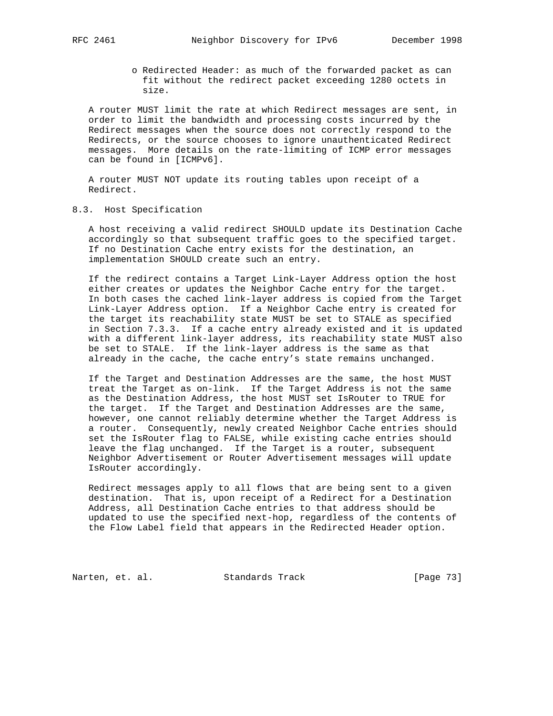o Redirected Header: as much of the forwarded packet as can fit without the redirect packet exceeding 1280 octets in size.

 A router MUST limit the rate at which Redirect messages are sent, in order to limit the bandwidth and processing costs incurred by the Redirect messages when the source does not correctly respond to the Redirects, or the source chooses to ignore unauthenticated Redirect messages. More details on the rate-limiting of ICMP error messages can be found in [ICMPv6].

 A router MUST NOT update its routing tables upon receipt of a Redirect.

# 8.3. Host Specification

 A host receiving a valid redirect SHOULD update its Destination Cache accordingly so that subsequent traffic goes to the specified target. If no Destination Cache entry exists for the destination, an implementation SHOULD create such an entry.

 If the redirect contains a Target Link-Layer Address option the host either creates or updates the Neighbor Cache entry for the target. In both cases the cached link-layer address is copied from the Target Link-Layer Address option. If a Neighbor Cache entry is created for the target its reachability state MUST be set to STALE as specified in Section 7.3.3. If a cache entry already existed and it is updated with a different link-layer address, its reachability state MUST also be set to STALE. If the link-layer address is the same as that already in the cache, the cache entry's state remains unchanged.

 If the Target and Destination Addresses are the same, the host MUST treat the Target as on-link. If the Target Address is not the same as the Destination Address, the host MUST set IsRouter to TRUE for the target. If the Target and Destination Addresses are the same, however, one cannot reliably determine whether the Target Address is a router. Consequently, newly created Neighbor Cache entries should set the IsRouter flag to FALSE, while existing cache entries should leave the flag unchanged. If the Target is a router, subsequent Neighbor Advertisement or Router Advertisement messages will update IsRouter accordingly.

 Redirect messages apply to all flows that are being sent to a given destination. That is, upon receipt of a Redirect for a Destination Address, all Destination Cache entries to that address should be updated to use the specified next-hop, regardless of the contents of the Flow Label field that appears in the Redirected Header option.

Narten, et. al. Standards Track [Page 73]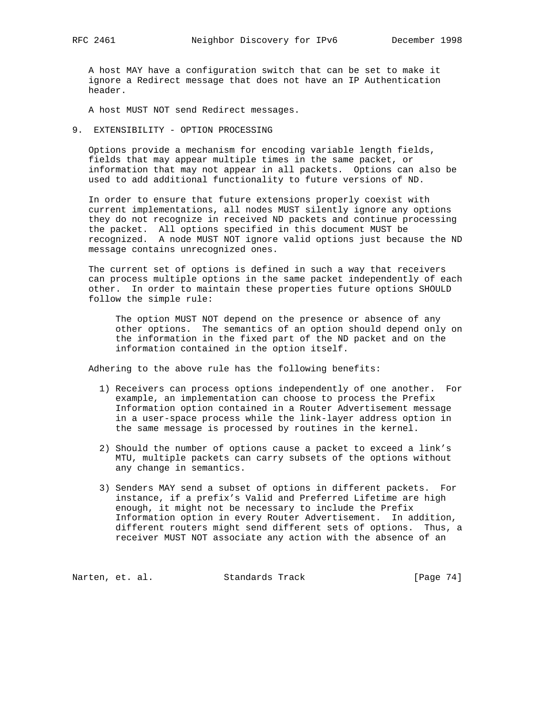A host MAY have a configuration switch that can be set to make it ignore a Redirect message that does not have an IP Authentication header.

A host MUST NOT send Redirect messages.

9. EXTENSIBILITY - OPTION PROCESSING

 Options provide a mechanism for encoding variable length fields, fields that may appear multiple times in the same packet, or information that may not appear in all packets. Options can also be used to add additional functionality to future versions of ND.

 In order to ensure that future extensions properly coexist with current implementations, all nodes MUST silently ignore any options they do not recognize in received ND packets and continue processing the packet. All options specified in this document MUST be recognized. A node MUST NOT ignore valid options just because the ND message contains unrecognized ones.

 The current set of options is defined in such a way that receivers can process multiple options in the same packet independently of each other. In order to maintain these properties future options SHOULD follow the simple rule:

 The option MUST NOT depend on the presence or absence of any other options. The semantics of an option should depend only on the information in the fixed part of the ND packet and on the information contained in the option itself.

Adhering to the above rule has the following benefits:

- 1) Receivers can process options independently of one another. For example, an implementation can choose to process the Prefix Information option contained in a Router Advertisement message in a user-space process while the link-layer address option in the same message is processed by routines in the kernel.
- 2) Should the number of options cause a packet to exceed a link's MTU, multiple packets can carry subsets of the options without any change in semantics.
- 3) Senders MAY send a subset of options in different packets. For instance, if a prefix's Valid and Preferred Lifetime are high enough, it might not be necessary to include the Prefix Information option in every Router Advertisement. In addition, different routers might send different sets of options. Thus, a receiver MUST NOT associate any action with the absence of an

Narten, et. al. Standards Track [Page 74]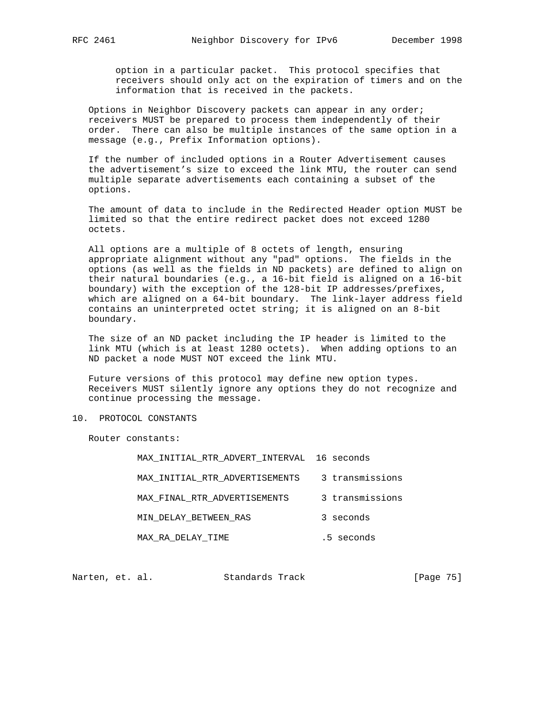option in a particular packet. This protocol specifies that receivers should only act on the expiration of timers and on the information that is received in the packets.

 Options in Neighbor Discovery packets can appear in any order; receivers MUST be prepared to process them independently of their order. There can also be multiple instances of the same option in a message (e.g., Prefix Information options).

 If the number of included options in a Router Advertisement causes the advertisement's size to exceed the link MTU, the router can send multiple separate advertisements each containing a subset of the options.

 The amount of data to include in the Redirected Header option MUST be limited so that the entire redirect packet does not exceed 1280 octets.

 All options are a multiple of 8 octets of length, ensuring appropriate alignment without any "pad" options. The fields in the options (as well as the fields in ND packets) are defined to align on their natural boundaries (e.g., a 16-bit field is aligned on a 16-bit boundary) with the exception of the 128-bit IP addresses/prefixes, which are aligned on a 64-bit boundary. The link-layer address field contains an uninterpreted octet string; it is aligned on an 8-bit boundary.

 The size of an ND packet including the IP header is limited to the link MTU (which is at least 1280 octets). When adding options to an ND packet a node MUST NOT exceed the link MTU.

 Future versions of this protocol may define new option types. Receivers MUST silently ignore any options they do not recognize and continue processing the message.

#### 10. PROTOCOL CONSTANTS

Router constants:

| MAX INITIAL RTR ADVERT INTERVAL 16 seconds |                 |
|--------------------------------------------|-----------------|
| MAX INITIAL RTR ADVERTISEMENTS             | 3 transmissions |
| MAX FINAL RTR ADVERTISEMENTS               | 3 transmissions |
| MIN DELAY BETWEEN RAS                      | 3 seconds       |
| MAX RA DELAY TIME                          | .5 seconds      |

Narten, et. al. Standards Track [Page 75]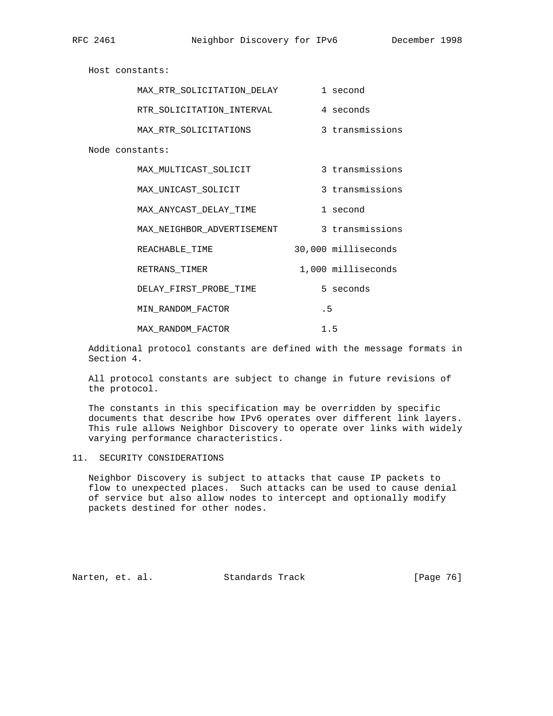Host constants:

|                 | MAX RTR SOLICITATION DELAY |     | 1 second            |
|-----------------|----------------------------|-----|---------------------|
|                 | RTR SOLICITATION INTERVAL  |     | 4 seconds           |
|                 | MAX RTR SOLICITATIONS      |     | 3 transmissions     |
| Node constants: |                            |     |                     |
|                 | MAX MULTICAST SOLICIT      |     | 3 transmissions     |
|                 | MAX UNICAST SOLICIT        |     | 3 transmissions     |
|                 | MAX ANYCAST DELAY TIME     |     | 1 second            |
|                 | MAX NEIGHBOR ADVERTISEMENT |     | 3 transmissions     |
|                 | REACHABLE TIME             |     | 30,000 milliseconds |
|                 | RETRANS TIMER              |     | 1,000 milliseconds  |
|                 | DELAY FIRST PROBE TIME     |     | 5 seconds           |
|                 | MIN RANDOM FACTOR          | . 5 |                     |

MAX\_RANDOM\_FACTOR 1.5

 Additional protocol constants are defined with the message formats in Section 4.

 All protocol constants are subject to change in future revisions of the protocol.

 The constants in this specification may be overridden by specific documents that describe how IPv6 operates over different link layers. This rule allows Neighbor Discovery to operate over links with widely varying performance characteristics.

### 11. SECURITY CONSIDERATIONS

 Neighbor Discovery is subject to attacks that cause IP packets to flow to unexpected places. Such attacks can be used to cause denial of service but also allow nodes to intercept and optionally modify packets destined for other nodes.

Narten, et. al. Standards Track [Page 76]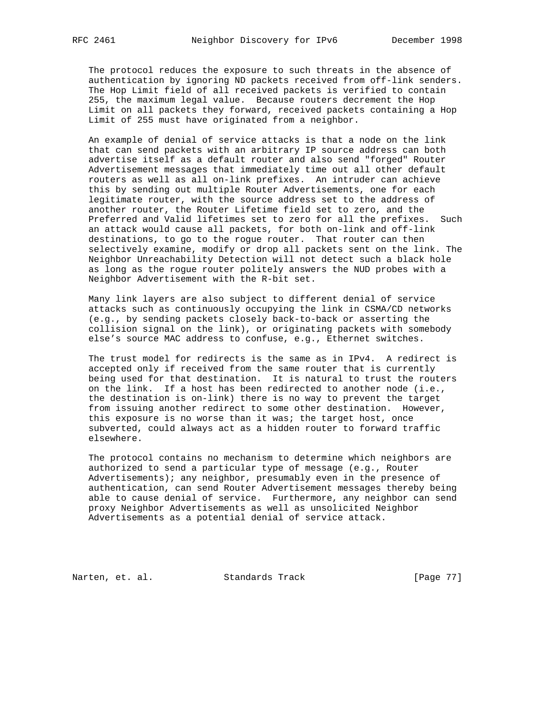The protocol reduces the exposure to such threats in the absence of authentication by ignoring ND packets received from off-link senders. The Hop Limit field of all received packets is verified to contain 255, the maximum legal value. Because routers decrement the Hop Limit on all packets they forward, received packets containing a Hop Limit of 255 must have originated from a neighbor.

 An example of denial of service attacks is that a node on the link that can send packets with an arbitrary IP source address can both advertise itself as a default router and also send "forged" Router Advertisement messages that immediately time out all other default routers as well as all on-link prefixes. An intruder can achieve this by sending out multiple Router Advertisements, one for each legitimate router, with the source address set to the address of another router, the Router Lifetime field set to zero, and the Preferred and Valid lifetimes set to zero for all the prefixes. Such an attack would cause all packets, for both on-link and off-link destinations, to go to the rogue router. That router can then selectively examine, modify or drop all packets sent on the link. The Neighbor Unreachability Detection will not detect such a black hole as long as the rogue router politely answers the NUD probes with a Neighbor Advertisement with the R-bit set.

 Many link layers are also subject to different denial of service attacks such as continuously occupying the link in CSMA/CD networks (e.g., by sending packets closely back-to-back or asserting the collision signal on the link), or originating packets with somebody else's source MAC address to confuse, e.g., Ethernet switches.

 The trust model for redirects is the same as in IPv4. A redirect is accepted only if received from the same router that is currently being used for that destination. It is natural to trust the routers on the link. If a host has been redirected to another node (i.e., the destination is on-link) there is no way to prevent the target from issuing another redirect to some other destination. However, this exposure is no worse than it was; the target host, once subverted, could always act as a hidden router to forward traffic elsewhere.

 The protocol contains no mechanism to determine which neighbors are authorized to send a particular type of message (e.g., Router Advertisements); any neighbor, presumably even in the presence of authentication, can send Router Advertisement messages thereby being able to cause denial of service. Furthermore, any neighbor can send proxy Neighbor Advertisements as well as unsolicited Neighbor Advertisements as a potential denial of service attack.

Narten, et. al. Standards Track [Page 77]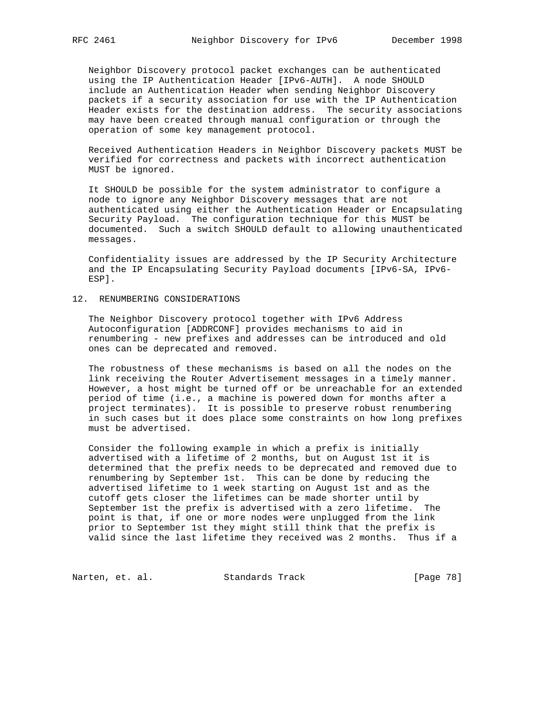Neighbor Discovery protocol packet exchanges can be authenticated using the IP Authentication Header [IPv6-AUTH]. A node SHOULD include an Authentication Header when sending Neighbor Discovery packets if a security association for use with the IP Authentication Header exists for the destination address. The security associations may have been created through manual configuration or through the operation of some key management protocol.

 Received Authentication Headers in Neighbor Discovery packets MUST be verified for correctness and packets with incorrect authentication MUST be ignored.

 It SHOULD be possible for the system administrator to configure a node to ignore any Neighbor Discovery messages that are not authenticated using either the Authentication Header or Encapsulating Security Payload. The configuration technique for this MUST be documented. Such a switch SHOULD default to allowing unauthenticated messages.

 Confidentiality issues are addressed by the IP Security Architecture and the IP Encapsulating Security Payload documents [IPv6-SA, IPv6- ESP].

# 12. RENUMBERING CONSIDERATIONS

 The Neighbor Discovery protocol together with IPv6 Address Autoconfiguration [ADDRCONF] provides mechanisms to aid in renumbering - new prefixes and addresses can be introduced and old ones can be deprecated and removed.

 The robustness of these mechanisms is based on all the nodes on the link receiving the Router Advertisement messages in a timely manner. However, a host might be turned off or be unreachable for an extended period of time (i.e., a machine is powered down for months after a project terminates). It is possible to preserve robust renumbering in such cases but it does place some constraints on how long prefixes must be advertised.

 Consider the following example in which a prefix is initially advertised with a lifetime of 2 months, but on August 1st it is determined that the prefix needs to be deprecated and removed due to renumbering by September 1st. This can be done by reducing the advertised lifetime to 1 week starting on August 1st and as the cutoff gets closer the lifetimes can be made shorter until by September 1st the prefix is advertised with a zero lifetime. The point is that, if one or more nodes were unplugged from the link prior to September 1st they might still think that the prefix is valid since the last lifetime they received was 2 months. Thus if a

Narten, et. al. Standards Track [Page 78]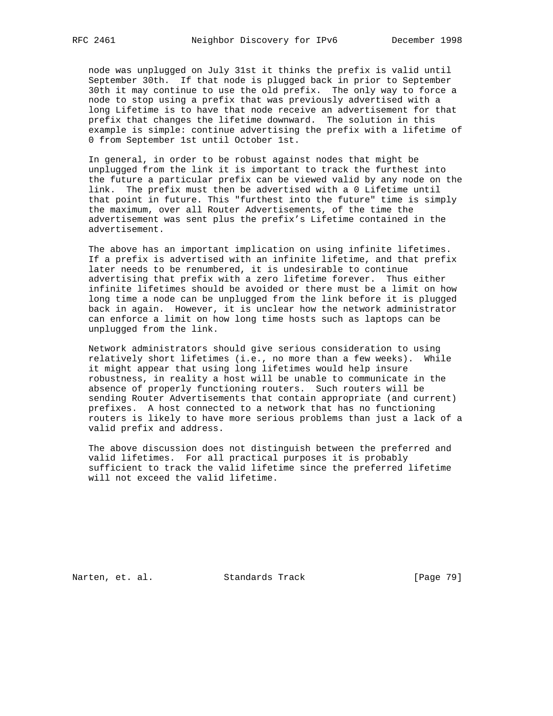node was unplugged on July 31st it thinks the prefix is valid until September 30th. If that node is plugged back in prior to September 30th it may continue to use the old prefix. The only way to force a node to stop using a prefix that was previously advertised with a long Lifetime is to have that node receive an advertisement for that prefix that changes the lifetime downward. The solution in this example is simple: continue advertising the prefix with a lifetime of 0 from September 1st until October 1st.

 In general, in order to be robust against nodes that might be unplugged from the link it is important to track the furthest into the future a particular prefix can be viewed valid by any node on the link. The prefix must then be advertised with a 0 Lifetime until that point in future. This "furthest into the future" time is simply the maximum, over all Router Advertisements, of the time the advertisement was sent plus the prefix's Lifetime contained in the advertisement.

 The above has an important implication on using infinite lifetimes. If a prefix is advertised with an infinite lifetime, and that prefix later needs to be renumbered, it is undesirable to continue advertising that prefix with a zero lifetime forever. Thus either infinite lifetimes should be avoided or there must be a limit on how long time a node can be unplugged from the link before it is plugged back in again. However, it is unclear how the network administrator can enforce a limit on how long time hosts such as laptops can be unplugged from the link.

 Network administrators should give serious consideration to using relatively short lifetimes (i.e., no more than a few weeks). While it might appear that using long lifetimes would help insure robustness, in reality a host will be unable to communicate in the absence of properly functioning routers. Such routers will be sending Router Advertisements that contain appropriate (and current) prefixes. A host connected to a network that has no functioning routers is likely to have more serious problems than just a lack of a valid prefix and address.

 The above discussion does not distinguish between the preferred and valid lifetimes. For all practical purposes it is probably sufficient to track the valid lifetime since the preferred lifetime will not exceed the valid lifetime.

Narten, et. al. Standards Track [Page 79]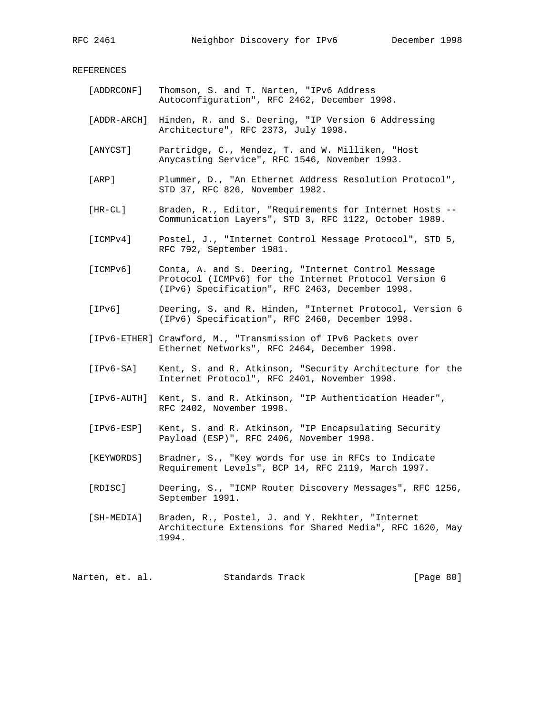REFERENCES

- [ADDRCONF] Thomson, S. and T. Narten, "IPv6 Address Autoconfiguration", RFC 2462, December 1998.
- [ADDR-ARCH] Hinden, R. and S. Deering, "IP Version 6 Addressing Architecture", RFC 2373, July 1998.
- [ANYCST] Partridge, C., Mendez, T. and W. Milliken, "Host Anycasting Service", RFC 1546, November 1993.
- [ARP] Plummer, D., "An Ethernet Address Resolution Protocol", STD 37, RFC 826, November 1982.
- [HR-CL] Braden, R., Editor, "Requirements for Internet Hosts -- Communication Layers", STD 3, RFC 1122, October 1989.
- [ICMPv4] Postel, J., "Internet Control Message Protocol", STD 5, RFC 792, September 1981.
- [ICMPv6] Conta, A. and S. Deering, "Internet Control Message Protocol (ICMPv6) for the Internet Protocol Version 6 (IPv6) Specification", RFC 2463, December 1998.
- [IPv6] Deering, S. and R. Hinden, "Internet Protocol, Version 6 (IPv6) Specification", RFC 2460, December 1998.
- [IPv6-ETHER] Crawford, M., "Transmission of IPv6 Packets over Ethernet Networks", RFC 2464, December 1998.
- [IPv6-SA] Kent, S. and R. Atkinson, "Security Architecture for the Internet Protocol", RFC 2401, November 1998.
- [IPv6-AUTH] Kent, S. and R. Atkinson, "IP Authentication Header", RFC 2402, November 1998.
- [IPv6-ESP] Kent, S. and R. Atkinson, "IP Encapsulating Security Payload (ESP)", RFC 2406, November 1998.
- [KEYWORDS] Bradner, S., "Key words for use in RFCs to Indicate Requirement Levels", BCP 14, RFC 2119, March 1997.
- [RDISC] Deering, S., "ICMP Router Discovery Messages", RFC 1256, September 1991.
- [SH-MEDIA] Braden, R., Postel, J. and Y. Rekhter, "Internet Architecture Extensions for Shared Media", RFC 1620, May 1994.

Narten, et. al. Standards Track [Page 80]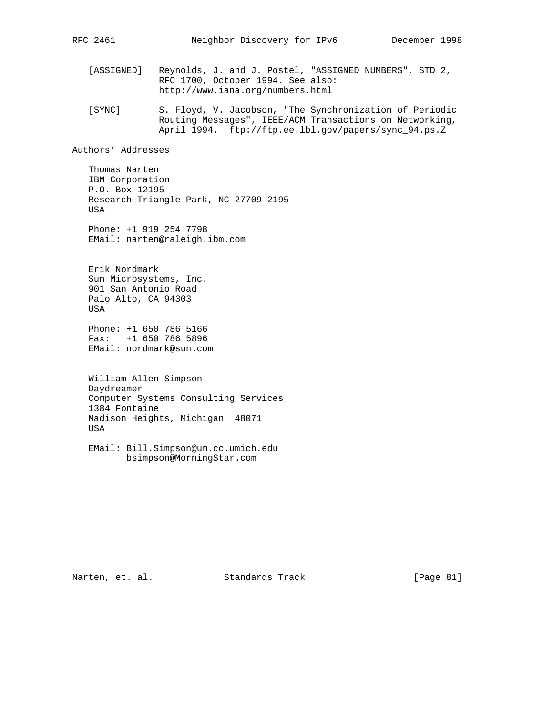- [ASSIGNED] Reynolds, J. and J. Postel, "ASSIGNED NUMBERS", STD 2, RFC 1700, October 1994. See also: http://www.iana.org/numbers.html
- [SYNC] S. Floyd, V. Jacobson, "The Synchronization of Periodic Routing Messages", IEEE/ACM Transactions on Networking, April 1994. ftp://ftp.ee.lbl.gov/papers/sync\_94.ps.Z

Authors' Addresses

 Thomas Narten IBM Corporation P.O. Box 12195 Research Triangle Park, NC 27709-2195 USA

 Phone: +1 919 254 7798 EMail: narten@raleigh.ibm.com

 Erik Nordmark Sun Microsystems, Inc. 901 San Antonio Road Palo Alto, CA 94303 USA

 Phone: +1 650 786 5166 Fax: +1 650 786 5896 EMail: nordmark@sun.com

```
 William Allen Simpson
Daydreamer
Computer Systems Consulting Services
1384 Fontaine
Madison Heights, Michigan 48071
USA
```
 EMail: Bill.Simpson@um.cc.umich.edu bsimpson@MorningStar.com

Narten, et. al. Standards Track [Page 81]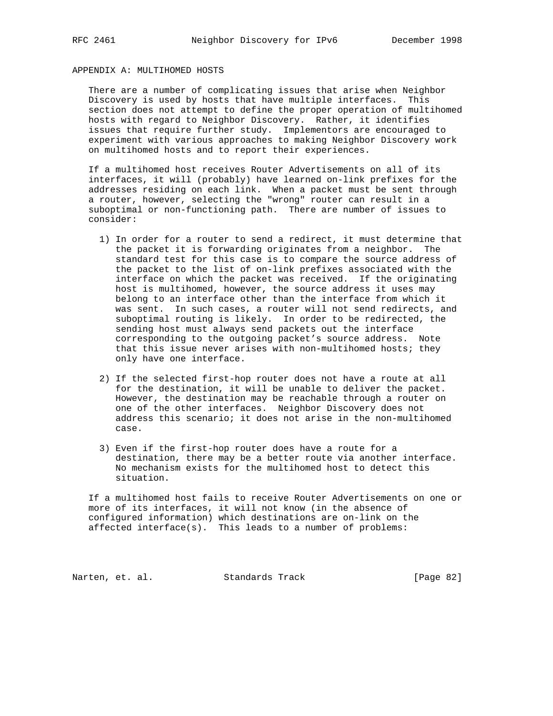# APPENDIX A: MULTIHOMED HOSTS

 There are a number of complicating issues that arise when Neighbor Discovery is used by hosts that have multiple interfaces. This section does not attempt to define the proper operation of multihomed hosts with regard to Neighbor Discovery. Rather, it identifies issues that require further study. Implementors are encouraged to experiment with various approaches to making Neighbor Discovery work on multihomed hosts and to report their experiences.

 If a multihomed host receives Router Advertisements on all of its interfaces, it will (probably) have learned on-link prefixes for the addresses residing on each link. When a packet must be sent through a router, however, selecting the "wrong" router can result in a suboptimal or non-functioning path. There are number of issues to consider:

- 1) In order for a router to send a redirect, it must determine that the packet it is forwarding originates from a neighbor. The standard test for this case is to compare the source address of the packet to the list of on-link prefixes associated with the interface on which the packet was received. If the originating host is multihomed, however, the source address it uses may belong to an interface other than the interface from which it was sent. In such cases, a router will not send redirects, and suboptimal routing is likely. In order to be redirected, the sending host must always send packets out the interface corresponding to the outgoing packet's source address. Note that this issue never arises with non-multihomed hosts; they only have one interface.
- 2) If the selected first-hop router does not have a route at all for the destination, it will be unable to deliver the packet. However, the destination may be reachable through a router on one of the other interfaces. Neighbor Discovery does not address this scenario; it does not arise in the non-multihomed case.
- 3) Even if the first-hop router does have a route for a destination, there may be a better route via another interface. No mechanism exists for the multihomed host to detect this situation.

 If a multihomed host fails to receive Router Advertisements on one or more of its interfaces, it will not know (in the absence of configured information) which destinations are on-link on the affected interface(s). This leads to a number of problems:

Narten, et. al. Standards Track [Page 82]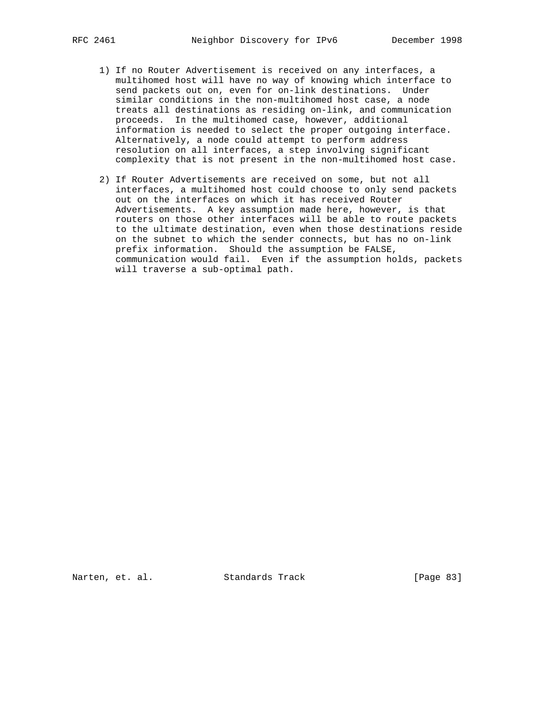- 1) If no Router Advertisement is received on any interfaces, a multihomed host will have no way of knowing which interface to send packets out on, even for on-link destinations. Under similar conditions in the non-multihomed host case, a node treats all destinations as residing on-link, and communication proceeds. In the multihomed case, however, additional information is needed to select the proper outgoing interface. Alternatively, a node could attempt to perform address resolution on all interfaces, a step involving significant complexity that is not present in the non-multihomed host case.
- 2) If Router Advertisements are received on some, but not all interfaces, a multihomed host could choose to only send packets out on the interfaces on which it has received Router Advertisements. A key assumption made here, however, is that routers on those other interfaces will be able to route packets to the ultimate destination, even when those destinations reside on the subnet to which the sender connects, but has no on-link prefix information. Should the assumption be FALSE, communication would fail. Even if the assumption holds, packets will traverse a sub-optimal path.

Narten, et. al. Standards Track [Page 83]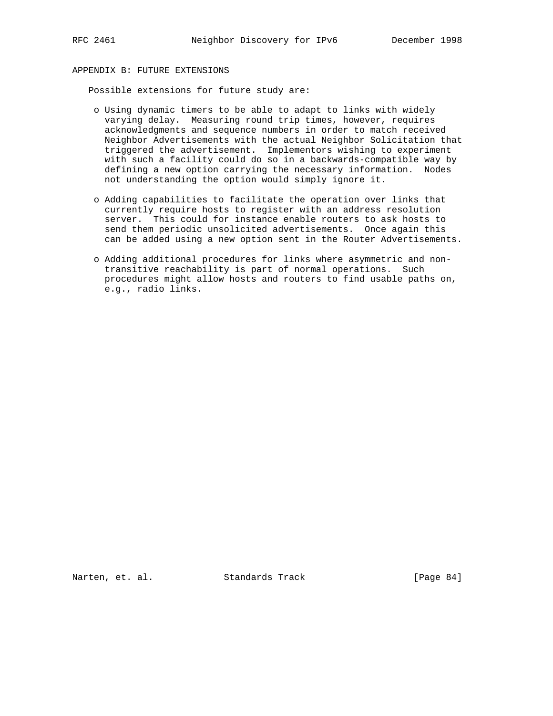# APPENDIX B: FUTURE EXTENSIONS

Possible extensions for future study are:

- o Using dynamic timers to be able to adapt to links with widely varying delay. Measuring round trip times, however, requires acknowledgments and sequence numbers in order to match received Neighbor Advertisements with the actual Neighbor Solicitation that triggered the advertisement. Implementors wishing to experiment with such a facility could do so in a backwards-compatible way by defining a new option carrying the necessary information. Nodes not understanding the option would simply ignore it.
- o Adding capabilities to facilitate the operation over links that currently require hosts to register with an address resolution server. This could for instance enable routers to ask hosts to send them periodic unsolicited advertisements. Once again this can be added using a new option sent in the Router Advertisements.
- o Adding additional procedures for links where asymmetric and non transitive reachability is part of normal operations. Such procedures might allow hosts and routers to find usable paths on, e.g., radio links.

Narten, et. al. Standards Track [Page 84]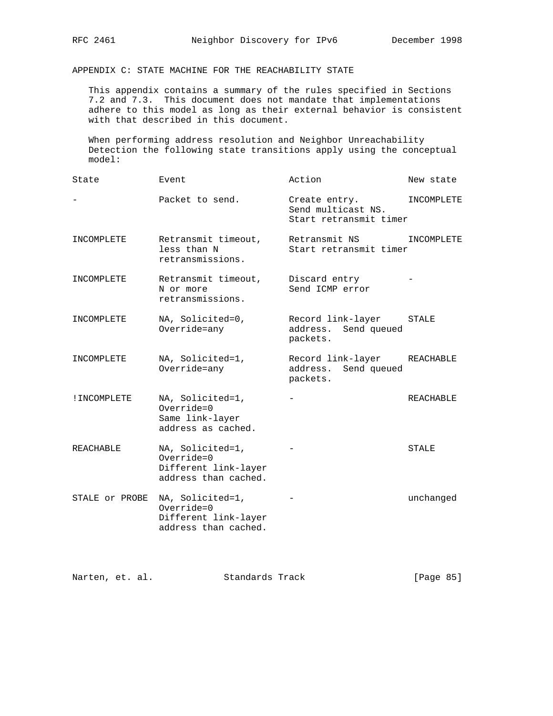APPENDIX C: STATE MACHINE FOR THE REACHABILITY STATE

 This appendix contains a summary of the rules specified in Sections 7.2 and 7.3. This document does not mandate that implementations adhere to this model as long as their external behavior is consistent with that described in this document.

 When performing address resolution and Neighbor Unreachability Detection the following state transitions apply using the conceptual model:

| State           | Event                                                                          | Action                                                        | New state  |
|-----------------|--------------------------------------------------------------------------------|---------------------------------------------------------------|------------|
|                 | Packet to send.                                                                | Create entry.<br>Send multicast NS.<br>Start retransmit timer | INCOMPLETE |
| INCOMPLETE      | Retransmit timeout,<br>less than N<br>retransmissions.                         | Retransmit NS<br>Start retransmit timer                       | INCOMPLETE |
| INCOMPLETE      | Retransmit timeout,<br>N or more<br>retransmissions.                           | Discard entry<br>Send ICMP error                              |            |
| INCOMPLETE      | NA, Solicited=0,<br>Override=any                                               | Record link-layer STALE<br>address. Send queued<br>packets.   |            |
| INCOMPLETE      | NA, Solicited=1,<br>Override=any                                               | Record link-layer<br>address. Send queued<br>packets.         | REACHABLE  |
| ! INCOMPLETE    | NA, Solicited=1,<br>Override=0<br>Same link-layer<br>address as cached.        |                                                               | REACHABLE  |
| REACHABLE       | NA, Solicited=1,<br>Override=0<br>Different link-layer<br>address than cached. |                                                               | STALE      |
| STALE Or PROBE  | NA, Solicited=1,<br>Override=0<br>Different link-layer<br>address than cached. |                                                               | unchanged  |
| Narten, et. al. | Standards Track                                                                |                                                               | [Page 85]  |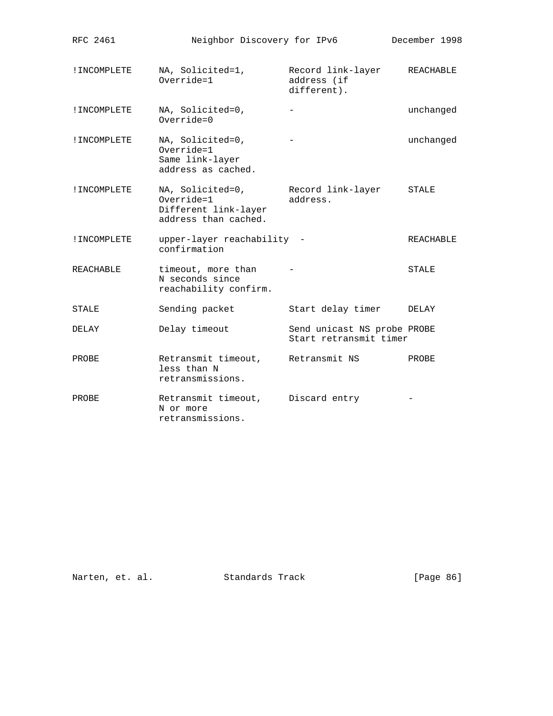| RFC 2461         | Neighbor Discovery for IPv6                                                    |                                                       | December 1998 |
|------------------|--------------------------------------------------------------------------------|-------------------------------------------------------|---------------|
| ! INCOMPLETE     | NA, Solicited=1,<br>Override=1                                                 | Record link-layer<br>address (if<br>different).       | REACHABLE     |
| ! INCOMPLETE     | NA, Solicited=0,<br>Override=0                                                 |                                                       | unchanged     |
| ! INCOMPLETE     | NA, Solicited=0,<br>Override=1<br>Same link-layer<br>address as cached.        |                                                       | unchanged     |
| ! INCOMPLETE     | NA, Solicited=0,<br>Override=1<br>Different link-layer<br>address than cached. | Record link-layer<br>address.                         | STALE         |
| ! INCOMPLETE     | upper-layer reachability -<br>confirmation                                     |                                                       | REACHABLE     |
| <b>REACHABLE</b> | timeout, more than<br>N seconds since<br>reachability confirm.                 |                                                       | STALE         |
| STALE            | Sending packet                                                                 | Start delay timer                                     | DELAY         |
| DELAY            | Delay timeout                                                                  | Send unicast NS probe PROBE<br>Start retransmit timer |               |
| PROBE            | Retransmit timeout,<br>less than N<br>retransmissions.                         | Retransmit NS                                         | PROBE         |
| PROBE            | Retransmit timeout,<br>N or more<br>retransmissions.                           | Discard entry                                         |               |

Narten, et. al. Standards Track [Page 86]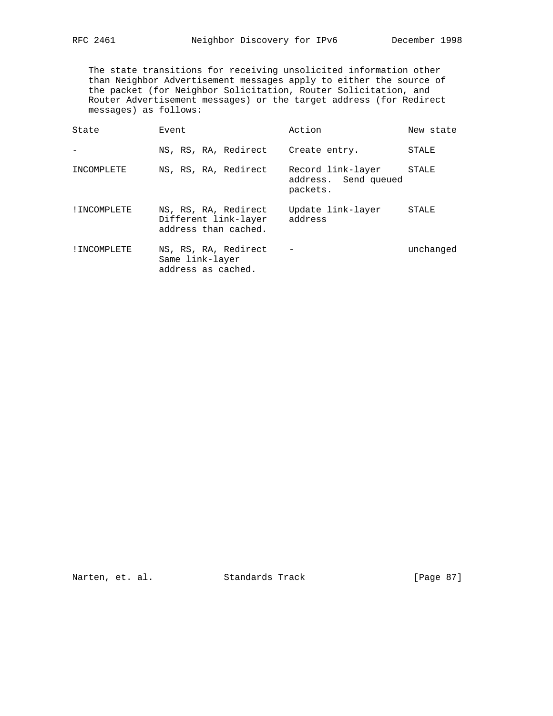The state transitions for receiving unsolicited information other than Neighbor Advertisement messages apply to either the source of the packet (for Neighbor Solicitation, Router Solicitation, and Router Advertisement messages) or the target address (for Redirect messages) as follows:

| State        | Event                                                                | Action                                                | New state |
|--------------|----------------------------------------------------------------------|-------------------------------------------------------|-----------|
|              | NS, RS, RA, Redirect                                                 | Create entry.                                         | STALE     |
| INCOMPLETE   | NS, RS, RA, Redirect                                                 | Record link-layer<br>address. Send queued<br>packets. | STALE     |
| ! INCOMPLETE | NS, RS, RA, Redirect<br>Different link-layer<br>address than cached. | Update link-layer<br>address                          | STALE     |
| ! INCOMPLETE | NS, RS, RA, Redirect<br>Same link-layer<br>address as cached.        |                                                       | unchanged |

Narten, et. al. Standards Track [Page 87]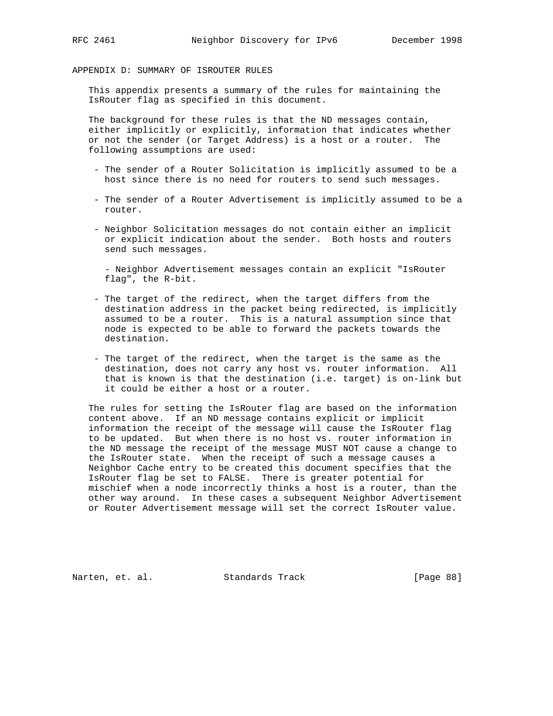# APPENDIX D: SUMMARY OF ISROUTER RULES

 This appendix presents a summary of the rules for maintaining the IsRouter flag as specified in this document.

 The background for these rules is that the ND messages contain, either implicitly or explicitly, information that indicates whether or not the sender (or Target Address) is a host or a router. The following assumptions are used:

- The sender of a Router Solicitation is implicitly assumed to be a host since there is no need for routers to send such messages.
- The sender of a Router Advertisement is implicitly assumed to be a router.
- Neighbor Solicitation messages do not contain either an implicit or explicit indication about the sender. Both hosts and routers send such messages.

 - Neighbor Advertisement messages contain an explicit "IsRouter flag", the R-bit.

- The target of the redirect, when the target differs from the destination address in the packet being redirected, is implicitly assumed to be a router. This is a natural assumption since that node is expected to be able to forward the packets towards the destination.
- The target of the redirect, when the target is the same as the destination, does not carry any host vs. router information. All that is known is that the destination (i.e. target) is on-link but it could be either a host or a router.

 The rules for setting the IsRouter flag are based on the information content above. If an ND message contains explicit or implicit information the receipt of the message will cause the IsRouter flag to be updated. But when there is no host vs. router information in the ND message the receipt of the message MUST NOT cause a change to the IsRouter state. When the receipt of such a message causes a Neighbor Cache entry to be created this document specifies that the IsRouter flag be set to FALSE. There is greater potential for mischief when a node incorrectly thinks a host is a router, than the other way around. In these cases a subsequent Neighbor Advertisement or Router Advertisement message will set the correct IsRouter value.

Narten, et. al. Standards Track [Page 88]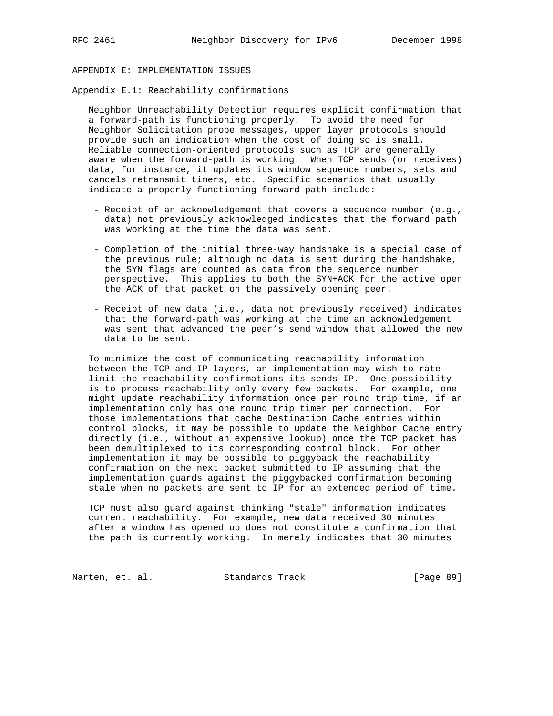# APPENDIX E: IMPLEMENTATION ISSUES

Appendix E.1: Reachability confirmations

 Neighbor Unreachability Detection requires explicit confirmation that a forward-path is functioning properly. To avoid the need for Neighbor Solicitation probe messages, upper layer protocols should provide such an indication when the cost of doing so is small. Reliable connection-oriented protocols such as TCP are generally aware when the forward-path is working. When TCP sends (or receives) data, for instance, it updates its window sequence numbers, sets and cancels retransmit timers, etc. Specific scenarios that usually indicate a properly functioning forward-path include:

- Receipt of an acknowledgement that covers a sequence number (e.g., data) not previously acknowledged indicates that the forward path was working at the time the data was sent.
- Completion of the initial three-way handshake is a special case of the previous rule; although no data is sent during the handshake, the SYN flags are counted as data from the sequence number perspective. This applies to both the SYN+ACK for the active open the ACK of that packet on the passively opening peer.
- Receipt of new data (i.e., data not previously received) indicates that the forward-path was working at the time an acknowledgement was sent that advanced the peer's send window that allowed the new data to be sent.

 To minimize the cost of communicating reachability information between the TCP and IP layers, an implementation may wish to rate limit the reachability confirmations its sends IP. One possibility is to process reachability only every few packets. For example, one might update reachability information once per round trip time, if an implementation only has one round trip timer per connection. For those implementations that cache Destination Cache entries within control blocks, it may be possible to update the Neighbor Cache entry directly (i.e., without an expensive lookup) once the TCP packet has been demultiplexed to its corresponding control block. For other implementation it may be possible to piggyback the reachability confirmation on the next packet submitted to IP assuming that the implementation guards against the piggybacked confirmation becoming stale when no packets are sent to IP for an extended period of time.

 TCP must also guard against thinking "stale" information indicates current reachability. For example, new data received 30 minutes after a window has opened up does not constitute a confirmation that the path is currently working. In merely indicates that 30 minutes

Narten, et. al. Standards Track [Page 89]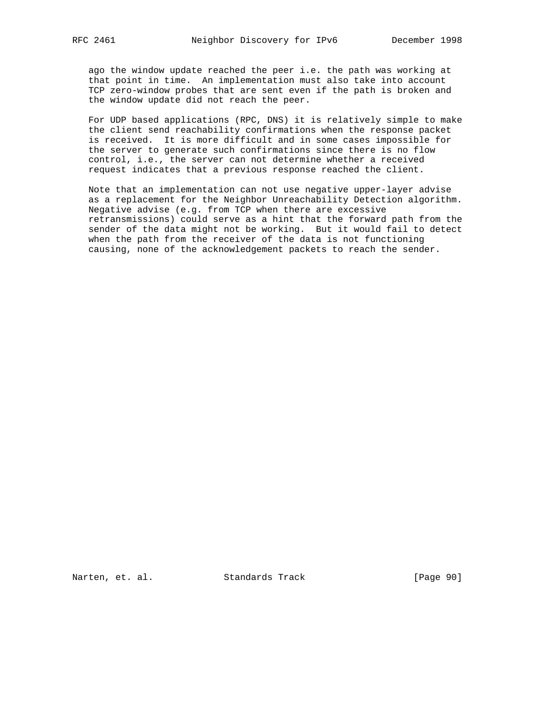ago the window update reached the peer i.e. the path was working at that point in time. An implementation must also take into account TCP zero-window probes that are sent even if the path is broken and the window update did not reach the peer.

 For UDP based applications (RPC, DNS) it is relatively simple to make the client send reachability confirmations when the response packet is received. It is more difficult and in some cases impossible for the server to generate such confirmations since there is no flow control, i.e., the server can not determine whether a received request indicates that a previous response reached the client.

 Note that an implementation can not use negative upper-layer advise as a replacement for the Neighbor Unreachability Detection algorithm. Negative advise (e.g. from TCP when there are excessive retransmissions) could serve as a hint that the forward path from the sender of the data might not be working. But it would fail to detect when the path from the receiver of the data is not functioning causing, none of the acknowledgement packets to reach the sender.

Narten, et. al. Standards Track [Page 90]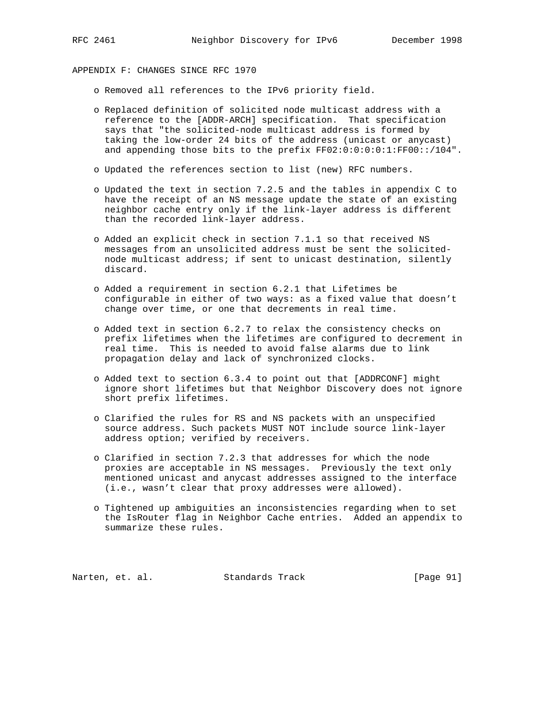# APPENDIX F: CHANGES SINCE RFC 1970

- o Removed all references to the IPv6 priority field.
- o Replaced definition of solicited node multicast address with a reference to the [ADDR-ARCH] specification. That specification says that "the solicited-node multicast address is formed by taking the low-order 24 bits of the address (unicast or anycast) and appending those bits to the prefix FF02:0:0:0:0:1:FF00::/104".
- o Updated the references section to list (new) RFC numbers.
- o Updated the text in section 7.2.5 and the tables in appendix C to have the receipt of an NS message update the state of an existing neighbor cache entry only if the link-layer address is different than the recorded link-layer address.
- o Added an explicit check in section 7.1.1 so that received NS messages from an unsolicited address must be sent the solicited node multicast address; if sent to unicast destination, silently discard.
- o Added a requirement in section 6.2.1 that Lifetimes be configurable in either of two ways: as a fixed value that doesn't change over time, or one that decrements in real time.
- o Added text in section 6.2.7 to relax the consistency checks on prefix lifetimes when the lifetimes are configured to decrement in real time. This is needed to avoid false alarms due to link propagation delay and lack of synchronized clocks.
- o Added text to section 6.3.4 to point out that [ADDRCONF] might ignore short lifetimes but that Neighbor Discovery does not ignore short prefix lifetimes.
- o Clarified the rules for RS and NS packets with an unspecified source address. Such packets MUST NOT include source link-layer address option; verified by receivers.
- o Clarified in section 7.2.3 that addresses for which the node proxies are acceptable in NS messages. Previously the text only mentioned unicast and anycast addresses assigned to the interface (i.e., wasn't clear that proxy addresses were allowed).
- o Tightened up ambiguities an inconsistencies regarding when to set the IsRouter flag in Neighbor Cache entries. Added an appendix to summarize these rules.

Narten, et. al. Standards Track [Page 91]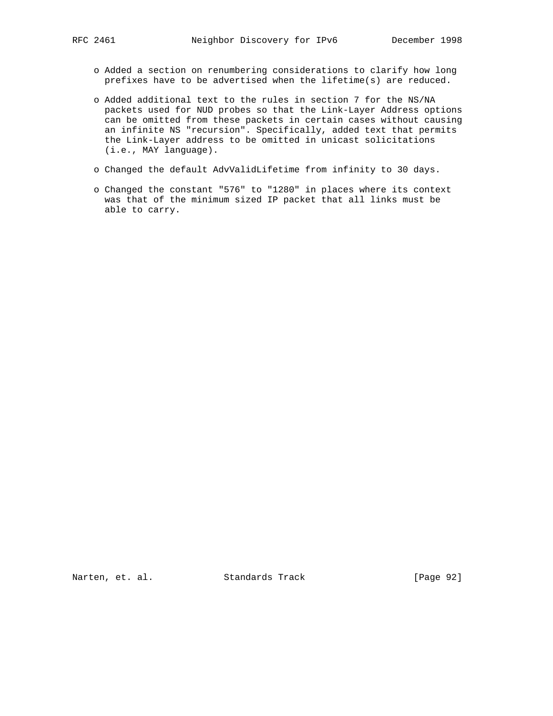- o Added a section on renumbering considerations to clarify how long prefixes have to be advertised when the lifetime(s) are reduced.
- o Added additional text to the rules in section 7 for the NS/NA packets used for NUD probes so that the Link-Layer Address options can be omitted from these packets in certain cases without causing an infinite NS "recursion". Specifically, added text that permits the Link-Layer address to be omitted in unicast solicitations (i.e., MAY language).
- o Changed the default AdvValidLifetime from infinity to 30 days.
- o Changed the constant "576" to "1280" in places where its context was that of the minimum sized IP packet that all links must be able to carry.

Narten, et. al. Standards Track [Page 92]